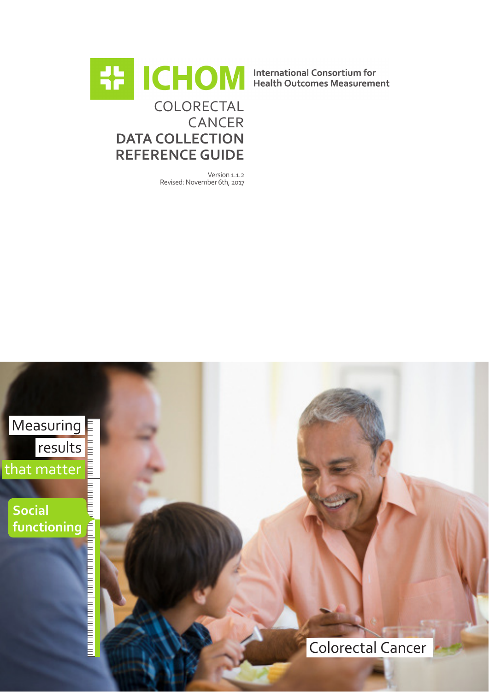

Version 1.1.2 Revised: November 6th, 2017

Measuring results<br>
matter<br>
ial that matter **Social functioning** <u>A Componentation of the Componentation of the Componentation of the Componentation of the Componentation of the Co</u> Colorectal Cancer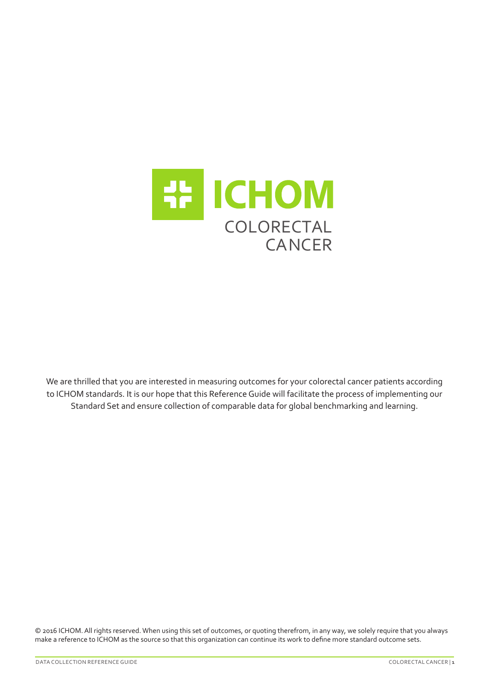

We are thrilled that you are interested in measuring outcomes for your colorectal cancer patients according to ICHOM standards. It is our hope that this Reference Guide will facilitate the process of implementing our Standard Set and ensure collection of comparable data for global benchmarking and learning.

© 2016 ICHOM. All rights reserved. When using this set of outcomes, or quoting therefrom, in any way, we solely require that you always make a reference to ICHOM as the source so that this organization can continue its work to define more standard outcome sets.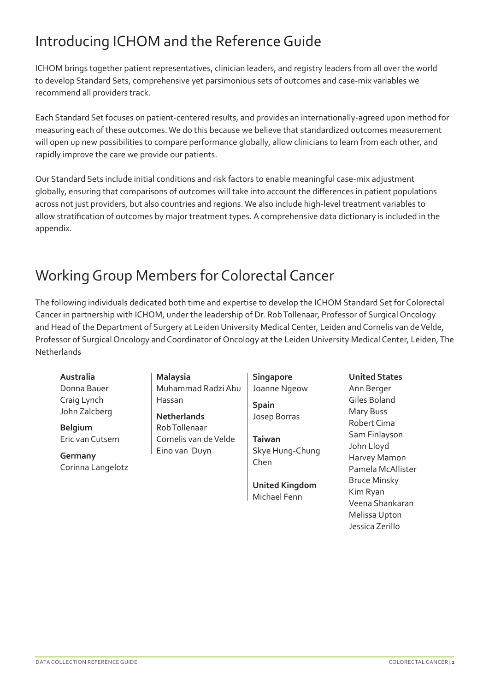# Introducing ICHOM and the Reference Guide

ICHOM brings together patient representatives, clinician leaders, and registry leaders from all over the world to develop Standard Sets, comprehensive yet parsimonious sets of outcomes and case-mix variables we recommend all providers track.

Each Standard Set focuses on patient-centered results, and provides an internationally-agreed upon method for measuring each of these outcomes. We do this because we believe that standardized outcomes measurement will open up new possibilities to compare performance globally, allow clinicians to learn from each other, and rapidly improve the care we provide our patients.

Our Standard Sets include initial conditions and risk factors to enable meaningful case-mix adjustment globally, ensuring that comparisons of outcomes will take into account the differences in patient populations across not just providers, but also countries and regions. We also include high-level treatment variables to allow stratification of outcomes by major treatment types. A comprehensive data dictionary is included in the appendix.

# Working Group Members for Colorectal Cancer

The following individuals dedicated both time and expertise to develop the ICHOM Standard Set for Colorectal Cancer in partnership with ICHOM, under the leadership of Dr. Rob Tollenaar, Professor of Surgical Oncology and Head of the Department of Surgery at Leiden University Medical Center, Leiden and Cornelis van de Velde, Professor of Surgical Oncology and Coordinator of Oncology at the Leiden University Medical Center, Leiden, The **Netherlands** 

**Australia** Donna Bauer Craig Lynch John Zalcberg

**Belgium** Eric van Cutsem

**Germany** Corinna Langelotz **Malaysia** Muhammad Radzi Abu Hassan

**Netherlands** Rob Tollenaar Cornelis van de Velde Eino van Duyn

**Singapore** Joanne Ngeow

**Spain** Josep Borras

**Taiwan** Skye Hung-Chung Chen

**United Kingdom** Michael Fenn

#### **United States**

Ann Berger Giles Boland Mary Buss Robert Cima Sam Finlayson John Lloyd Harvey Mamon Pamela McAllister Bruce Minsky Kim Ryan Veena Shankaran Melissa Upton Jessica Zerillo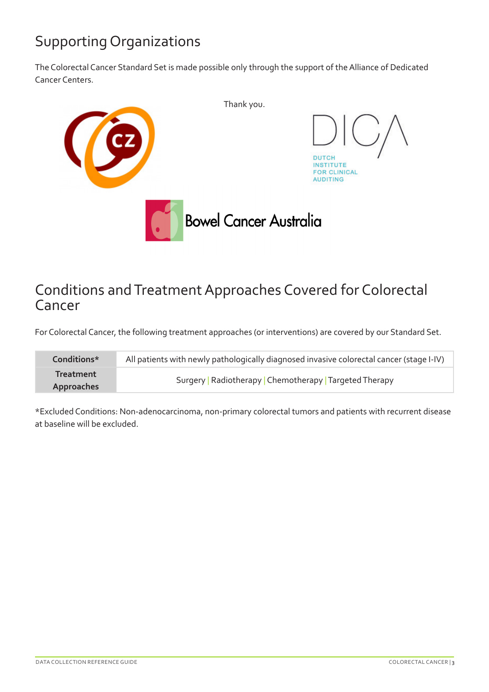## Supporting Organizations

The Colorectal Cancer Standard Set is made possible only through the support of the Alliance of Dedicated Cancer Centers.



### Conditions and Treatment Approaches Covered for Colorectal Cancer

For Colorectal Cancer, the following treatment approaches (or interventions) are covered by our Standard Set.

| Conditions*             | All patients with newly pathologically diagnosed invasive colorectal cancer (stage I-IV) |
|-------------------------|------------------------------------------------------------------------------------------|
| Treatment<br>Approaches | Surgery   Radiotherapy   Chemotherapy   Targeted Therapy                                 |

\*Excluded Conditions: Non-adenocarcinoma, non-primary colorectal tumors and patients with recurrent disease at baseline will be excluded.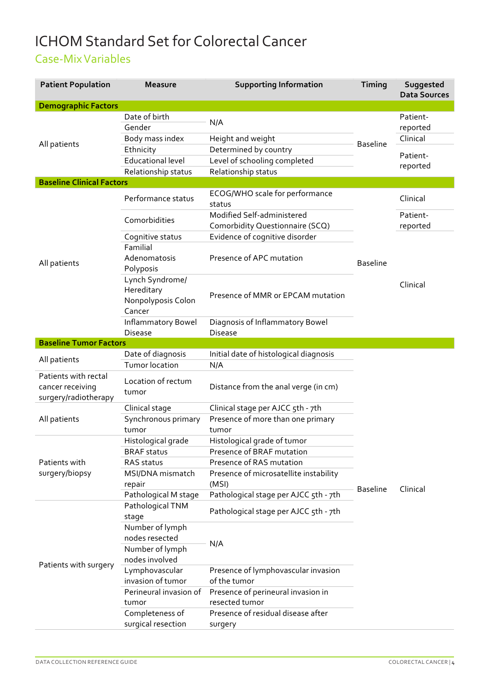# ICHOM Standard Set for Colorectal Cancer

#### Case-Mix Variables

| <b>Patient Population</b>                                        | <b>Measure</b>                                                | <b>Supporting Information</b>                                 | Timing          | Suggested<br><b>Data Sources</b> |
|------------------------------------------------------------------|---------------------------------------------------------------|---------------------------------------------------------------|-----------------|----------------------------------|
| <b>Demographic Factors</b>                                       |                                                               |                                                               |                 |                                  |
|                                                                  | Date of birth<br>Gender                                       | N/A                                                           |                 | Patient-<br>reported             |
|                                                                  | Body mass index                                               | Height and weight                                             |                 | Clinical                         |
| All patients                                                     | Ethnicity                                                     | Determined by country                                         | <b>Baseline</b> |                                  |
|                                                                  | <b>Educational level</b>                                      | Level of schooling completed                                  |                 | Patient-                         |
|                                                                  | Relationship status                                           | Relationship status                                           |                 | reported                         |
| <b>Baseline Clinical Factors</b>                                 |                                                               |                                                               |                 |                                  |
|                                                                  | Performance status                                            | ECOG/WHO scale for performance<br>status                      |                 | Clinical                         |
|                                                                  | Comorbidities                                                 | Modified Self-administered<br>Comorbidity Questionnaire (SCQ) |                 | Patient-<br>reported             |
|                                                                  | Cognitive status                                              | Evidence of cognitive disorder                                |                 |                                  |
|                                                                  | Familial                                                      |                                                               |                 |                                  |
|                                                                  | Adenomatosis                                                  | Presence of APC mutation                                      |                 |                                  |
| All patients                                                     | Polyposis                                                     |                                                               | <b>Baseline</b> |                                  |
|                                                                  | Lynch Syndrome/<br>Hereditary<br>Nonpolyposis Colon<br>Cancer | Presence of MMR or EPCAM mutation                             |                 | Clinical                         |
|                                                                  | Inflammatory Bowel                                            | Diagnosis of Inflammatory Bowel                               |                 |                                  |
|                                                                  | <b>Disease</b>                                                | <b>Disease</b>                                                |                 |                                  |
| <b>Baseline Tumor Factors</b>                                    |                                                               |                                                               |                 |                                  |
|                                                                  | Date of diagnosis                                             | Initial date of histological diagnosis                        |                 |                                  |
| All patients                                                     | Tumor location                                                | N/A                                                           |                 |                                  |
| Patients with rectal<br>cancer receiving<br>surgery/radiotherapy | Location of rectum<br>tumor                                   | Distance from the anal verge (in cm)                          |                 |                                  |
|                                                                  | Clinical stage                                                | Clinical stage per AJCC 5th - 7th                             |                 |                                  |
| All patients                                                     | Synchronous primary                                           | Presence of more than one primary                             |                 |                                  |
|                                                                  | tumor                                                         | tumor                                                         |                 |                                  |
|                                                                  | Histological grade                                            | Histological grade of tumor                                   |                 |                                  |
|                                                                  | <b>BRAF</b> status                                            | Presence of BRAF mutation                                     |                 |                                  |
| Patients with                                                    | RAS status                                                    | Presence of RAS mutation                                      |                 |                                  |
| surgery/biopsy                                                   | MSI/DNA mismatch<br>repair                                    | Presence of microsatellite instability<br>(MSI)               |                 |                                  |
|                                                                  | Pathological M stage                                          | Pathological stage per AJCC 5th - 7th                         | <b>Baseline</b> | Clinical                         |
|                                                                  | Pathological TNM<br>stage                                     | Pathological stage per AJCC 5th - 7th                         |                 |                                  |
|                                                                  | Number of lymph<br>nodes resected                             |                                                               |                 |                                  |
|                                                                  | Number of lymph                                               | N/A                                                           |                 |                                  |
| Patients with surgery                                            | nodes involved                                                |                                                               |                 |                                  |
|                                                                  | Lymphovascular                                                | Presence of lymphovascular invasion                           |                 |                                  |
|                                                                  | invasion of tumor                                             | of the tumor                                                  |                 |                                  |
|                                                                  | Perineural invasion of                                        | Presence of perineural invasion in                            |                 |                                  |
|                                                                  | tumor                                                         | resected tumor                                                |                 |                                  |
|                                                                  | Completeness of<br>surgical resection                         | Presence of residual disease after<br>surgery                 |                 |                                  |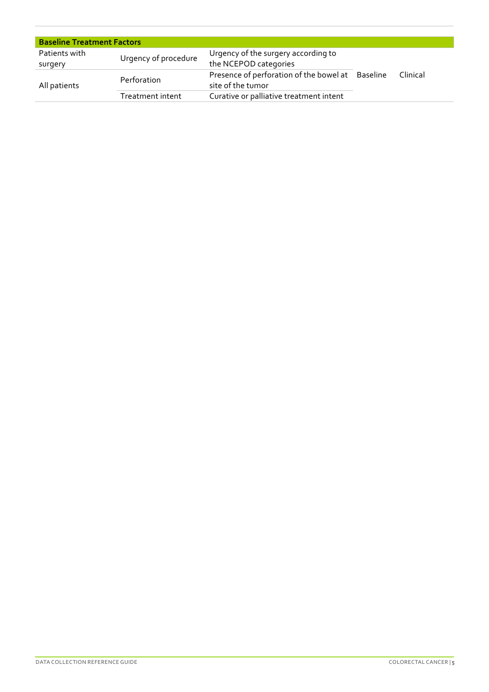| <b>Baseline Treatment Factors</b> |                      |                                                                       |  |          |
|-----------------------------------|----------------------|-----------------------------------------------------------------------|--|----------|
| Patients with<br>surgery          | Urgency of procedure | Urgency of the surgery according to<br>the NCEPOD categories          |  |          |
| All patients                      | Perforation          | Presence of perforation of the bowel at Baseline<br>site of the tumor |  | Clinical |
|                                   | Treatment intent     | Curative or palliative treatment intent                               |  |          |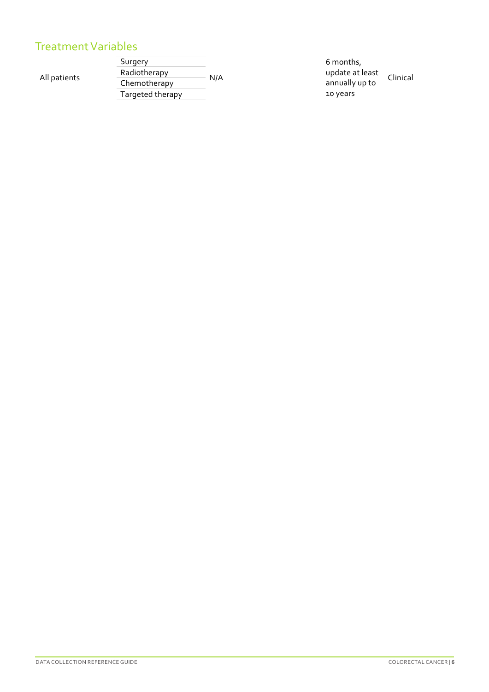## **Patient 
 Population Measure Supporting 
 Information Timing Suggested 
 Data**  Treatment Variables

All patients

Surgery  $-$  N/A update 
 at 
 least 
 Clinical Radiotherapy Chemotherapy Targeted therapy

6 
 months, 
 annually up to 10 
 years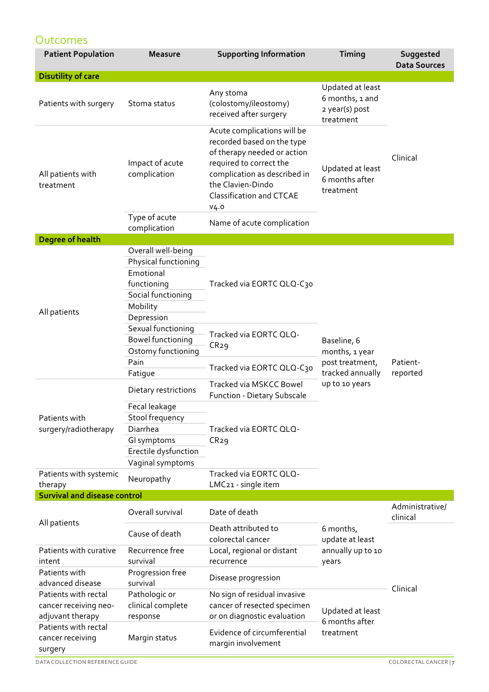#### **Outcomes**

| <b>Patient Population</b>                                         | <b>Measure</b>                                                                                                         | <b>Supporting Information</b>                                                                                                                                                                                          | Timing                                                                                 | Suggested<br><b>Data Sources</b> |
|-------------------------------------------------------------------|------------------------------------------------------------------------------------------------------------------------|------------------------------------------------------------------------------------------------------------------------------------------------------------------------------------------------------------------------|----------------------------------------------------------------------------------------|----------------------------------|
| <b>Disutility of care</b>                                         |                                                                                                                        |                                                                                                                                                                                                                        |                                                                                        |                                  |
| Patients with surgery                                             | Stoma status                                                                                                           | Any stoma<br>(colostomy/ileostomy)<br>received after surgery                                                                                                                                                           | Updated at least<br>6 months, 1 and<br>2 year(s) post<br>treatment                     |                                  |
| All patients with<br>treatment                                    | Impact of acute<br>complication                                                                                        | Acute complications will be<br>recorded based on the type<br>of therapy needed or action<br>required to correct the<br>complication as described in<br>the Clavien-Dindo<br><b>Classification and CTCAE</b><br>$V_4.0$ | Updated at least<br>6 months after<br>treatment                                        | Clinical                         |
|                                                                   | Type of acute<br>complication                                                                                          | Name of acute complication                                                                                                                                                                                             |                                                                                        |                                  |
| <b>Degree of health</b>                                           |                                                                                                                        |                                                                                                                                                                                                                        |                                                                                        |                                  |
| All patients                                                      | Overall well-being<br>Physical functioning<br>Emotional<br>functioning<br>Social functioning<br>Mobility<br>Depression | Tracked via EORTC QLQ-C30                                                                                                                                                                                              |                                                                                        |                                  |
|                                                                   | Sexual functioning<br><b>Bowel functioning</b><br>Ostomy functioning<br>Pain                                           | Tracked via EORTC QLQ-<br>CR29                                                                                                                                                                                         | Baseline, 6<br>months, 1 year<br>post treatment,<br>tracked annually<br>up to 10 years | Patient-<br>reported             |
|                                                                   | Fatigue                                                                                                                | Tracked via EORTC QLQ-C30                                                                                                                                                                                              |                                                                                        |                                  |
| Patients with<br>surgery/radiotherapy                             | Dietary restrictions                                                                                                   | Tracked via MSKCC Bowel<br><b>Function - Dietary Subscale</b>                                                                                                                                                          |                                                                                        |                                  |
|                                                                   | Fecal leakage<br>Stool frequency<br>Diarrhea<br>GI symptoms<br>Erectile dysfunction<br>Vaginal symptoms                | Tracked via EORTC QLQ-<br>CR29                                                                                                                                                                                         |                                                                                        |                                  |
| Patients with systemic<br>therapy                                 | Neuropathy                                                                                                             | Tracked via EORTC QLQ-<br>LMC21 - single item                                                                                                                                                                          |                                                                                        |                                  |
| <b>Survival and disease control</b>                               |                                                                                                                        |                                                                                                                                                                                                                        |                                                                                        |                                  |
|                                                                   | Overall survival                                                                                                       | Date of death                                                                                                                                                                                                          |                                                                                        | Administrative/<br>clinical      |
| All patients                                                      | Cause of death                                                                                                         | Death attributed to<br>colorectal cancer                                                                                                                                                                               | 6 months,<br>update at least                                                           |                                  |
| Patients with curative<br>intent                                  | Recurrence free<br>survival                                                                                            | Local, regional or distant<br>recurrence                                                                                                                                                                               | annually up to 10<br>years                                                             |                                  |
| Patients with<br>advanced disease                                 | Progression free<br>survival                                                                                           | Disease progression                                                                                                                                                                                                    |                                                                                        |                                  |
| Patients with rectal<br>cancer receiving neo-<br>adjuvant therapy | Pathologic or<br>clinical complete<br>response                                                                         | No sign of residual invasive<br>cancer of resected specimen<br>or on diagnostic evaluation                                                                                                                             | Updated at least<br>6 months after                                                     | Clinical                         |
| Patients with rectal<br>cancer receiving<br>surgery               | Margin status                                                                                                          | Evidence of circumferential<br>margin involvement                                                                                                                                                                      | treatment                                                                              |                                  |

DATA COLLECTION REFERENCE GUIDE **COLORECTAL CANCER** | **7**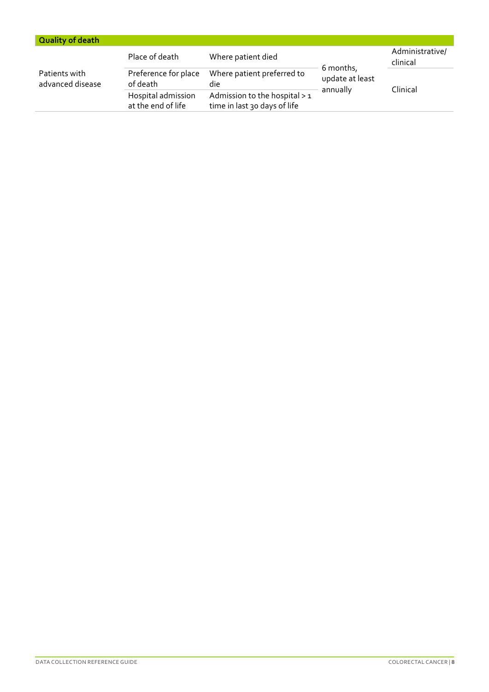| <b>Quality of death</b>           |                                          |                                                               |                                          |                             |
|-----------------------------------|------------------------------------------|---------------------------------------------------------------|------------------------------------------|-----------------------------|
|                                   | Place of death                           | Where patient died                                            |                                          | Administrative/<br>clinical |
| Patients with<br>advanced disease | Preference for place<br>of death         | Where patient preferred to<br>die                             | 6 months,<br>update at least<br>annually |                             |
|                                   | Hospital admission<br>at the end of life | Admission to the hospital > 1<br>time in last 30 days of life |                                          | Clinical                    |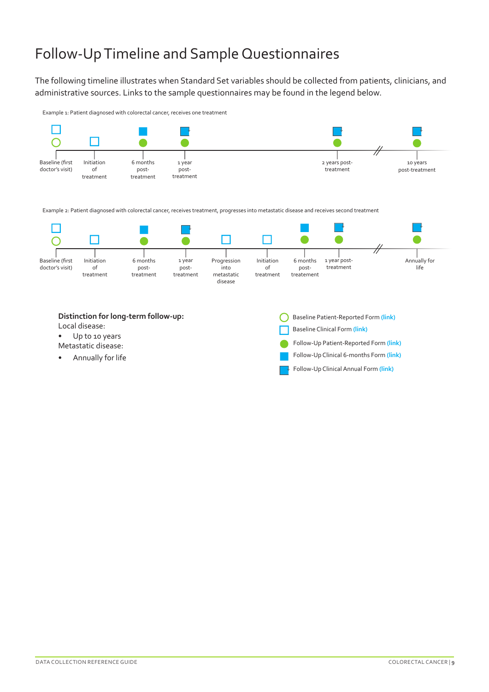# Follow-Up Timeline and Sample Questionnaires

The following timeline illustrates when Standard Set variables should be collected from patients, clinicians, and administrative sources. Links to the sample questionnaires may be found in the legend below.

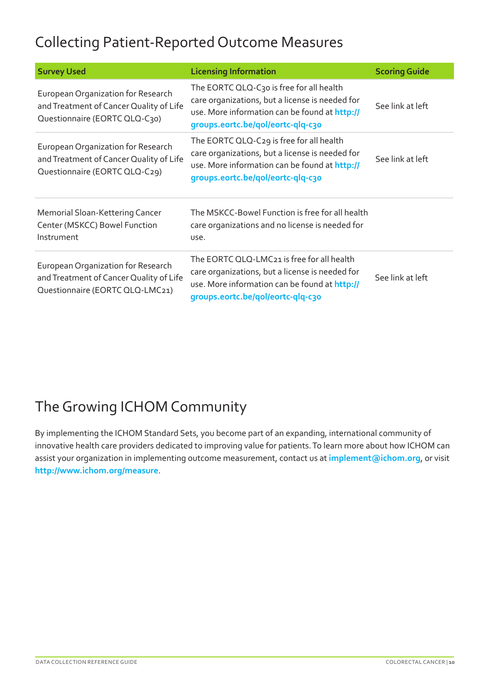## Collecting Patient-Reported Outcome Measures

| <b>Survey Used</b>                                                                                               | <b>Licensing Information</b>                                                                                                                                                        | <b>Scoring Guide</b> |
|------------------------------------------------------------------------------------------------------------------|-------------------------------------------------------------------------------------------------------------------------------------------------------------------------------------|----------------------|
| European Organization for Research<br>and Treatment of Cancer Quality of Life<br>Questionnaire (EORTC QLQ-C30)   | The EORTC QLQ-C30 is free for all health<br>care organizations, but a license is needed for<br>use. More information can be found at http://<br>groups.eortc.be/qol/eortc-qlq-c30   | See link at left     |
| European Organization for Research<br>and Treatment of Cancer Quality of Life<br>Questionnaire (EORTC QLQ-C29)   | The EORTC QLQ-C29 is free for all health<br>care organizations, but a license is needed for<br>use. More information can be found at http://<br>groups.eortc.be/qol/eortc-qlq-c30   | See link at left     |
| Memorial Sloan-Kettering Cancer<br>Center (MSKCC) Bowel Function<br>Instrument                                   | The MSKCC-Bowel Function is free for all health<br>care organizations and no license is needed for<br>use.                                                                          |                      |
| European Organization for Research<br>and Treatment of Cancer Quality of Life<br>Questionnaire (EORTC QLQ-LMC21) | The EORTC QLQ-LMC21 is free for all health<br>care organizations, but a license is needed for<br>use. More information can be found at http://<br>groups.eortc.be/qol/eortc-qlq-c30 | See link at left     |

# The Growing ICHOM Community

By implementing the ICHOM Standard Sets, you become part of an expanding, international community of innovative health care providers dedicated to improving value for patients. To learn more about how ICHOM can assist your organization in implementing outcome measurement, contact us at **[implement@ichom.org](mailto:implement%40ichom.org?subject=)**, or visit **[http://www.ichom.org/](http://www.ichom.org/measure)measure**.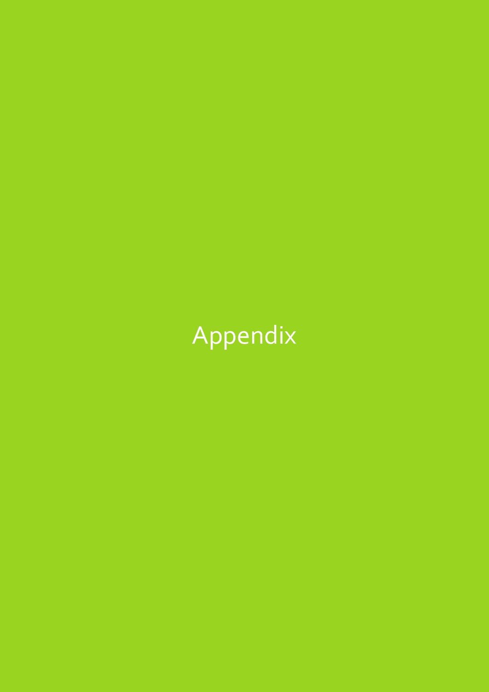# Appendix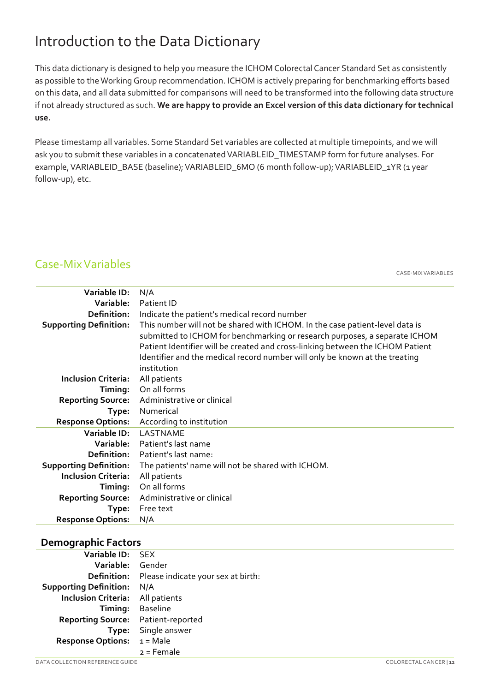## Introduction to the Data Dictionary

This data dictionary is designed to help you measure the ICHOM Colorectal Cancer Standard Set as consistently as possible to the Working Group recommendation. ICHOM is actively preparing for benchmarking efforts based on this data, and all data submitted for comparisons will need to be transformed into the following data structure if not already structured as such. **We are happy to provide an Excel version of this data dictionary for technical use.** 

Please timestamp all variables. Some Standard Set variables are collected at multiple timepoints, and we will ask you to submit these variables in a concatenated VARIABLEID\_TIMESTAMP form for future analyses. For example, VARIABLEID\_BASE (baseline); VARIABLEID\_6MO (6 month follow-up); VARIABLEID\_1YR (1 year follow-up), etc.

#### Case-Mix Variables

CASE-MIX VARIABLES

| Variable ID:                  | N/A                                                                                                                                                                                                                                                                                                                                        |
|-------------------------------|--------------------------------------------------------------------------------------------------------------------------------------------------------------------------------------------------------------------------------------------------------------------------------------------------------------------------------------------|
| Variable:                     | Patient ID                                                                                                                                                                                                                                                                                                                                 |
| Definition:                   | Indicate the patient's medical record number                                                                                                                                                                                                                                                                                               |
| <b>Supporting Definition:</b> | This number will not be shared with ICHOM. In the case patient-level data is<br>submitted to ICHOM for benchmarking or research purposes, a separate ICHOM<br>Patient Identifier will be created and cross-linking between the ICHOM Patient<br>Identifier and the medical record number will only be known at the treating<br>institution |
| <b>Inclusion Criteria:</b>    | All patients                                                                                                                                                                                                                                                                                                                               |
| Timing:                       | On all forms                                                                                                                                                                                                                                                                                                                               |
| <b>Reporting Source:</b>      | Administrative or clinical                                                                                                                                                                                                                                                                                                                 |
| Type:                         | Numerical                                                                                                                                                                                                                                                                                                                                  |
| <b>Response Options:</b>      | According to institution                                                                                                                                                                                                                                                                                                                   |
| Variable ID:                  | LASTNAME                                                                                                                                                                                                                                                                                                                                   |
| Variable:                     | Patient's last name                                                                                                                                                                                                                                                                                                                        |
| Definition:                   | Patient's last name:                                                                                                                                                                                                                                                                                                                       |
| <b>Supporting Definition:</b> | The patients' name will not be shared with ICHOM.                                                                                                                                                                                                                                                                                          |
| <b>Inclusion Criteria:</b>    | All patients                                                                                                                                                                                                                                                                                                                               |
| Timing:                       | On all forms                                                                                                                                                                                                                                                                                                                               |
| <b>Reporting Source:</b>      | Administrative or clinical                                                                                                                                                                                                                                                                                                                 |
| Type:                         | Free text                                                                                                                                                                                                                                                                                                                                  |
| <b>Response Options:</b>      | N/A                                                                                                                                                                                                                                                                                                                                        |

#### **Demographic Factors**

| Variable ID:                  | <b>SFX</b>                         |
|-------------------------------|------------------------------------|
| Variable:                     | Gender                             |
| Definition:                   | Please indicate your sex at birth: |
| <b>Supporting Definition:</b> | N/A                                |
| <b>Inclusion Criteria:</b>    | All patients                       |
| Timing:                       | <b>Baseline</b>                    |
| <b>Reporting Source:</b>      | Patient-reported                   |
| Type:                         | Single answer                      |
| <b>Response Options:</b>      | $1 = Male$                         |
|                               | 2 = Female                         |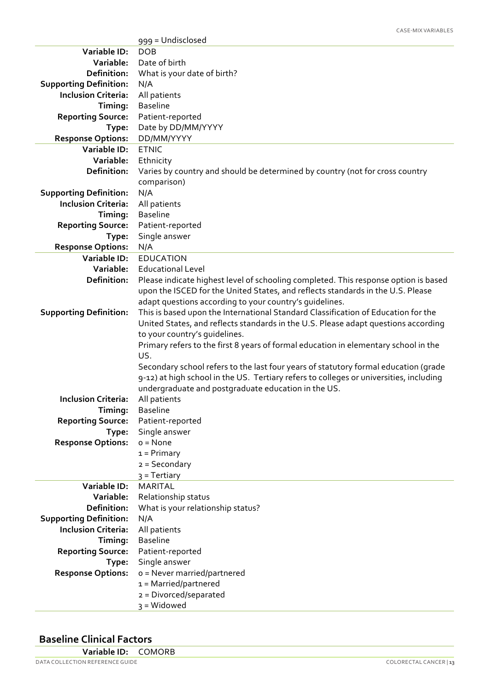|                                                             | 999 = Undisclosed                                                                      |
|-------------------------------------------------------------|----------------------------------------------------------------------------------------|
| Variable ID:                                                | <b>DOB</b>                                                                             |
| Variable:                                                   | Date of birth                                                                          |
| Definition:                                                 | What is your date of birth?                                                            |
| <b>Supporting Definition:</b>                               | N/A                                                                                    |
| <b>Inclusion Criteria:</b>                                  | All patients                                                                           |
| Timing:                                                     | <b>Baseline</b>                                                                        |
| <b>Reporting Source:</b>                                    | Patient-reported                                                                       |
| Type:                                                       | Date by DD/MM/YYYY                                                                     |
| <b>Response Options:</b>                                    | DD/MM/YYYY                                                                             |
| Variable ID:                                                | <b>ETNIC</b>                                                                           |
| Variable:                                                   | Ethnicity                                                                              |
| Definition:                                                 | Varies by country and should be determined by country (not for cross country           |
|                                                             | comparison)                                                                            |
| <b>Supporting Definition:</b>                               | N/A                                                                                    |
| <b>Inclusion Criteria:</b>                                  | All patients                                                                           |
| Timing:                                                     | <b>Baseline</b>                                                                        |
| <b>Reporting Source:</b>                                    | Patient-reported                                                                       |
| Type:                                                       | Single answer                                                                          |
| <b>Response Options:</b>                                    | N/A                                                                                    |
| Variable ID:                                                | <b>EDUCATION</b>                                                                       |
| Variable:                                                   | <b>Educational Level</b>                                                               |
| Definition:                                                 | Please indicate highest level of schooling completed. This response option is based    |
|                                                             | upon the ISCED for the United States, and reflects standards in the U.S. Please        |
|                                                             | adapt questions according to your country's quidelines.                                |
| <b>Supporting Definition:</b>                               | This is based upon the International Standard Classification of Education for the      |
|                                                             | United States, and reflects standards in the U.S. Please adapt questions according     |
|                                                             | to your country's quidelines.                                                          |
|                                                             | Primary refers to the first 8 years of formal education in elementary school in the    |
|                                                             | US.                                                                                    |
|                                                             | Secondary school refers to the last four years of statutory formal education (grade    |
|                                                             | 9-12) at high school in the US. Tertiary refers to colleges or universities, including |
|                                                             | undergraduate and postgraduate education in the US.                                    |
| <b>Inclusion Criteria:</b>                                  | All patients                                                                           |
| Timing:                                                     | <b>Baseline</b>                                                                        |
| <b>Reporting Source:</b>                                    | Patient-reported                                                                       |
| Type:                                                       | Single answer                                                                          |
| <b>Response Options:</b>                                    | $o = None$                                                                             |
|                                                             | $1 = Primary$                                                                          |
|                                                             | $2 =$ Secondary                                                                        |
|                                                             | $3$ = Tertiary                                                                         |
| Variable ID:                                                | <b>MARITAL</b>                                                                         |
| Variable:                                                   | Relationship status                                                                    |
| Definition:                                                 | What is your relationship status?                                                      |
| <b>Supporting Definition:</b><br><b>Inclusion Criteria:</b> | N/A                                                                                    |
|                                                             | All patients                                                                           |
| Timing:                                                     | <b>Baseline</b>                                                                        |
| <b>Reporting Source:</b>                                    | Patient-reported                                                                       |
| Type:                                                       | Single answer                                                                          |
| <b>Response Options:</b>                                    | o = Never married/partnered                                                            |
|                                                             | 1 = Married/partnered                                                                  |
|                                                             | 2 = Divorced/separated                                                                 |
|                                                             | $3 = Widowed$                                                                          |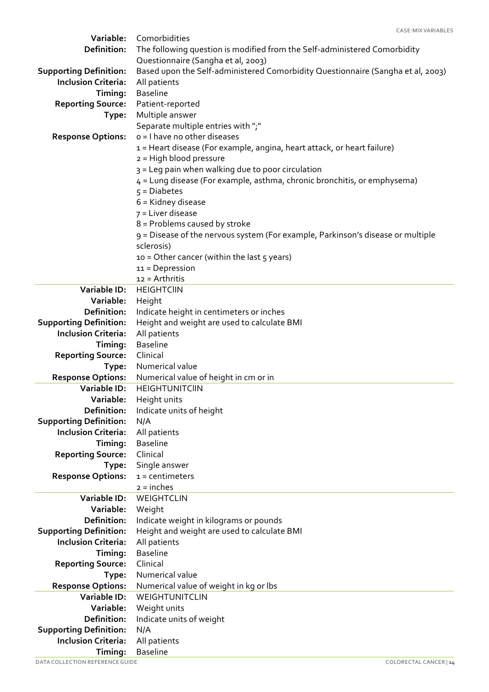| Definition:<br>The following question is modified from the Self-administered Comorbidity<br>Questionnaire (Sangha et al, 2003)<br>Based upon the Self-administered Comorbidity Questionnaire (Sangha et al, 2003)<br><b>Supporting Definition:</b><br><b>Inclusion Criteria:</b><br>All patients<br><b>Baseline</b><br>Timing:<br><b>Reporting Source:</b><br>Patient-reported<br>Multiple answer<br>Type:<br>Separate multiple entries with ";"<br>o = I have no other diseases<br><b>Response Options:</b><br>1 = Heart disease (For example, angina, heart attack, or heart failure)<br>$2 = High blood pressure$<br>3 = Leg pain when walking due to poor circulation<br>4 = Lung disease (For example, asthma, chronic bronchitis, or emphysema)<br>$5 = Diabetes$<br>$6$ = Kidney disease<br>$7$ = Liver disease<br>8 = Problems caused by stroke<br>9 = Disease of the nervous system (For example, Parkinson's disease or multiple<br>sclerosis)<br>10 = Other cancer (within the last 5 years)<br>$11 = Depression$<br>12 = Arthritis<br>Variable ID:<br><b>HEIGHTCIIN</b><br>Variable:<br>Height<br>Definition:<br>Indicate height in centimeters or inches<br><b>Supporting Definition:</b><br>Height and weight are used to calculate BMI<br><b>Inclusion Criteria:</b><br>All patients<br><b>Baseline</b><br>Timing:<br>Clinical<br><b>Reporting Source:</b><br>Numerical value<br>Type:<br><b>Response Options:</b><br>Numerical value of height in cm or in<br>Variable ID:<br><b>HEIGHTUNITCIIN</b><br><b>Variable:</b><br>Height units<br>Definition:<br>Indicate units of height<br><b>Supporting Definition:</b><br>N/A<br><b>Inclusion Criteria:</b><br>All patients<br>Timing:<br><b>Baseline</b><br>Clinical<br><b>Reporting Source:</b><br>Single answer<br>Type:<br>$1 =$ centimeters<br><b>Response Options:</b><br>$2 = inches$<br><b>Variable ID:</b><br>WEIGHTCLIN<br>Variable:<br>Weight<br>Definition:<br>Indicate weight in kilograms or pounds<br><b>Supporting Definition:</b><br>Height and weight are used to calculate BMI<br><b>Inclusion Criteria:</b><br>All patients<br><b>Baseline</b><br>Timing:<br>Clinical<br><b>Reporting Source:</b><br>Numerical value<br>Type:<br><b>Response Options:</b><br>Numerical value of weight in kg or lbs<br>Variable ID:<br>WEIGHTUNITCLIN<br>Variable:<br>Weight units<br>Definition:<br>Indicate units of weight<br><b>Supporting Definition:</b><br>N/A<br><b>Inclusion Criteria:</b><br>All patients | Variable: | CASE-MIX VARIABLES<br>Comorbidities |
|--------------------------------------------------------------------------------------------------------------------------------------------------------------------------------------------------------------------------------------------------------------------------------------------------------------------------------------------------------------------------------------------------------------------------------------------------------------------------------------------------------------------------------------------------------------------------------------------------------------------------------------------------------------------------------------------------------------------------------------------------------------------------------------------------------------------------------------------------------------------------------------------------------------------------------------------------------------------------------------------------------------------------------------------------------------------------------------------------------------------------------------------------------------------------------------------------------------------------------------------------------------------------------------------------------------------------------------------------------------------------------------------------------------------------------------------------------------------------------------------------------------------------------------------------------------------------------------------------------------------------------------------------------------------------------------------------------------------------------------------------------------------------------------------------------------------------------------------------------------------------------------------------------------------------------------------------------------------------------------------------------------------------------------------------------------------------------------------------------------------------------------------------------------------------------------------------------------------------------------------------------------------------------------------------------------------------------------------------------------------------------------------------------------------------------------------------------------------------------------|-----------|-------------------------------------|
|                                                                                                                                                                                                                                                                                                                                                                                                                                                                                                                                                                                                                                                                                                                                                                                                                                                                                                                                                                                                                                                                                                                                                                                                                                                                                                                                                                                                                                                                                                                                                                                                                                                                                                                                                                                                                                                                                                                                                                                                                                                                                                                                                                                                                                                                                                                                                                                                                                                                                      |           |                                     |
|                                                                                                                                                                                                                                                                                                                                                                                                                                                                                                                                                                                                                                                                                                                                                                                                                                                                                                                                                                                                                                                                                                                                                                                                                                                                                                                                                                                                                                                                                                                                                                                                                                                                                                                                                                                                                                                                                                                                                                                                                                                                                                                                                                                                                                                                                                                                                                                                                                                                                      |           |                                     |
|                                                                                                                                                                                                                                                                                                                                                                                                                                                                                                                                                                                                                                                                                                                                                                                                                                                                                                                                                                                                                                                                                                                                                                                                                                                                                                                                                                                                                                                                                                                                                                                                                                                                                                                                                                                                                                                                                                                                                                                                                                                                                                                                                                                                                                                                                                                                                                                                                                                                                      |           |                                     |
|                                                                                                                                                                                                                                                                                                                                                                                                                                                                                                                                                                                                                                                                                                                                                                                                                                                                                                                                                                                                                                                                                                                                                                                                                                                                                                                                                                                                                                                                                                                                                                                                                                                                                                                                                                                                                                                                                                                                                                                                                                                                                                                                                                                                                                                                                                                                                                                                                                                                                      |           |                                     |
|                                                                                                                                                                                                                                                                                                                                                                                                                                                                                                                                                                                                                                                                                                                                                                                                                                                                                                                                                                                                                                                                                                                                                                                                                                                                                                                                                                                                                                                                                                                                                                                                                                                                                                                                                                                                                                                                                                                                                                                                                                                                                                                                                                                                                                                                                                                                                                                                                                                                                      |           |                                     |
|                                                                                                                                                                                                                                                                                                                                                                                                                                                                                                                                                                                                                                                                                                                                                                                                                                                                                                                                                                                                                                                                                                                                                                                                                                                                                                                                                                                                                                                                                                                                                                                                                                                                                                                                                                                                                                                                                                                                                                                                                                                                                                                                                                                                                                                                                                                                                                                                                                                                                      |           |                                     |
|                                                                                                                                                                                                                                                                                                                                                                                                                                                                                                                                                                                                                                                                                                                                                                                                                                                                                                                                                                                                                                                                                                                                                                                                                                                                                                                                                                                                                                                                                                                                                                                                                                                                                                                                                                                                                                                                                                                                                                                                                                                                                                                                                                                                                                                                                                                                                                                                                                                                                      |           |                                     |
|                                                                                                                                                                                                                                                                                                                                                                                                                                                                                                                                                                                                                                                                                                                                                                                                                                                                                                                                                                                                                                                                                                                                                                                                                                                                                                                                                                                                                                                                                                                                                                                                                                                                                                                                                                                                                                                                                                                                                                                                                                                                                                                                                                                                                                                                                                                                                                                                                                                                                      |           |                                     |
|                                                                                                                                                                                                                                                                                                                                                                                                                                                                                                                                                                                                                                                                                                                                                                                                                                                                                                                                                                                                                                                                                                                                                                                                                                                                                                                                                                                                                                                                                                                                                                                                                                                                                                                                                                                                                                                                                                                                                                                                                                                                                                                                                                                                                                                                                                                                                                                                                                                                                      |           |                                     |
|                                                                                                                                                                                                                                                                                                                                                                                                                                                                                                                                                                                                                                                                                                                                                                                                                                                                                                                                                                                                                                                                                                                                                                                                                                                                                                                                                                                                                                                                                                                                                                                                                                                                                                                                                                                                                                                                                                                                                                                                                                                                                                                                                                                                                                                                                                                                                                                                                                                                                      |           |                                     |
|                                                                                                                                                                                                                                                                                                                                                                                                                                                                                                                                                                                                                                                                                                                                                                                                                                                                                                                                                                                                                                                                                                                                                                                                                                                                                                                                                                                                                                                                                                                                                                                                                                                                                                                                                                                                                                                                                                                                                                                                                                                                                                                                                                                                                                                                                                                                                                                                                                                                                      |           |                                     |
|                                                                                                                                                                                                                                                                                                                                                                                                                                                                                                                                                                                                                                                                                                                                                                                                                                                                                                                                                                                                                                                                                                                                                                                                                                                                                                                                                                                                                                                                                                                                                                                                                                                                                                                                                                                                                                                                                                                                                                                                                                                                                                                                                                                                                                                                                                                                                                                                                                                                                      |           |                                     |
|                                                                                                                                                                                                                                                                                                                                                                                                                                                                                                                                                                                                                                                                                                                                                                                                                                                                                                                                                                                                                                                                                                                                                                                                                                                                                                                                                                                                                                                                                                                                                                                                                                                                                                                                                                                                                                                                                                                                                                                                                                                                                                                                                                                                                                                                                                                                                                                                                                                                                      |           |                                     |
|                                                                                                                                                                                                                                                                                                                                                                                                                                                                                                                                                                                                                                                                                                                                                                                                                                                                                                                                                                                                                                                                                                                                                                                                                                                                                                                                                                                                                                                                                                                                                                                                                                                                                                                                                                                                                                                                                                                                                                                                                                                                                                                                                                                                                                                                                                                                                                                                                                                                                      |           |                                     |
|                                                                                                                                                                                                                                                                                                                                                                                                                                                                                                                                                                                                                                                                                                                                                                                                                                                                                                                                                                                                                                                                                                                                                                                                                                                                                                                                                                                                                                                                                                                                                                                                                                                                                                                                                                                                                                                                                                                                                                                                                                                                                                                                                                                                                                                                                                                                                                                                                                                                                      |           |                                     |
|                                                                                                                                                                                                                                                                                                                                                                                                                                                                                                                                                                                                                                                                                                                                                                                                                                                                                                                                                                                                                                                                                                                                                                                                                                                                                                                                                                                                                                                                                                                                                                                                                                                                                                                                                                                                                                                                                                                                                                                                                                                                                                                                                                                                                                                                                                                                                                                                                                                                                      |           |                                     |
|                                                                                                                                                                                                                                                                                                                                                                                                                                                                                                                                                                                                                                                                                                                                                                                                                                                                                                                                                                                                                                                                                                                                                                                                                                                                                                                                                                                                                                                                                                                                                                                                                                                                                                                                                                                                                                                                                                                                                                                                                                                                                                                                                                                                                                                                                                                                                                                                                                                                                      |           |                                     |
|                                                                                                                                                                                                                                                                                                                                                                                                                                                                                                                                                                                                                                                                                                                                                                                                                                                                                                                                                                                                                                                                                                                                                                                                                                                                                                                                                                                                                                                                                                                                                                                                                                                                                                                                                                                                                                                                                                                                                                                                                                                                                                                                                                                                                                                                                                                                                                                                                                                                                      |           |                                     |
|                                                                                                                                                                                                                                                                                                                                                                                                                                                                                                                                                                                                                                                                                                                                                                                                                                                                                                                                                                                                                                                                                                                                                                                                                                                                                                                                                                                                                                                                                                                                                                                                                                                                                                                                                                                                                                                                                                                                                                                                                                                                                                                                                                                                                                                                                                                                                                                                                                                                                      |           |                                     |
|                                                                                                                                                                                                                                                                                                                                                                                                                                                                                                                                                                                                                                                                                                                                                                                                                                                                                                                                                                                                                                                                                                                                                                                                                                                                                                                                                                                                                                                                                                                                                                                                                                                                                                                                                                                                                                                                                                                                                                                                                                                                                                                                                                                                                                                                                                                                                                                                                                                                                      |           |                                     |
|                                                                                                                                                                                                                                                                                                                                                                                                                                                                                                                                                                                                                                                                                                                                                                                                                                                                                                                                                                                                                                                                                                                                                                                                                                                                                                                                                                                                                                                                                                                                                                                                                                                                                                                                                                                                                                                                                                                                                                                                                                                                                                                                                                                                                                                                                                                                                                                                                                                                                      |           |                                     |
|                                                                                                                                                                                                                                                                                                                                                                                                                                                                                                                                                                                                                                                                                                                                                                                                                                                                                                                                                                                                                                                                                                                                                                                                                                                                                                                                                                                                                                                                                                                                                                                                                                                                                                                                                                                                                                                                                                                                                                                                                                                                                                                                                                                                                                                                                                                                                                                                                                                                                      |           |                                     |
|                                                                                                                                                                                                                                                                                                                                                                                                                                                                                                                                                                                                                                                                                                                                                                                                                                                                                                                                                                                                                                                                                                                                                                                                                                                                                                                                                                                                                                                                                                                                                                                                                                                                                                                                                                                                                                                                                                                                                                                                                                                                                                                                                                                                                                                                                                                                                                                                                                                                                      |           |                                     |
|                                                                                                                                                                                                                                                                                                                                                                                                                                                                                                                                                                                                                                                                                                                                                                                                                                                                                                                                                                                                                                                                                                                                                                                                                                                                                                                                                                                                                                                                                                                                                                                                                                                                                                                                                                                                                                                                                                                                                                                                                                                                                                                                                                                                                                                                                                                                                                                                                                                                                      |           |                                     |
|                                                                                                                                                                                                                                                                                                                                                                                                                                                                                                                                                                                                                                                                                                                                                                                                                                                                                                                                                                                                                                                                                                                                                                                                                                                                                                                                                                                                                                                                                                                                                                                                                                                                                                                                                                                                                                                                                                                                                                                                                                                                                                                                                                                                                                                                                                                                                                                                                                                                                      |           |                                     |
|                                                                                                                                                                                                                                                                                                                                                                                                                                                                                                                                                                                                                                                                                                                                                                                                                                                                                                                                                                                                                                                                                                                                                                                                                                                                                                                                                                                                                                                                                                                                                                                                                                                                                                                                                                                                                                                                                                                                                                                                                                                                                                                                                                                                                                                                                                                                                                                                                                                                                      |           |                                     |
|                                                                                                                                                                                                                                                                                                                                                                                                                                                                                                                                                                                                                                                                                                                                                                                                                                                                                                                                                                                                                                                                                                                                                                                                                                                                                                                                                                                                                                                                                                                                                                                                                                                                                                                                                                                                                                                                                                                                                                                                                                                                                                                                                                                                                                                                                                                                                                                                                                                                                      |           |                                     |
|                                                                                                                                                                                                                                                                                                                                                                                                                                                                                                                                                                                                                                                                                                                                                                                                                                                                                                                                                                                                                                                                                                                                                                                                                                                                                                                                                                                                                                                                                                                                                                                                                                                                                                                                                                                                                                                                                                                                                                                                                                                                                                                                                                                                                                                                                                                                                                                                                                                                                      |           |                                     |
|                                                                                                                                                                                                                                                                                                                                                                                                                                                                                                                                                                                                                                                                                                                                                                                                                                                                                                                                                                                                                                                                                                                                                                                                                                                                                                                                                                                                                                                                                                                                                                                                                                                                                                                                                                                                                                                                                                                                                                                                                                                                                                                                                                                                                                                                                                                                                                                                                                                                                      |           |                                     |
|                                                                                                                                                                                                                                                                                                                                                                                                                                                                                                                                                                                                                                                                                                                                                                                                                                                                                                                                                                                                                                                                                                                                                                                                                                                                                                                                                                                                                                                                                                                                                                                                                                                                                                                                                                                                                                                                                                                                                                                                                                                                                                                                                                                                                                                                                                                                                                                                                                                                                      |           |                                     |
|                                                                                                                                                                                                                                                                                                                                                                                                                                                                                                                                                                                                                                                                                                                                                                                                                                                                                                                                                                                                                                                                                                                                                                                                                                                                                                                                                                                                                                                                                                                                                                                                                                                                                                                                                                                                                                                                                                                                                                                                                                                                                                                                                                                                                                                                                                                                                                                                                                                                                      |           |                                     |
|                                                                                                                                                                                                                                                                                                                                                                                                                                                                                                                                                                                                                                                                                                                                                                                                                                                                                                                                                                                                                                                                                                                                                                                                                                                                                                                                                                                                                                                                                                                                                                                                                                                                                                                                                                                                                                                                                                                                                                                                                                                                                                                                                                                                                                                                                                                                                                                                                                                                                      |           |                                     |
|                                                                                                                                                                                                                                                                                                                                                                                                                                                                                                                                                                                                                                                                                                                                                                                                                                                                                                                                                                                                                                                                                                                                                                                                                                                                                                                                                                                                                                                                                                                                                                                                                                                                                                                                                                                                                                                                                                                                                                                                                                                                                                                                                                                                                                                                                                                                                                                                                                                                                      |           |                                     |
|                                                                                                                                                                                                                                                                                                                                                                                                                                                                                                                                                                                                                                                                                                                                                                                                                                                                                                                                                                                                                                                                                                                                                                                                                                                                                                                                                                                                                                                                                                                                                                                                                                                                                                                                                                                                                                                                                                                                                                                                                                                                                                                                                                                                                                                                                                                                                                                                                                                                                      |           |                                     |
|                                                                                                                                                                                                                                                                                                                                                                                                                                                                                                                                                                                                                                                                                                                                                                                                                                                                                                                                                                                                                                                                                                                                                                                                                                                                                                                                                                                                                                                                                                                                                                                                                                                                                                                                                                                                                                                                                                                                                                                                                                                                                                                                                                                                                                                                                                                                                                                                                                                                                      |           |                                     |
|                                                                                                                                                                                                                                                                                                                                                                                                                                                                                                                                                                                                                                                                                                                                                                                                                                                                                                                                                                                                                                                                                                                                                                                                                                                                                                                                                                                                                                                                                                                                                                                                                                                                                                                                                                                                                                                                                                                                                                                                                                                                                                                                                                                                                                                                                                                                                                                                                                                                                      |           |                                     |
|                                                                                                                                                                                                                                                                                                                                                                                                                                                                                                                                                                                                                                                                                                                                                                                                                                                                                                                                                                                                                                                                                                                                                                                                                                                                                                                                                                                                                                                                                                                                                                                                                                                                                                                                                                                                                                                                                                                                                                                                                                                                                                                                                                                                                                                                                                                                                                                                                                                                                      |           |                                     |
|                                                                                                                                                                                                                                                                                                                                                                                                                                                                                                                                                                                                                                                                                                                                                                                                                                                                                                                                                                                                                                                                                                                                                                                                                                                                                                                                                                                                                                                                                                                                                                                                                                                                                                                                                                                                                                                                                                                                                                                                                                                                                                                                                                                                                                                                                                                                                                                                                                                                                      |           |                                     |
|                                                                                                                                                                                                                                                                                                                                                                                                                                                                                                                                                                                                                                                                                                                                                                                                                                                                                                                                                                                                                                                                                                                                                                                                                                                                                                                                                                                                                                                                                                                                                                                                                                                                                                                                                                                                                                                                                                                                                                                                                                                                                                                                                                                                                                                                                                                                                                                                                                                                                      |           |                                     |
|                                                                                                                                                                                                                                                                                                                                                                                                                                                                                                                                                                                                                                                                                                                                                                                                                                                                                                                                                                                                                                                                                                                                                                                                                                                                                                                                                                                                                                                                                                                                                                                                                                                                                                                                                                                                                                                                                                                                                                                                                                                                                                                                                                                                                                                                                                                                                                                                                                                                                      |           |                                     |
|                                                                                                                                                                                                                                                                                                                                                                                                                                                                                                                                                                                                                                                                                                                                                                                                                                                                                                                                                                                                                                                                                                                                                                                                                                                                                                                                                                                                                                                                                                                                                                                                                                                                                                                                                                                                                                                                                                                                                                                                                                                                                                                                                                                                                                                                                                                                                                                                                                                                                      |           |                                     |
|                                                                                                                                                                                                                                                                                                                                                                                                                                                                                                                                                                                                                                                                                                                                                                                                                                                                                                                                                                                                                                                                                                                                                                                                                                                                                                                                                                                                                                                                                                                                                                                                                                                                                                                                                                                                                                                                                                                                                                                                                                                                                                                                                                                                                                                                                                                                                                                                                                                                                      |           |                                     |
|                                                                                                                                                                                                                                                                                                                                                                                                                                                                                                                                                                                                                                                                                                                                                                                                                                                                                                                                                                                                                                                                                                                                                                                                                                                                                                                                                                                                                                                                                                                                                                                                                                                                                                                                                                                                                                                                                                                                                                                                                                                                                                                                                                                                                                                                                                                                                                                                                                                                                      |           |                                     |
|                                                                                                                                                                                                                                                                                                                                                                                                                                                                                                                                                                                                                                                                                                                                                                                                                                                                                                                                                                                                                                                                                                                                                                                                                                                                                                                                                                                                                                                                                                                                                                                                                                                                                                                                                                                                                                                                                                                                                                                                                                                                                                                                                                                                                                                                                                                                                                                                                                                                                      |           |                                     |
|                                                                                                                                                                                                                                                                                                                                                                                                                                                                                                                                                                                                                                                                                                                                                                                                                                                                                                                                                                                                                                                                                                                                                                                                                                                                                                                                                                                                                                                                                                                                                                                                                                                                                                                                                                                                                                                                                                                                                                                                                                                                                                                                                                                                                                                                                                                                                                                                                                                                                      |           |                                     |
|                                                                                                                                                                                                                                                                                                                                                                                                                                                                                                                                                                                                                                                                                                                                                                                                                                                                                                                                                                                                                                                                                                                                                                                                                                                                                                                                                                                                                                                                                                                                                                                                                                                                                                                                                                                                                                                                                                                                                                                                                                                                                                                                                                                                                                                                                                                                                                                                                                                                                      |           |                                     |
|                                                                                                                                                                                                                                                                                                                                                                                                                                                                                                                                                                                                                                                                                                                                                                                                                                                                                                                                                                                                                                                                                                                                                                                                                                                                                                                                                                                                                                                                                                                                                                                                                                                                                                                                                                                                                                                                                                                                                                                                                                                                                                                                                                                                                                                                                                                                                                                                                                                                                      |           |                                     |
|                                                                                                                                                                                                                                                                                                                                                                                                                                                                                                                                                                                                                                                                                                                                                                                                                                                                                                                                                                                                                                                                                                                                                                                                                                                                                                                                                                                                                                                                                                                                                                                                                                                                                                                                                                                                                                                                                                                                                                                                                                                                                                                                                                                                                                                                                                                                                                                                                                                                                      |           |                                     |
|                                                                                                                                                                                                                                                                                                                                                                                                                                                                                                                                                                                                                                                                                                                                                                                                                                                                                                                                                                                                                                                                                                                                                                                                                                                                                                                                                                                                                                                                                                                                                                                                                                                                                                                                                                                                                                                                                                                                                                                                                                                                                                                                                                                                                                                                                                                                                                                                                                                                                      |           |                                     |
|                                                                                                                                                                                                                                                                                                                                                                                                                                                                                                                                                                                                                                                                                                                                                                                                                                                                                                                                                                                                                                                                                                                                                                                                                                                                                                                                                                                                                                                                                                                                                                                                                                                                                                                                                                                                                                                                                                                                                                                                                                                                                                                                                                                                                                                                                                                                                                                                                                                                                      |           |                                     |
|                                                                                                                                                                                                                                                                                                                                                                                                                                                                                                                                                                                                                                                                                                                                                                                                                                                                                                                                                                                                                                                                                                                                                                                                                                                                                                                                                                                                                                                                                                                                                                                                                                                                                                                                                                                                                                                                                                                                                                                                                                                                                                                                                                                                                                                                                                                                                                                                                                                                                      |           |                                     |
|                                                                                                                                                                                                                                                                                                                                                                                                                                                                                                                                                                                                                                                                                                                                                                                                                                                                                                                                                                                                                                                                                                                                                                                                                                                                                                                                                                                                                                                                                                                                                                                                                                                                                                                                                                                                                                                                                                                                                                                                                                                                                                                                                                                                                                                                                                                                                                                                                                                                                      |           |                                     |
|                                                                                                                                                                                                                                                                                                                                                                                                                                                                                                                                                                                                                                                                                                                                                                                                                                                                                                                                                                                                                                                                                                                                                                                                                                                                                                                                                                                                                                                                                                                                                                                                                                                                                                                                                                                                                                                                                                                                                                                                                                                                                                                                                                                                                                                                                                                                                                                                                                                                                      |           |                                     |
|                                                                                                                                                                                                                                                                                                                                                                                                                                                                                                                                                                                                                                                                                                                                                                                                                                                                                                                                                                                                                                                                                                                                                                                                                                                                                                                                                                                                                                                                                                                                                                                                                                                                                                                                                                                                                                                                                                                                                                                                                                                                                                                                                                                                                                                                                                                                                                                                                                                                                      |           |                                     |
|                                                                                                                                                                                                                                                                                                                                                                                                                                                                                                                                                                                                                                                                                                                                                                                                                                                                                                                                                                                                                                                                                                                                                                                                                                                                                                                                                                                                                                                                                                                                                                                                                                                                                                                                                                                                                                                                                                                                                                                                                                                                                                                                                                                                                                                                                                                                                                                                                                                                                      |           |                                     |
|                                                                                                                                                                                                                                                                                                                                                                                                                                                                                                                                                                                                                                                                                                                                                                                                                                                                                                                                                                                                                                                                                                                                                                                                                                                                                                                                                                                                                                                                                                                                                                                                                                                                                                                                                                                                                                                                                                                                                                                                                                                                                                                                                                                                                                                                                                                                                                                                                                                                                      |           |                                     |
|                                                                                                                                                                                                                                                                                                                                                                                                                                                                                                                                                                                                                                                                                                                                                                                                                                                                                                                                                                                                                                                                                                                                                                                                                                                                                                                                                                                                                                                                                                                                                                                                                                                                                                                                                                                                                                                                                                                                                                                                                                                                                                                                                                                                                                                                                                                                                                                                                                                                                      |           |                                     |
|                                                                                                                                                                                                                                                                                                                                                                                                                                                                                                                                                                                                                                                                                                                                                                                                                                                                                                                                                                                                                                                                                                                                                                                                                                                                                                                                                                                                                                                                                                                                                                                                                                                                                                                                                                                                                                                                                                                                                                                                                                                                                                                                                                                                                                                                                                                                                                                                                                                                                      |           |                                     |
|                                                                                                                                                                                                                                                                                                                                                                                                                                                                                                                                                                                                                                                                                                                                                                                                                                                                                                                                                                                                                                                                                                                                                                                                                                                                                                                                                                                                                                                                                                                                                                                                                                                                                                                                                                                                                                                                                                                                                                                                                                                                                                                                                                                                                                                                                                                                                                                                                                                                                      |           |                                     |
|                                                                                                                                                                                                                                                                                                                                                                                                                                                                                                                                                                                                                                                                                                                                                                                                                                                                                                                                                                                                                                                                                                                                                                                                                                                                                                                                                                                                                                                                                                                                                                                                                                                                                                                                                                                                                                                                                                                                                                                                                                                                                                                                                                                                                                                                                                                                                                                                                                                                                      | Timing:   | <b>Baseline</b>                     |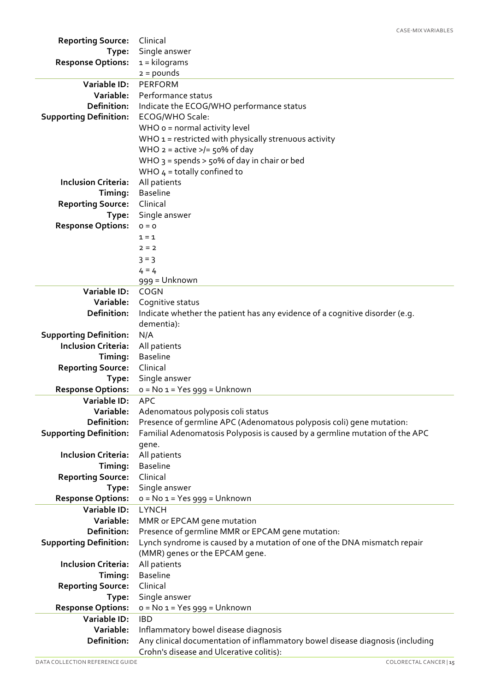| <b>Reporting Source:</b>            | Clinical                                                                                                              |
|-------------------------------------|-----------------------------------------------------------------------------------------------------------------------|
| Type:                               | Single answer                                                                                                         |
| <b>Response Options:</b>            | $1 =$ kilograms                                                                                                       |
|                                     | $2 = pounds$                                                                                                          |
| Variable ID:                        | <b>PERFORM</b>                                                                                                        |
| Variable:                           | Performance status                                                                                                    |
| Definition:                         | Indicate the ECOG/WHO performance status                                                                              |
| <b>Supporting Definition:</b>       | ECOG/WHO Scale:                                                                                                       |
|                                     | WHO o = normal activity level                                                                                         |
|                                     | WHO $1$ = restricted with physically strenuous activity                                                               |
|                                     | WHO $2 =$ active $>$ /= 50% of day                                                                                    |
|                                     | WHO $3 =$ spends > $50\%$ of day in chair or bed                                                                      |
|                                     | WHO $4 =$ totally confined to                                                                                         |
| <b>Inclusion Criteria:</b>          | All patients                                                                                                          |
| Timing:                             | <b>Baseline</b>                                                                                                       |
| <b>Reporting Source:</b>            | Clinical                                                                                                              |
| Type:                               | Single answer                                                                                                         |
| <b>Response Options:</b>            | $0 = 0$                                                                                                               |
|                                     | $1 = 1$                                                                                                               |
|                                     | $2 = 2$                                                                                                               |
|                                     | $3 = 3$                                                                                                               |
|                                     | $4 = 4$                                                                                                               |
|                                     | 999 = Unknown                                                                                                         |
| Variable ID:                        | <b>COGN</b>                                                                                                           |
| Variable:                           | Cognitive status                                                                                                      |
| Definition:                         | Indicate whether the patient has any evidence of a cognitive disorder (e.g.                                           |
|                                     | dementia):                                                                                                            |
| <b>Supporting Definition:</b>       | N/A                                                                                                                   |
| <b>Inclusion Criteria:</b>          | All patients<br><b>Baseline</b>                                                                                       |
| Timing:<br><b>Reporting Source:</b> | Clinical                                                                                                              |
| Type:                               | Single answer                                                                                                         |
| <b>Response Options:</b>            | $o = No$ 1 = Yes 999 = Unknown                                                                                        |
| Variable ID:                        | APC                                                                                                                   |
| Variable:                           | Adenomatous polyposis coli status                                                                                     |
| <b>Definition:</b>                  | Presence of germline APC (Adenomatous polyposis coli) gene mutation:                                                  |
| <b>Supporting Definition:</b>       | Familial Adenomatosis Polyposis is caused by a germline mutation of the APC                                           |
|                                     | gene.                                                                                                                 |
| <b>Inclusion Criteria:</b>          | All patients                                                                                                          |
| Timing:                             | <b>Baseline</b>                                                                                                       |
| <b>Reporting Source:</b>            | Clinical                                                                                                              |
| Type:                               | Single answer                                                                                                         |
| <b>Response Options:</b>            | $o = No 1 = Yes$ 999 = Unknown                                                                                        |
| Variable ID:                        | <b>LYNCH</b>                                                                                                          |
| Variable:                           | MMR or EPCAM gene mutation                                                                                            |
| <b>Definition:</b>                  | Presence of germline MMR or EPCAM gene mutation:                                                                      |
| <b>Supporting Definition:</b>       | Lynch syndrome is caused by a mutation of one of the DNA mismatch repair                                              |
|                                     | (MMR) genes or the EPCAM gene.                                                                                        |
| <b>Inclusion Criteria:</b>          | All patients                                                                                                          |
| Timing:                             | <b>Baseline</b>                                                                                                       |
| <b>Reporting Source:</b>            | Clinical                                                                                                              |
| Type:                               | Single answer                                                                                                         |
| <b>Response Options:</b>            | $o = No 1 = Yes$ 999 = Unknown                                                                                        |
| Variable ID:<br>Variable:           | <b>IBD</b>                                                                                                            |
| <b>Definition:</b>                  | Inflammatory bowel disease diagnosis<br>Any clinical documentation of inflammatory bowel disease diagnosis (including |
|                                     | Crohn's disease and Ulcerative colitis):                                                                              |

CASE-MIX VARIABLES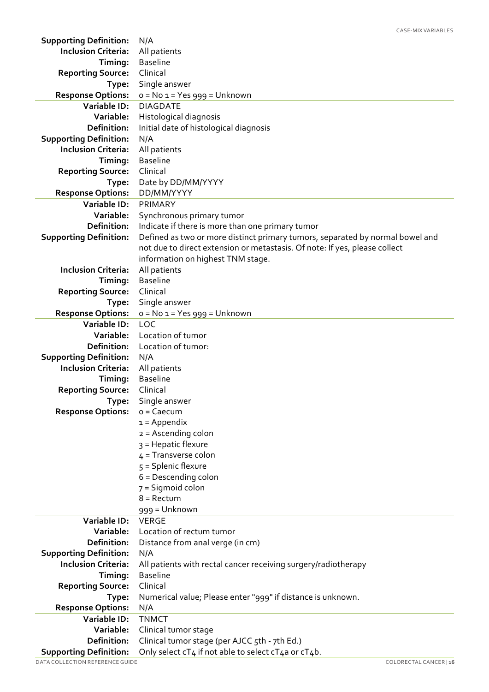| <b>Supporting Definition:</b>                               | N/A                                                                           |
|-------------------------------------------------------------|-------------------------------------------------------------------------------|
| <b>Inclusion Criteria:</b>                                  | All patients                                                                  |
| Timing:                                                     | <b>Baseline</b>                                                               |
| <b>Reporting Source:</b>                                    | Clinical                                                                      |
| Type:                                                       | Single answer                                                                 |
| <b>Response Options:</b>                                    | $o = No 1 = Yes$ 999 = Unknown                                                |
| <b>Variable ID:</b>                                         | <b>DIAGDATE</b>                                                               |
| Variable:                                                   | Histological diagnosis                                                        |
| Definition:                                                 | Initial date of histological diagnosis                                        |
| <b>Supporting Definition:</b>                               | N/A                                                                           |
| <b>Inclusion Criteria:</b>                                  | All patients                                                                  |
| Timing:                                                     | <b>Baseline</b>                                                               |
| <b>Reporting Source:</b>                                    | Clinical                                                                      |
| Type:                                                       | Date by DD/MM/YYYY                                                            |
| <b>Response Options:</b>                                    | DD/MM/YYYY                                                                    |
| <b>Variable ID:</b>                                         | PRIMARY                                                                       |
| Variable:                                                   | Synchronous primary tumor                                                     |
| <b>Definition:</b>                                          | Indicate if there is more than one primary tumor                              |
| <b>Supporting Definition:</b>                               | Defined as two or more distinct primary tumors, separated by normal bowel and |
|                                                             | not due to direct extension or metastasis. Of note: If yes, please collect    |
|                                                             | information on highest TNM stage.                                             |
| <b>Inclusion Criteria:</b>                                  | All patients                                                                  |
| Timing:                                                     | <b>Baseline</b>                                                               |
| <b>Reporting Source:</b>                                    | Clinical                                                                      |
|                                                             | Single answer                                                                 |
| Type:<br><b>Response Options:</b>                           | $o = No 1 = Yes$ 999 = Unknown                                                |
| Variable ID:                                                | <b>LOC</b>                                                                    |
| Variable:                                                   | Location of tumor                                                             |
| <b>Definition:</b>                                          | Location of tumor:                                                            |
|                                                             |                                                                               |
| <b>Supporting Definition:</b><br><b>Inclusion Criteria:</b> | N/A                                                                           |
|                                                             | All patients                                                                  |
| Timing:                                                     | <b>Baseline</b>                                                               |
| <b>Reporting Source:</b>                                    | Clinical                                                                      |
| Type:                                                       | Single answer                                                                 |
| <b>Response Options:</b>                                    | $o = Caecum$                                                                  |
|                                                             | $1 = Appendix$                                                                |
|                                                             | $2 =$ Ascending colon                                                         |
|                                                             | 3 = Hepatic flexure                                                           |
|                                                             | $4$ = Transverse colon                                                        |
|                                                             | $5 =$ Splenic flexure                                                         |
|                                                             | $6$ = Descending colon                                                        |
|                                                             | 7 = Sigmoid colon                                                             |
|                                                             | $8 =$ Rectum                                                                  |
|                                                             | 999 = Unknown                                                                 |
| Variable ID:                                                | <b>VERGE</b>                                                                  |
| Variable:                                                   | Location of rectum tumor                                                      |
| Definition:                                                 | Distance from anal verge (in cm)                                              |
| <b>Supporting Definition:</b>                               | N/A                                                                           |
| <b>Inclusion Criteria:</b>                                  | All patients with rectal cancer receiving surgery/radiotherapy                |
| Timing:                                                     | <b>Baseline</b>                                                               |
| <b>Reporting Source:</b>                                    | Clinical                                                                      |
| Type:                                                       | Numerical value; Please enter "999" if distance is unknown.                   |
| <b>Response Options:</b>                                    | N/A                                                                           |
| Variable ID:                                                | <b>TNMCT</b>                                                                  |
| Variable:                                                   | Clinical tumor stage                                                          |
| Definition:                                                 | Clinical tumor stage (per AJCC 5th - 7th Ed.)                                 |
| <b>Supporting Definition:</b>                               | Only select cT4 if not able to select cT4a or cT4b.                           |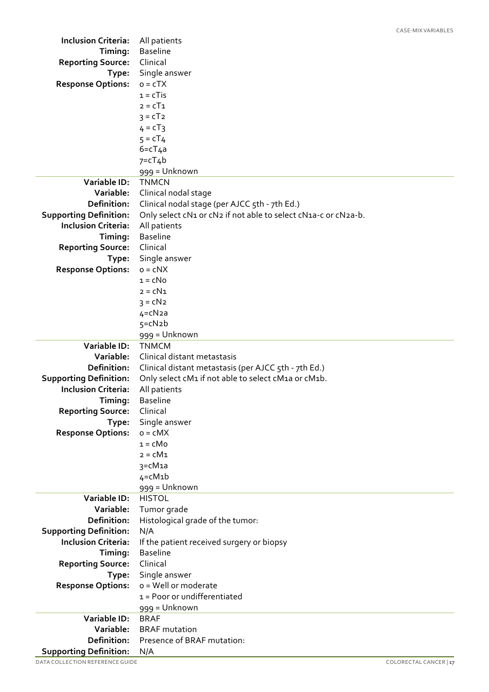| <b>Inclusion Criteria:</b>                                  | All patients                                                   |
|-------------------------------------------------------------|----------------------------------------------------------------|
| Timing:                                                     | <b>Baseline</b>                                                |
| <b>Reporting Source:</b>                                    | Clinical                                                       |
| Type:                                                       | Single answer                                                  |
| <b>Response Options:</b>                                    | $o = cTX$                                                      |
|                                                             | $1 = c$ Tis                                                    |
|                                                             | $2 = cT1$                                                      |
|                                                             | $3 = cT2$                                                      |
|                                                             | $4 = cT_3$                                                     |
|                                                             | $5 = cT4$                                                      |
|                                                             | $6 = cT4a$                                                     |
|                                                             | $7 = cT_4b$                                                    |
|                                                             | 999 = Unknown                                                  |
| <b>Variable ID:</b>                                         | <b>TNMCN</b>                                                   |
| Variable:                                                   | Clinical nodal stage                                           |
| Definition:                                                 | Clinical nodal stage (per AJCC 5th - 7th Ed.)                  |
| <b>Supporting Definition:</b>                               | Only select cN1 or cN2 if not able to select cN1a-c or cN2a-b. |
| <b>Inclusion Criteria:</b>                                  | All patients                                                   |
| Timing:                                                     | <b>Baseline</b>                                                |
| <b>Reporting Source:</b>                                    | Clinical                                                       |
| Type:                                                       | Single answer                                                  |
| <b>Response Options:</b>                                    | $o = c$ NX                                                     |
|                                                             | $1 = cN0$                                                      |
|                                                             | $2 = cN1$                                                      |
|                                                             | $3 = cN2$                                                      |
|                                                             | $4 = cN2a$                                                     |
|                                                             | $5 = cN2b$                                                     |
|                                                             | 999 = Unknown                                                  |
| <b>Variable ID:</b>                                         | <b>TNMCM</b>                                                   |
| Variable:                                                   | Clinical distant metastasis                                    |
| <b>Definition:</b>                                          | Clinical distant metastasis (per AJCC 5th - 7th Ed.)           |
| <b>Supporting Definition:</b><br><b>Inclusion Criteria:</b> | Only select cM1 if not able to select cM1a or cM1b.            |
| Timing:                                                     | All patients                                                   |
|                                                             | <b>Baseline</b>                                                |
| <b>Reporting Source:</b>                                    | Clinical                                                       |
| Type:                                                       | Single answer<br>$o = cMX$                                     |
| <b>Response Options:</b>                                    | $1 = cM0$                                                      |
|                                                             | $2 = cM1$                                                      |
|                                                             | 3=cM1a                                                         |
|                                                             | $4 = cM1b$                                                     |
|                                                             | 999 = Unknown                                                  |
| <b>Variable ID:</b>                                         | <b>HISTOL</b>                                                  |
| Variable:                                                   | Tumor grade                                                    |
| <b>Definition:</b>                                          | Histological grade of the tumor:                               |
| <b>Supporting Definition:</b>                               | N/A                                                            |
| <b>Inclusion Criteria:</b>                                  | If the patient received surgery or biopsy                      |
| Timing:                                                     | <b>Baseline</b>                                                |
| <b>Reporting Source:</b>                                    | Clinical                                                       |
| Type:                                                       | Single answer                                                  |
| <b>Response Options:</b>                                    | o = Well or moderate                                           |
|                                                             | 1 = Poor or undifferentiated                                   |
|                                                             | 999 = Unknown                                                  |
| <b>Variable ID:</b>                                         | <b>BRAF</b>                                                    |
| Variable:                                                   | <b>BRAF</b> mutation                                           |
| <b>Definition:</b>                                          | Presence of BRAF mutation:                                     |
| <b>Supporting Definition:</b>                               | N/A                                                            |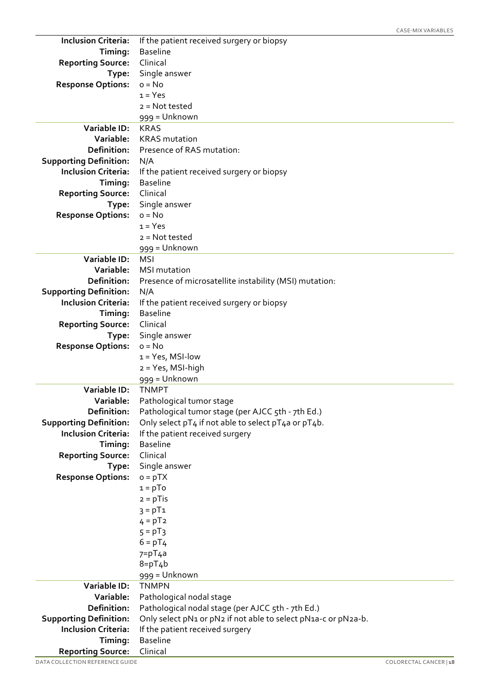| <b>Inclusion Criteria:</b>        | If the patient received surgery or biopsy                      |
|-----------------------------------|----------------------------------------------------------------|
| Timing:                           | <b>Baseline</b>                                                |
| <b>Reporting Source:</b>          | Clinical                                                       |
| Type:                             | Single answer                                                  |
| <b>Response Options:</b>          | $o = No$                                                       |
|                                   | $1 = Yes$                                                      |
|                                   | $2 = Not tested$                                               |
|                                   | 999 = Unknown                                                  |
| <b>Variable ID:</b>               | <b>KRAS</b>                                                    |
| Variable:                         | <b>KRAS</b> mutation                                           |
| Definition:                       | Presence of RAS mutation:                                      |
| <b>Supporting Definition:</b>     | N/A                                                            |
| <b>Inclusion Criteria:</b>        | If the patient received surgery or biopsy                      |
| Timing:                           | <b>Baseline</b>                                                |
| <b>Reporting Source:</b>          | Clinical                                                       |
| Type:                             | Single answer                                                  |
| <b>Response Options:</b>          | $o = No$                                                       |
|                                   | $1 = Yes$                                                      |
|                                   | $2 = Not tested$                                               |
|                                   | 999 = Unknown                                                  |
| Variable ID:                      | <b>MSI</b>                                                     |
| Variable:                         | <b>MSI</b> mutation                                            |
| Definition:                       | Presence of microsatellite instability (MSI) mutation:         |
| <b>Supporting Definition:</b>     | N/A                                                            |
| <b>Inclusion Criteria:</b>        | If the patient received surgery or biopsy                      |
| Timing:                           | <b>Baseline</b>                                                |
| <b>Reporting Source:</b>          | Clinical                                                       |
|                                   | Single answer                                                  |
| Type:<br><b>Response Options:</b> | $o = No$                                                       |
|                                   | $1 = Yes, MSI-low$                                             |
|                                   | 2 = Yes, MSI-high                                              |
|                                   | 999 = Unknown                                                  |
| Variable ID:                      | <b>TNMPT</b>                                                   |
| Variable:                         | Pathological tumor stage                                       |
| Definition:                       | Pathological tumor stage (per AJCC 5th - 7th Ed.)              |
| <b>Supporting Definition:</b>     | Only select pT4 if not able to select pT4a or pT4b.            |
| <b>Inclusion Criteria:</b>        | If the patient received surgery                                |
| Timing:                           | <b>Baseline</b>                                                |
| <b>Reporting Source:</b>          | Clinical                                                       |
| Type:                             | Single answer                                                  |
| <b>Response Options:</b>          | $o = pTX$                                                      |
|                                   | $1 = pTo$                                                      |
|                                   | $2 = pT$ is                                                    |
|                                   | $3 = pT1$                                                      |
|                                   | $4 = pT2$                                                      |
|                                   | $5 = pT_3$                                                     |
|                                   | $6 = pT4$                                                      |
|                                   | $7 = pT4a$                                                     |
|                                   | $8 = pT_4b$                                                    |
|                                   | 999 = Unknown                                                  |
| Variable ID:                      | <b>TNMPN</b>                                                   |
| Variable:                         | Pathological nodal stage                                       |
| Definition:                       | Pathological nodal stage (per AJCC 5th - 7th Ed.)              |
| <b>Supporting Definition:</b>     | Only select pN1 or pN2 if not able to select pN1a-c or pN2a-b. |
| <b>Inclusion Criteria:</b>        | If the patient received surgery                                |
| Timing:                           | <b>Baseline</b>                                                |
| <b>Reporting Source:</b>          | Clinical                                                       |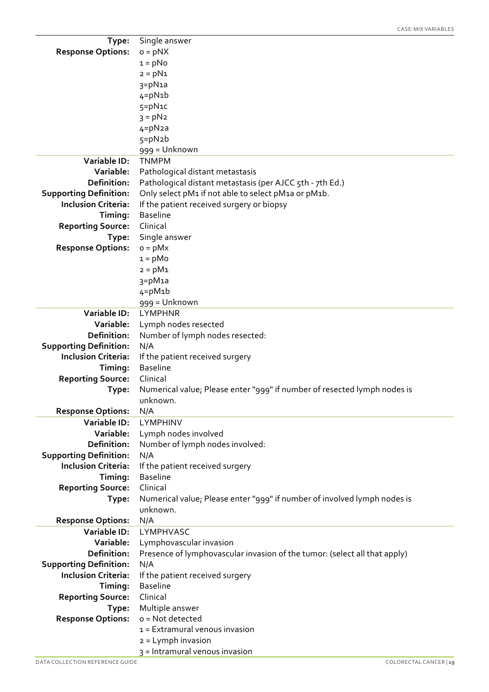| Type:                         | Single answer                                                             |
|-------------------------------|---------------------------------------------------------------------------|
| <b>Response Options:</b>      | $o = pNX$                                                                 |
|                               | $1 = pNo$                                                                 |
|                               | $2 = pN1$                                                                 |
|                               | 3=pN1a                                                                    |
|                               | $4 = pN1b$                                                                |
|                               | 5=pN1c                                                                    |
|                               | $3 = pN2$                                                                 |
|                               | $4 = pN2a$                                                                |
|                               | $5 = pN2b$                                                                |
|                               | 999 = Unknown                                                             |
| <b>Variable ID:</b>           | <b>TNMPM</b>                                                              |
| Variable:                     | Pathological distant metastasis                                           |
| Definition:                   | Pathological distant metastasis (per AJCC 5th - 7th Ed.)                  |
| <b>Supporting Definition:</b> | Only select pM1 if not able to select pM1a or pM1b.                       |
| <b>Inclusion Criteria:</b>    | If the patient received surgery or biopsy                                 |
| Timing:                       | <b>Baseline</b>                                                           |
| <b>Reporting Source:</b>      | Clinical                                                                  |
| Type:                         | Single answer                                                             |
| <b>Response Options:</b>      | $o = pMx$                                                                 |
|                               | $1 = pMo$                                                                 |
|                               | $2 = pM1$                                                                 |
|                               | $3 = pM1a$                                                                |
|                               | $4 = pM1b$                                                                |
|                               |                                                                           |
| <b>Variable ID:</b>           | 999 = Unknown<br><b>LYMPHNR</b>                                           |
| Variable:                     |                                                                           |
|                               | Lymph nodes resected                                                      |
| Definition:                   | Number of lymph nodes resected:                                           |
| <b>Supporting Definition:</b> | N/A                                                                       |
| <b>Inclusion Criteria:</b>    | If the patient received surgery                                           |
| Timing:                       | <b>Baseline</b>                                                           |
| <b>Reporting Source:</b>      | Clinical                                                                  |
| Type:                         | Numerical value; Please enter "999" if number of resected lymph nodes is  |
|                               | unknown.                                                                  |
| <b>Response Options:</b>      | N/A                                                                       |
| <b>Variable ID:</b>           | LYMPHINV                                                                  |
| Variable:                     | Lymph nodes involved                                                      |
| Definition:                   | Number of lymph nodes involved:                                           |
| <b>Supporting Definition:</b> | N/A                                                                       |
| <b>Inclusion Criteria:</b>    | If the patient received surgery                                           |
| Timing:                       | <b>Baseline</b>                                                           |
| <b>Reporting Source:</b>      | Clinical                                                                  |
| Type:                         | Numerical value; Please enter "999" if number of involved lymph nodes is  |
|                               | unknown.                                                                  |
| <b>Response Options:</b>      | N/A                                                                       |
| <b>Variable ID:</b>           | LYMPHVASC                                                                 |
| Variable:                     | Lymphovascular invasion                                                   |
| Definition:                   | Presence of lymphovascular invasion of the tumor: (select all that apply) |
| <b>Supporting Definition:</b> | N/A                                                                       |
| <b>Inclusion Criteria:</b>    | If the patient received surgery                                           |
| Timing:                       | <b>Baseline</b>                                                           |
| <b>Reporting Source:</b>      | Clinical                                                                  |
| Type:                         | Multiple answer                                                           |
| <b>Response Options:</b>      | o = Not detected                                                          |
|                               | $1 =$ Extramural venous invasion                                          |
|                               | 2 = Lymph invasion                                                        |
|                               | 3 = Intramural venous invasion                                            |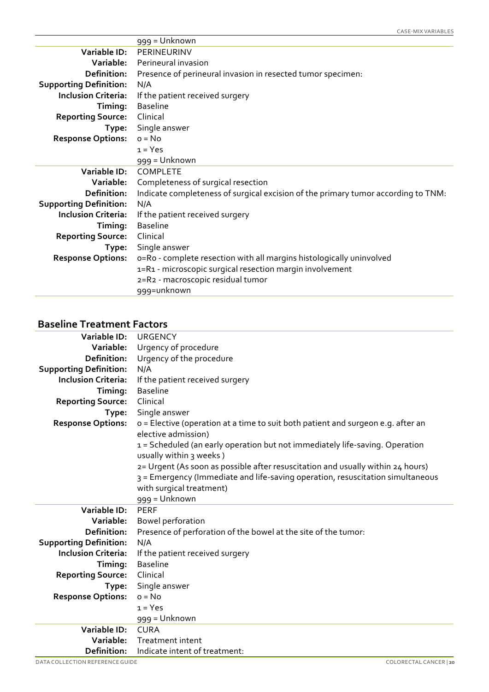|                               | 999 = Unknown                                                                     |
|-------------------------------|-----------------------------------------------------------------------------------|
| Variable ID:                  | PERINEURINV                                                                       |
| Variable:                     | Perineural invasion                                                               |
| Definition:                   | Presence of perineural invasion in resected tumor specimen:                       |
| <b>Supporting Definition:</b> | N/A                                                                               |
| <b>Inclusion Criteria:</b>    | If the patient received surgery                                                   |
| Timing:                       | <b>Baseline</b>                                                                   |
| <b>Reporting Source:</b>      | Clinical                                                                          |
| Type:                         | Single answer                                                                     |
| <b>Response Options:</b>      | $o = No$                                                                          |
|                               | $1 = Yes$                                                                         |
|                               | 999 = Unknown                                                                     |
| Variable ID:                  | COMPLETE                                                                          |
| Variable:                     | Completeness of surgical resection                                                |
| Definition:                   | Indicate completeness of surgical excision of the primary tumor according to TNM: |
| <b>Supporting Definition:</b> | N/A                                                                               |
| <b>Inclusion Criteria:</b>    | If the patient received surgery                                                   |
| Timing:                       | <b>Baseline</b>                                                                   |
| <b>Reporting Source:</b>      | Clinical                                                                          |
| Type:                         | Single answer                                                                     |
| <b>Response Options:</b>      | o=Ro - complete resection with all margins histologically uninvolved              |
|                               | 1=R1 - microscopic surgical resection margin involvement                          |
|                               | 2=R2 - macroscopic residual tumor                                                 |
|                               | 999=unknown                                                                       |

#### **Baseline Treatment Factors**

| Variable ID:                  | URGENCY                                                                                                 |
|-------------------------------|---------------------------------------------------------------------------------------------------------|
| Variable:                     | Urgency of procedure                                                                                    |
| Definition:                   | Urgency of the procedure                                                                                |
| <b>Supporting Definition:</b> | N/A                                                                                                     |
| <b>Inclusion Criteria:</b>    | If the patient received surgery                                                                         |
| Timing:                       | <b>Baseline</b>                                                                                         |
| <b>Reporting Source:</b>      | Clinical                                                                                                |
| Type:                         | Single answer                                                                                           |
| <b>Response Options:</b>      | o = Elective (operation at a time to suit both patient and surgeon e.g. after an<br>elective admission) |
|                               | 1 = Scheduled (an early operation but not immediately life-saving. Operation<br>usually within 3 weeks) |
|                               | 2= Urgent (As soon as possible after resuscitation and usually within 24 hours)                         |
|                               | 3 = Emergency (Immediate and life-saving operation, resuscitation simultaneous                          |
|                               | with surgical treatment)                                                                                |
|                               | 999 = Unknown                                                                                           |
| Variable ID:                  | <b>PERF</b>                                                                                             |
| Variable:                     | Bowel perforation                                                                                       |
| Definition:                   | Presence of perforation of the bowel at the site of the tumor:                                          |
| <b>Supporting Definition:</b> | N/A                                                                                                     |
| <b>Inclusion Criteria:</b>    | If the patient received surgery                                                                         |
| Timing:                       | <b>Baseline</b>                                                                                         |
| <b>Reporting Source:</b>      | Clinical                                                                                                |
| Type:                         | Single answer                                                                                           |
| <b>Response Options:</b>      | $o = No$                                                                                                |
|                               | $1 = Yes$                                                                                               |
|                               | 999 = Unknown                                                                                           |
| Variable ID:                  | <b>CURA</b>                                                                                             |
| Variable:                     |                                                                                                         |
| Definition:                   | Treatment intent<br>Indicate intent of treatment:                                                       |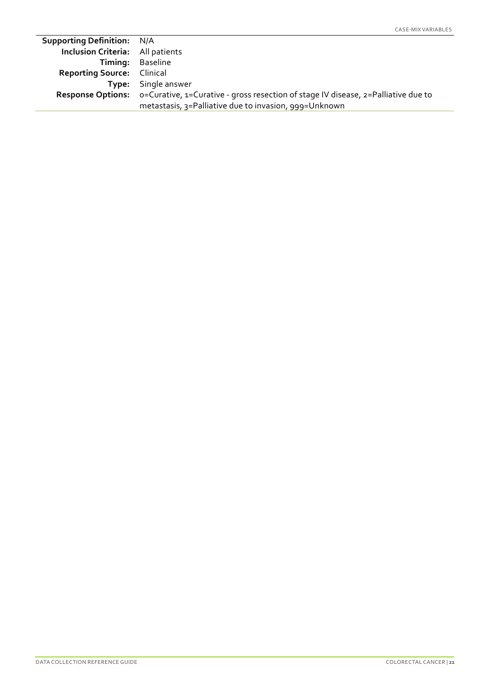| <b>Inclusion Criteria:</b> All patients<br>Timing: Baseline<br><b>Reporting Source:</b> Clinical<br><b>Type:</b> Single answer<br><b>Response Options:</b> o=Curative, 1=Curative - gross resection of stage IV disease, 2=Palliative due to<br>metastasis, 3=Palliative due to invasion, 999=Unknown | <b>Supporting Definition: N/A</b> |  |
|-------------------------------------------------------------------------------------------------------------------------------------------------------------------------------------------------------------------------------------------------------------------------------------------------------|-----------------------------------|--|
|                                                                                                                                                                                                                                                                                                       |                                   |  |
|                                                                                                                                                                                                                                                                                                       |                                   |  |
|                                                                                                                                                                                                                                                                                                       |                                   |  |
|                                                                                                                                                                                                                                                                                                       |                                   |  |
|                                                                                                                                                                                                                                                                                                       |                                   |  |
|                                                                                                                                                                                                                                                                                                       |                                   |  |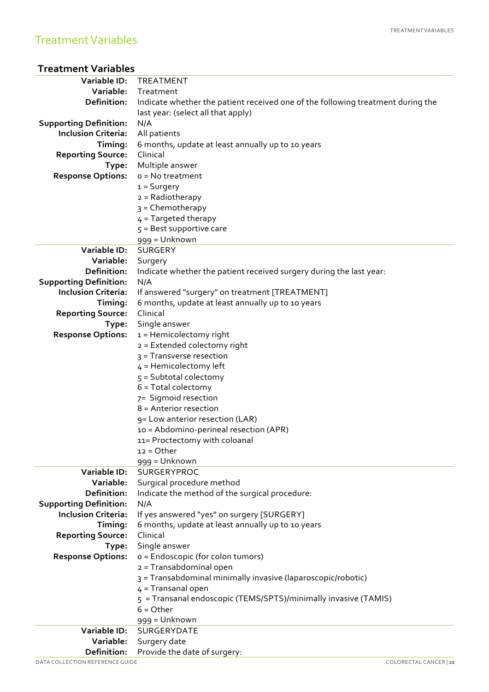| <b>Treatment Variables</b> |  |
|----------------------------|--|
|----------------------------|--|

| Variable:<br>Treatment<br>Definition:<br>Indicate whether the patient received one of the following treatment during the<br>last year: (select all that apply)<br>N/A<br><b>Supporting Definition:</b><br>All patients<br><b>Inclusion Criteria:</b><br>Timing:<br>6 months, update at least annually up to 10 years<br><b>Reporting Source:</b><br>Clinical<br>Multiple answer<br>Type:<br><b>Response Options:</b><br>$o = No treatment$<br>$1 =$ Surgery<br>$2 =$ Radiotherapy<br>3 = Chemotherapy<br>$4$ = Targeted therapy<br>$5 =$ Best supportive care<br>999 = Unknown<br>Variable ID:<br><b>SURGERY</b><br>Variable:<br>Surgery<br>Definition:<br>Indicate whether the patient received surgery during the last year:<br><b>Supporting Definition:</b><br>N/A<br><b>Inclusion Criteria:</b><br>If answered "surgery" on treatment [TREATMENT]<br>6 months, update at least annually up to 10 years<br>Timing:<br>Clinical<br><b>Reporting Source:</b><br>Single answer<br>Type:<br><b>Response Options:</b><br>$1$ = Hemicolectomy right<br>2 = Extended colectomy right<br>3 = Transverse resection<br>$4$ = Hemicolectomy left<br>$5 =$ Subtotal colectomy<br>$6 = Total collector$<br>7= Sigmoid resection<br>$8$ = Anterior resection<br>9= Low anterior resection (LAR)<br>10 = Abdomino-perineal resection (APR)<br>11= Proctectomy with coloanal<br>$12 = Other$<br>999 = Unknown<br>Variable ID:<br>SURGERYPROC<br>Variable:<br>Surgical procedure method<br>Definition:<br>Indicate the method of the surgical procedure:<br><b>Supporting Definition:</b><br>N/A<br><b>Inclusion Criteria:</b><br>If yes answered "yes" on surgery [SURGERY]<br>Timing:<br>6 months, update at least annually up to 10 years<br>Clinical<br><b>Reporting Source:</b><br>Single answer<br>Type:<br><b>Response Options:</b><br>o = Endoscopic (for colon tumors)<br>2 = Transabdominal open<br>3 = Transabdominal minimally invasive (laparoscopic/robotic)<br>$4 =$ Transanal open<br>5 = Transanal endoscopic (TEMS/SPTS)/minimally invasive (TAMIS)<br>$6 = Other$<br>999 = Unknown<br>Variable ID:<br>SURGERYDATE<br>Variable:<br>Surgery date<br>Provide the date of surgery:<br>Definition: | Variable ID:                    | <b>TREATMENT</b>       |
|-----------------------------------------------------------------------------------------------------------------------------------------------------------------------------------------------------------------------------------------------------------------------------------------------------------------------------------------------------------------------------------------------------------------------------------------------------------------------------------------------------------------------------------------------------------------------------------------------------------------------------------------------------------------------------------------------------------------------------------------------------------------------------------------------------------------------------------------------------------------------------------------------------------------------------------------------------------------------------------------------------------------------------------------------------------------------------------------------------------------------------------------------------------------------------------------------------------------------------------------------------------------------------------------------------------------------------------------------------------------------------------------------------------------------------------------------------------------------------------------------------------------------------------------------------------------------------------------------------------------------------------------------------------------------------------------------------------------------------------------------------------------------------------------------------------------------------------------------------------------------------------------------------------------------------------------------------------------------------------------------------------------------------------------------------------------------------------------------------------------------------------------------------------------------------------------------------|---------------------------------|------------------------|
|                                                                                                                                                                                                                                                                                                                                                                                                                                                                                                                                                                                                                                                                                                                                                                                                                                                                                                                                                                                                                                                                                                                                                                                                                                                                                                                                                                                                                                                                                                                                                                                                                                                                                                                                                                                                                                                                                                                                                                                                                                                                                                                                                                                                     |                                 |                        |
|                                                                                                                                                                                                                                                                                                                                                                                                                                                                                                                                                                                                                                                                                                                                                                                                                                                                                                                                                                                                                                                                                                                                                                                                                                                                                                                                                                                                                                                                                                                                                                                                                                                                                                                                                                                                                                                                                                                                                                                                                                                                                                                                                                                                     |                                 |                        |
|                                                                                                                                                                                                                                                                                                                                                                                                                                                                                                                                                                                                                                                                                                                                                                                                                                                                                                                                                                                                                                                                                                                                                                                                                                                                                                                                                                                                                                                                                                                                                                                                                                                                                                                                                                                                                                                                                                                                                                                                                                                                                                                                                                                                     |                                 |                        |
|                                                                                                                                                                                                                                                                                                                                                                                                                                                                                                                                                                                                                                                                                                                                                                                                                                                                                                                                                                                                                                                                                                                                                                                                                                                                                                                                                                                                                                                                                                                                                                                                                                                                                                                                                                                                                                                                                                                                                                                                                                                                                                                                                                                                     |                                 |                        |
|                                                                                                                                                                                                                                                                                                                                                                                                                                                                                                                                                                                                                                                                                                                                                                                                                                                                                                                                                                                                                                                                                                                                                                                                                                                                                                                                                                                                                                                                                                                                                                                                                                                                                                                                                                                                                                                                                                                                                                                                                                                                                                                                                                                                     |                                 |                        |
|                                                                                                                                                                                                                                                                                                                                                                                                                                                                                                                                                                                                                                                                                                                                                                                                                                                                                                                                                                                                                                                                                                                                                                                                                                                                                                                                                                                                                                                                                                                                                                                                                                                                                                                                                                                                                                                                                                                                                                                                                                                                                                                                                                                                     |                                 |                        |
|                                                                                                                                                                                                                                                                                                                                                                                                                                                                                                                                                                                                                                                                                                                                                                                                                                                                                                                                                                                                                                                                                                                                                                                                                                                                                                                                                                                                                                                                                                                                                                                                                                                                                                                                                                                                                                                                                                                                                                                                                                                                                                                                                                                                     |                                 |                        |
|                                                                                                                                                                                                                                                                                                                                                                                                                                                                                                                                                                                                                                                                                                                                                                                                                                                                                                                                                                                                                                                                                                                                                                                                                                                                                                                                                                                                                                                                                                                                                                                                                                                                                                                                                                                                                                                                                                                                                                                                                                                                                                                                                                                                     |                                 |                        |
|                                                                                                                                                                                                                                                                                                                                                                                                                                                                                                                                                                                                                                                                                                                                                                                                                                                                                                                                                                                                                                                                                                                                                                                                                                                                                                                                                                                                                                                                                                                                                                                                                                                                                                                                                                                                                                                                                                                                                                                                                                                                                                                                                                                                     |                                 |                        |
|                                                                                                                                                                                                                                                                                                                                                                                                                                                                                                                                                                                                                                                                                                                                                                                                                                                                                                                                                                                                                                                                                                                                                                                                                                                                                                                                                                                                                                                                                                                                                                                                                                                                                                                                                                                                                                                                                                                                                                                                                                                                                                                                                                                                     |                                 |                        |
|                                                                                                                                                                                                                                                                                                                                                                                                                                                                                                                                                                                                                                                                                                                                                                                                                                                                                                                                                                                                                                                                                                                                                                                                                                                                                                                                                                                                                                                                                                                                                                                                                                                                                                                                                                                                                                                                                                                                                                                                                                                                                                                                                                                                     |                                 |                        |
|                                                                                                                                                                                                                                                                                                                                                                                                                                                                                                                                                                                                                                                                                                                                                                                                                                                                                                                                                                                                                                                                                                                                                                                                                                                                                                                                                                                                                                                                                                                                                                                                                                                                                                                                                                                                                                                                                                                                                                                                                                                                                                                                                                                                     |                                 |                        |
|                                                                                                                                                                                                                                                                                                                                                                                                                                                                                                                                                                                                                                                                                                                                                                                                                                                                                                                                                                                                                                                                                                                                                                                                                                                                                                                                                                                                                                                                                                                                                                                                                                                                                                                                                                                                                                                                                                                                                                                                                                                                                                                                                                                                     |                                 |                        |
|                                                                                                                                                                                                                                                                                                                                                                                                                                                                                                                                                                                                                                                                                                                                                                                                                                                                                                                                                                                                                                                                                                                                                                                                                                                                                                                                                                                                                                                                                                                                                                                                                                                                                                                                                                                                                                                                                                                                                                                                                                                                                                                                                                                                     |                                 |                        |
|                                                                                                                                                                                                                                                                                                                                                                                                                                                                                                                                                                                                                                                                                                                                                                                                                                                                                                                                                                                                                                                                                                                                                                                                                                                                                                                                                                                                                                                                                                                                                                                                                                                                                                                                                                                                                                                                                                                                                                                                                                                                                                                                                                                                     |                                 |                        |
|                                                                                                                                                                                                                                                                                                                                                                                                                                                                                                                                                                                                                                                                                                                                                                                                                                                                                                                                                                                                                                                                                                                                                                                                                                                                                                                                                                                                                                                                                                                                                                                                                                                                                                                                                                                                                                                                                                                                                                                                                                                                                                                                                                                                     |                                 |                        |
|                                                                                                                                                                                                                                                                                                                                                                                                                                                                                                                                                                                                                                                                                                                                                                                                                                                                                                                                                                                                                                                                                                                                                                                                                                                                                                                                                                                                                                                                                                                                                                                                                                                                                                                                                                                                                                                                                                                                                                                                                                                                                                                                                                                                     |                                 |                        |
|                                                                                                                                                                                                                                                                                                                                                                                                                                                                                                                                                                                                                                                                                                                                                                                                                                                                                                                                                                                                                                                                                                                                                                                                                                                                                                                                                                                                                                                                                                                                                                                                                                                                                                                                                                                                                                                                                                                                                                                                                                                                                                                                                                                                     |                                 |                        |
|                                                                                                                                                                                                                                                                                                                                                                                                                                                                                                                                                                                                                                                                                                                                                                                                                                                                                                                                                                                                                                                                                                                                                                                                                                                                                                                                                                                                                                                                                                                                                                                                                                                                                                                                                                                                                                                                                                                                                                                                                                                                                                                                                                                                     |                                 |                        |
|                                                                                                                                                                                                                                                                                                                                                                                                                                                                                                                                                                                                                                                                                                                                                                                                                                                                                                                                                                                                                                                                                                                                                                                                                                                                                                                                                                                                                                                                                                                                                                                                                                                                                                                                                                                                                                                                                                                                                                                                                                                                                                                                                                                                     |                                 |                        |
|                                                                                                                                                                                                                                                                                                                                                                                                                                                                                                                                                                                                                                                                                                                                                                                                                                                                                                                                                                                                                                                                                                                                                                                                                                                                                                                                                                                                                                                                                                                                                                                                                                                                                                                                                                                                                                                                                                                                                                                                                                                                                                                                                                                                     |                                 |                        |
|                                                                                                                                                                                                                                                                                                                                                                                                                                                                                                                                                                                                                                                                                                                                                                                                                                                                                                                                                                                                                                                                                                                                                                                                                                                                                                                                                                                                                                                                                                                                                                                                                                                                                                                                                                                                                                                                                                                                                                                                                                                                                                                                                                                                     |                                 |                        |
|                                                                                                                                                                                                                                                                                                                                                                                                                                                                                                                                                                                                                                                                                                                                                                                                                                                                                                                                                                                                                                                                                                                                                                                                                                                                                                                                                                                                                                                                                                                                                                                                                                                                                                                                                                                                                                                                                                                                                                                                                                                                                                                                                                                                     |                                 |                        |
|                                                                                                                                                                                                                                                                                                                                                                                                                                                                                                                                                                                                                                                                                                                                                                                                                                                                                                                                                                                                                                                                                                                                                                                                                                                                                                                                                                                                                                                                                                                                                                                                                                                                                                                                                                                                                                                                                                                                                                                                                                                                                                                                                                                                     |                                 |                        |
|                                                                                                                                                                                                                                                                                                                                                                                                                                                                                                                                                                                                                                                                                                                                                                                                                                                                                                                                                                                                                                                                                                                                                                                                                                                                                                                                                                                                                                                                                                                                                                                                                                                                                                                                                                                                                                                                                                                                                                                                                                                                                                                                                                                                     |                                 |                        |
|                                                                                                                                                                                                                                                                                                                                                                                                                                                                                                                                                                                                                                                                                                                                                                                                                                                                                                                                                                                                                                                                                                                                                                                                                                                                                                                                                                                                                                                                                                                                                                                                                                                                                                                                                                                                                                                                                                                                                                                                                                                                                                                                                                                                     |                                 |                        |
|                                                                                                                                                                                                                                                                                                                                                                                                                                                                                                                                                                                                                                                                                                                                                                                                                                                                                                                                                                                                                                                                                                                                                                                                                                                                                                                                                                                                                                                                                                                                                                                                                                                                                                                                                                                                                                                                                                                                                                                                                                                                                                                                                                                                     |                                 |                        |
|                                                                                                                                                                                                                                                                                                                                                                                                                                                                                                                                                                                                                                                                                                                                                                                                                                                                                                                                                                                                                                                                                                                                                                                                                                                                                                                                                                                                                                                                                                                                                                                                                                                                                                                                                                                                                                                                                                                                                                                                                                                                                                                                                                                                     |                                 |                        |
|                                                                                                                                                                                                                                                                                                                                                                                                                                                                                                                                                                                                                                                                                                                                                                                                                                                                                                                                                                                                                                                                                                                                                                                                                                                                                                                                                                                                                                                                                                                                                                                                                                                                                                                                                                                                                                                                                                                                                                                                                                                                                                                                                                                                     |                                 |                        |
|                                                                                                                                                                                                                                                                                                                                                                                                                                                                                                                                                                                                                                                                                                                                                                                                                                                                                                                                                                                                                                                                                                                                                                                                                                                                                                                                                                                                                                                                                                                                                                                                                                                                                                                                                                                                                                                                                                                                                                                                                                                                                                                                                                                                     |                                 |                        |
|                                                                                                                                                                                                                                                                                                                                                                                                                                                                                                                                                                                                                                                                                                                                                                                                                                                                                                                                                                                                                                                                                                                                                                                                                                                                                                                                                                                                                                                                                                                                                                                                                                                                                                                                                                                                                                                                                                                                                                                                                                                                                                                                                                                                     |                                 |                        |
|                                                                                                                                                                                                                                                                                                                                                                                                                                                                                                                                                                                                                                                                                                                                                                                                                                                                                                                                                                                                                                                                                                                                                                                                                                                                                                                                                                                                                                                                                                                                                                                                                                                                                                                                                                                                                                                                                                                                                                                                                                                                                                                                                                                                     |                                 |                        |
|                                                                                                                                                                                                                                                                                                                                                                                                                                                                                                                                                                                                                                                                                                                                                                                                                                                                                                                                                                                                                                                                                                                                                                                                                                                                                                                                                                                                                                                                                                                                                                                                                                                                                                                                                                                                                                                                                                                                                                                                                                                                                                                                                                                                     |                                 |                        |
|                                                                                                                                                                                                                                                                                                                                                                                                                                                                                                                                                                                                                                                                                                                                                                                                                                                                                                                                                                                                                                                                                                                                                                                                                                                                                                                                                                                                                                                                                                                                                                                                                                                                                                                                                                                                                                                                                                                                                                                                                                                                                                                                                                                                     |                                 |                        |
|                                                                                                                                                                                                                                                                                                                                                                                                                                                                                                                                                                                                                                                                                                                                                                                                                                                                                                                                                                                                                                                                                                                                                                                                                                                                                                                                                                                                                                                                                                                                                                                                                                                                                                                                                                                                                                                                                                                                                                                                                                                                                                                                                                                                     |                                 |                        |
|                                                                                                                                                                                                                                                                                                                                                                                                                                                                                                                                                                                                                                                                                                                                                                                                                                                                                                                                                                                                                                                                                                                                                                                                                                                                                                                                                                                                                                                                                                                                                                                                                                                                                                                                                                                                                                                                                                                                                                                                                                                                                                                                                                                                     |                                 |                        |
|                                                                                                                                                                                                                                                                                                                                                                                                                                                                                                                                                                                                                                                                                                                                                                                                                                                                                                                                                                                                                                                                                                                                                                                                                                                                                                                                                                                                                                                                                                                                                                                                                                                                                                                                                                                                                                                                                                                                                                                                                                                                                                                                                                                                     |                                 |                        |
|                                                                                                                                                                                                                                                                                                                                                                                                                                                                                                                                                                                                                                                                                                                                                                                                                                                                                                                                                                                                                                                                                                                                                                                                                                                                                                                                                                                                                                                                                                                                                                                                                                                                                                                                                                                                                                                                                                                                                                                                                                                                                                                                                                                                     |                                 |                        |
|                                                                                                                                                                                                                                                                                                                                                                                                                                                                                                                                                                                                                                                                                                                                                                                                                                                                                                                                                                                                                                                                                                                                                                                                                                                                                                                                                                                                                                                                                                                                                                                                                                                                                                                                                                                                                                                                                                                                                                                                                                                                                                                                                                                                     |                                 |                        |
|                                                                                                                                                                                                                                                                                                                                                                                                                                                                                                                                                                                                                                                                                                                                                                                                                                                                                                                                                                                                                                                                                                                                                                                                                                                                                                                                                                                                                                                                                                                                                                                                                                                                                                                                                                                                                                                                                                                                                                                                                                                                                                                                                                                                     |                                 |                        |
|                                                                                                                                                                                                                                                                                                                                                                                                                                                                                                                                                                                                                                                                                                                                                                                                                                                                                                                                                                                                                                                                                                                                                                                                                                                                                                                                                                                                                                                                                                                                                                                                                                                                                                                                                                                                                                                                                                                                                                                                                                                                                                                                                                                                     |                                 |                        |
|                                                                                                                                                                                                                                                                                                                                                                                                                                                                                                                                                                                                                                                                                                                                                                                                                                                                                                                                                                                                                                                                                                                                                                                                                                                                                                                                                                                                                                                                                                                                                                                                                                                                                                                                                                                                                                                                                                                                                                                                                                                                                                                                                                                                     |                                 |                        |
|                                                                                                                                                                                                                                                                                                                                                                                                                                                                                                                                                                                                                                                                                                                                                                                                                                                                                                                                                                                                                                                                                                                                                                                                                                                                                                                                                                                                                                                                                                                                                                                                                                                                                                                                                                                                                                                                                                                                                                                                                                                                                                                                                                                                     |                                 |                        |
|                                                                                                                                                                                                                                                                                                                                                                                                                                                                                                                                                                                                                                                                                                                                                                                                                                                                                                                                                                                                                                                                                                                                                                                                                                                                                                                                                                                                                                                                                                                                                                                                                                                                                                                                                                                                                                                                                                                                                                                                                                                                                                                                                                                                     |                                 |                        |
|                                                                                                                                                                                                                                                                                                                                                                                                                                                                                                                                                                                                                                                                                                                                                                                                                                                                                                                                                                                                                                                                                                                                                                                                                                                                                                                                                                                                                                                                                                                                                                                                                                                                                                                                                                                                                                                                                                                                                                                                                                                                                                                                                                                                     |                                 |                        |
|                                                                                                                                                                                                                                                                                                                                                                                                                                                                                                                                                                                                                                                                                                                                                                                                                                                                                                                                                                                                                                                                                                                                                                                                                                                                                                                                                                                                                                                                                                                                                                                                                                                                                                                                                                                                                                                                                                                                                                                                                                                                                                                                                                                                     |                                 |                        |
|                                                                                                                                                                                                                                                                                                                                                                                                                                                                                                                                                                                                                                                                                                                                                                                                                                                                                                                                                                                                                                                                                                                                                                                                                                                                                                                                                                                                                                                                                                                                                                                                                                                                                                                                                                                                                                                                                                                                                                                                                                                                                                                                                                                                     |                                 |                        |
|                                                                                                                                                                                                                                                                                                                                                                                                                                                                                                                                                                                                                                                                                                                                                                                                                                                                                                                                                                                                                                                                                                                                                                                                                                                                                                                                                                                                                                                                                                                                                                                                                                                                                                                                                                                                                                                                                                                                                                                                                                                                                                                                                                                                     |                                 |                        |
|                                                                                                                                                                                                                                                                                                                                                                                                                                                                                                                                                                                                                                                                                                                                                                                                                                                                                                                                                                                                                                                                                                                                                                                                                                                                                                                                                                                                                                                                                                                                                                                                                                                                                                                                                                                                                                                                                                                                                                                                                                                                                                                                                                                                     |                                 |                        |
|                                                                                                                                                                                                                                                                                                                                                                                                                                                                                                                                                                                                                                                                                                                                                                                                                                                                                                                                                                                                                                                                                                                                                                                                                                                                                                                                                                                                                                                                                                                                                                                                                                                                                                                                                                                                                                                                                                                                                                                                                                                                                                                                                                                                     |                                 |                        |
|                                                                                                                                                                                                                                                                                                                                                                                                                                                                                                                                                                                                                                                                                                                                                                                                                                                                                                                                                                                                                                                                                                                                                                                                                                                                                                                                                                                                                                                                                                                                                                                                                                                                                                                                                                                                                                                                                                                                                                                                                                                                                                                                                                                                     |                                 |                        |
|                                                                                                                                                                                                                                                                                                                                                                                                                                                                                                                                                                                                                                                                                                                                                                                                                                                                                                                                                                                                                                                                                                                                                                                                                                                                                                                                                                                                                                                                                                                                                                                                                                                                                                                                                                                                                                                                                                                                                                                                                                                                                                                                                                                                     |                                 |                        |
|                                                                                                                                                                                                                                                                                                                                                                                                                                                                                                                                                                                                                                                                                                                                                                                                                                                                                                                                                                                                                                                                                                                                                                                                                                                                                                                                                                                                                                                                                                                                                                                                                                                                                                                                                                                                                                                                                                                                                                                                                                                                                                                                                                                                     |                                 |                        |
|                                                                                                                                                                                                                                                                                                                                                                                                                                                                                                                                                                                                                                                                                                                                                                                                                                                                                                                                                                                                                                                                                                                                                                                                                                                                                                                                                                                                                                                                                                                                                                                                                                                                                                                                                                                                                                                                                                                                                                                                                                                                                                                                                                                                     |                                 |                        |
|                                                                                                                                                                                                                                                                                                                                                                                                                                                                                                                                                                                                                                                                                                                                                                                                                                                                                                                                                                                                                                                                                                                                                                                                                                                                                                                                                                                                                                                                                                                                                                                                                                                                                                                                                                                                                                                                                                                                                                                                                                                                                                                                                                                                     |                                 |                        |
|                                                                                                                                                                                                                                                                                                                                                                                                                                                                                                                                                                                                                                                                                                                                                                                                                                                                                                                                                                                                                                                                                                                                                                                                                                                                                                                                                                                                                                                                                                                                                                                                                                                                                                                                                                                                                                                                                                                                                                                                                                                                                                                                                                                                     |                                 |                        |
|                                                                                                                                                                                                                                                                                                                                                                                                                                                                                                                                                                                                                                                                                                                                                                                                                                                                                                                                                                                                                                                                                                                                                                                                                                                                                                                                                                                                                                                                                                                                                                                                                                                                                                                                                                                                                                                                                                                                                                                                                                                                                                                                                                                                     |                                 |                        |
|                                                                                                                                                                                                                                                                                                                                                                                                                                                                                                                                                                                                                                                                                                                                                                                                                                                                                                                                                                                                                                                                                                                                                                                                                                                                                                                                                                                                                                                                                                                                                                                                                                                                                                                                                                                                                                                                                                                                                                                                                                                                                                                                                                                                     | DATA COLLECTION REFERENCE GUIDE | COLORECTAL CANCER   22 |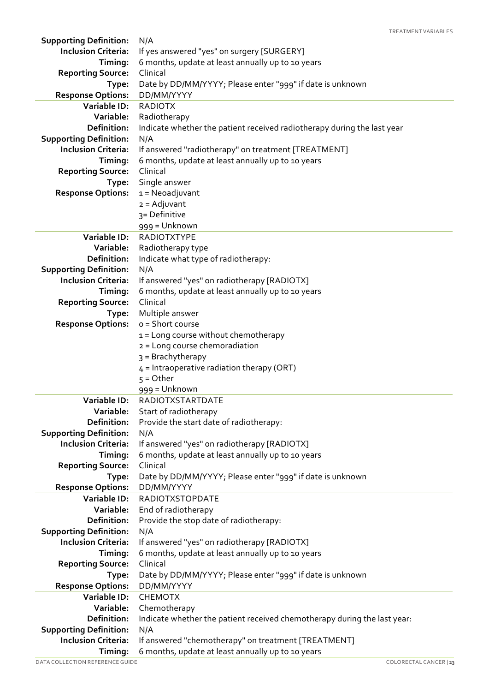| <b>Supporting Definition:</b>         | N/A                                                                      |
|---------------------------------------|--------------------------------------------------------------------------|
| <b>Inclusion Criteria:</b>            | If yes answered "yes" on surgery [SURGERY]                               |
| Timing:                               | 6 months, update at least annually up to 10 years                        |
| <b>Reporting Source:</b>              | Clinical                                                                 |
| Type:                                 | Date by DD/MM/YYYY; Please enter "999" if date is unknown                |
| <b>Response Options:</b>              | DD/MM/YYYY                                                               |
| Variable ID:                          | <b>RADIOTX</b>                                                           |
| Variable:                             | Radiotherapy                                                             |
| Definition:                           | Indicate whether the patient received radiotherapy during the last year  |
| <b>Supporting Definition:</b>         | N/A                                                                      |
| <b>Inclusion Criteria:</b>            | If answered "radiotherapy" on treatment [TREATMENT]                      |
| Timing:                               | 6 months, update at least annually up to 10 years                        |
| <b>Reporting Source:</b>              | Clinical                                                                 |
| Type:                                 | Single answer                                                            |
| <b>Response Options:</b>              | $1 = Neoadjuvant$                                                        |
|                                       | $2 =$ Adjuvant                                                           |
|                                       | 3= Definitive                                                            |
|                                       | 999 = Unknown                                                            |
| Variable ID:                          | <b>RADIOTXTYPE</b>                                                       |
| Variable:                             | Radiotherapy type                                                        |
| <b>Definition:</b>                    | Indicate what type of radiotherapy:                                      |
| <b>Supporting Definition:</b>         | N/A                                                                      |
| <b>Inclusion Criteria:</b>            | If answered "yes" on radiotherapy [RADIOTX]                              |
| Timing:                               | 6 months, update at least annually up to 10 years                        |
| <b>Reporting Source:</b>              | Clinical                                                                 |
| Type:                                 | Multiple answer                                                          |
| <b>Response Options:</b>              | o = Short course                                                         |
|                                       | 1 = Long course without chemotherapy                                     |
|                                       | 2 = Long course chemoradiation                                           |
|                                       | 3 = Brachytherapy                                                        |
|                                       | $4$ = Intraoperative radiation therapy (ORT)                             |
|                                       | $5 = Other$                                                              |
|                                       | 999 = Unknown                                                            |
| Variable ID:                          | <b>RADIOTXSTARTDATE</b>                                                  |
| Variable:                             | Start of radiotherapy                                                    |
| Definition:                           | Provide the start date of radiotherapy:                                  |
| <b>Supporting Definition:</b>         | N/A                                                                      |
| <b>Inclusion Criteria:</b>            | If answered "yes" on radiotherapy [RADIOTX]                              |
| Timing:                               | 6 months, update at least annually up to 10 years                        |
| <b>Reporting Source:</b>              | Clinical                                                                 |
| Type:                                 | Date by DD/MM/YYYY; Please enter "999" if date is unknown                |
| <b>Response Options:</b>              | DD/MM/YYYY                                                               |
| Variable ID:                          | <b>RADIOTXSTOPDATE</b>                                                   |
| Variable:                             | End of radiotherapy                                                      |
| Definition:                           | Provide the stop date of radiotherapy:                                   |
| <b>Supporting Definition:</b>         | N/A                                                                      |
| <b>Inclusion Criteria:</b>            | If answered "yes" on radiotherapy [RADIOTX]                              |
| Timing:                               | 6 months, update at least annually up to 10 years                        |
| <b>Reporting Source:</b>              | Clinical                                                                 |
| Type:                                 | Date by DD/MM/YYYY; Please enter "999" if date is unknown                |
| <b>Response Options:</b>              | DD/MM/YYYY                                                               |
| Variable ID:                          | <b>CHEMOTX</b>                                                           |
| Variable:                             | Chemotherapy                                                             |
| Definition:                           | Indicate whether the patient received chemotherapy during the last year: |
| <b>Supporting Definition:</b>         | N/A                                                                      |
| <b>Inclusion Criteria:</b><br>Timing: | If answered "chemotherapy" on treatment [TREATMENT]                      |
|                                       | 6 months, update at least annually up to 10 years                        |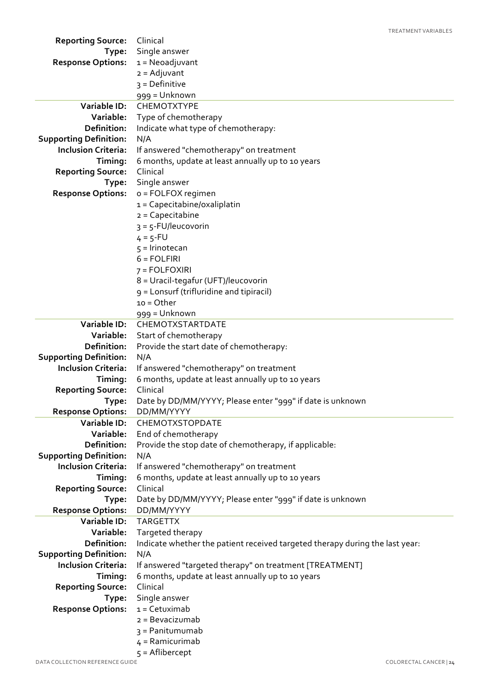| <b>Reporting Source:</b>                     | Clinical                                                                            |
|----------------------------------------------|-------------------------------------------------------------------------------------|
| Type:                                        | Single answer                                                                       |
| <b>Response Options:</b>                     | $1 = Neoadjuvant$                                                                   |
|                                              | $2 =$ Adjuvant                                                                      |
|                                              | $3 = Definitive$                                                                    |
|                                              | 999 = Unknown                                                                       |
| <b>Variable ID:</b>                          | CHEMOTXTYPE                                                                         |
| Variable:                                    | Type of chemotherapy                                                                |
| Definition:                                  | Indicate what type of chemotherapy:                                                 |
| <b>Supporting Definition:</b>                | N/A                                                                                 |
| <b>Inclusion Criteria:</b>                   | If answered "chemotherapy" on treatment                                             |
| Timing:                                      | 6 months, update at least annually up to 10 years                                   |
| <b>Reporting Source:</b>                     | Clinical                                                                            |
| Type:                                        | Single answer                                                                       |
| <b>Response Options:</b>                     | o = FOLFOX regimen                                                                  |
|                                              | $1 = Capecitable/oxaliplatin$                                                       |
|                                              | $2 = Capecitable$                                                                   |
|                                              | $3 = 5$ -FU/leucovorin                                                              |
|                                              | $4 = 5 - FU$                                                                        |
|                                              | $5 =$ Irinotecan                                                                    |
|                                              | $6 = FOLFIRI$                                                                       |
|                                              | $7 = FOLFOXIRI$                                                                     |
|                                              | 8 = Uracil-tegafur (UFT)/leucovorin                                                 |
|                                              | g = Lonsurf (trifluridine and tipiracil)                                            |
|                                              | $10 = Other$                                                                        |
|                                              | 999 = Unknown                                                                       |
| Variable ID:                                 | CHEMOTXSTARTDATE                                                                    |
| Variable:                                    | Start of chemotherapy                                                               |
| Definition:                                  | Provide the start date of chemotherapy:                                             |
| <b>Supporting Definition:</b>                | N/A                                                                                 |
| <b>Inclusion Criteria:</b>                   | If answered "chemotherapy" on treatment                                             |
| Timing:                                      | 6 months, update at least annually up to 10 years                                   |
| <b>Reporting Source:</b>                     | Clinical                                                                            |
| Type:                                        | Date by DD/MM/YYYY; Please enter "999" if date is unknown                           |
| <b>Response Options:</b>                     | DD/MM/YYYY                                                                          |
| <b>Variable ID:</b>                          | CHEMOTXSTOPDATE                                                                     |
| Variable:                                    | End of chemotherapy                                                                 |
| Definition:                                  | Provide the stop date of chemotherapy, if applicable:                               |
| <b>Supporting Definition:</b>                | N/A                                                                                 |
| <b>Inclusion Criteria:</b>                   | If answered "chemotherapy" on treatment                                             |
| Timing:                                      | 6 months, update at least annually up to 10 years                                   |
| <b>Reporting Source:</b>                     | Clinical                                                                            |
| Type:                                        | Date by DD/MM/YYYY; Please enter "999" if date is unknown                           |
| <b>Response Options:</b>                     | DD/MM/YYYY                                                                          |
| Variable ID:                                 | <b>TARGETTX</b>                                                                     |
| Variable:                                    | Targeted therapy                                                                    |
| Definition:<br><b>Supporting Definition:</b> | Indicate whether the patient received targeted therapy during the last year:<br>N/A |
| <b>Inclusion Criteria:</b>                   | If answered "targeted therapy" on treatment [TREATMENT]                             |
| Timing:                                      | 6 months, update at least annually up to 10 years                                   |
| <b>Reporting Source:</b>                     | Clinical                                                                            |
| Type:                                        | Single answer                                                                       |
| <b>Response Options:</b>                     | $1 = Cetuximab$                                                                     |
|                                              | $2 = Bevacizumab$                                                                   |
|                                              | 3 = Panitumumab                                                                     |
|                                              | $4 =$ Ramicurimab                                                                   |
|                                              | $5 =$ Aflibercept                                                                   |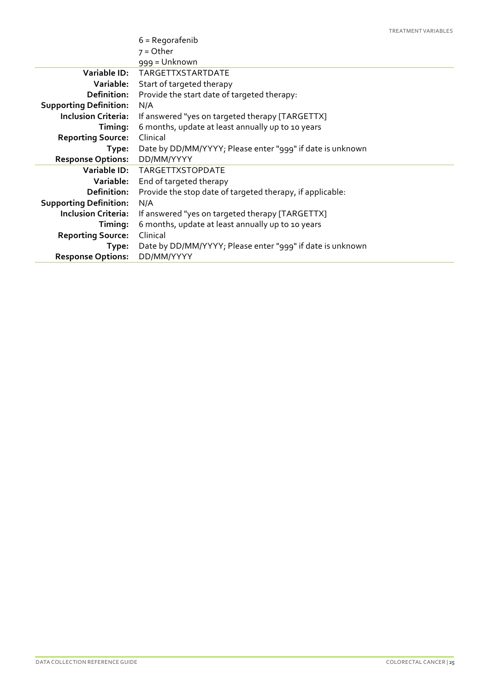|                               | $6$ = Regorafenib                                         |
|-------------------------------|-----------------------------------------------------------|
|                               | $7 =$ Other                                               |
|                               | 999 = Unknown                                             |
|                               | Variable ID: TARGETTXSTARTDATE                            |
| Variable:                     | Start of targeted therapy                                 |
| Definition:                   | Provide the start date of targeted therapy:               |
| <b>Supporting Definition:</b> | N/A                                                       |
| <b>Inclusion Criteria:</b>    | If answered "yes on targeted therapy [TARGETTX]           |
| Timing:                       | 6 months, update at least annually up to 10 years         |
| <b>Reporting Source:</b>      | Clinical                                                  |
| Type:                         | Date by DD/MM/YYYY; Please enter "999" if date is unknown |
| <b>Response Options:</b>      | DD/MM/YYYY                                                |
|                               | Variable ID: TARGETTXSTOPDATE                             |
| Variable:                     | End of targeted therapy                                   |
| Definition:                   | Provide the stop date of targeted therapy, if applicable: |
| <b>Supporting Definition:</b> | N/A                                                       |
| <b>Inclusion Criteria:</b>    | If answered "yes on targeted therapy [TARGETTX]           |
| Timing:                       | 6 months, update at least annually up to 10 years         |
| <b>Reporting Source:</b>      | Clinical                                                  |
| Type:                         | Date by DD/MM/YYYY; Please enter "999" if date is unknown |
| <b>Response Options:</b>      | DD/MM/YYYY                                                |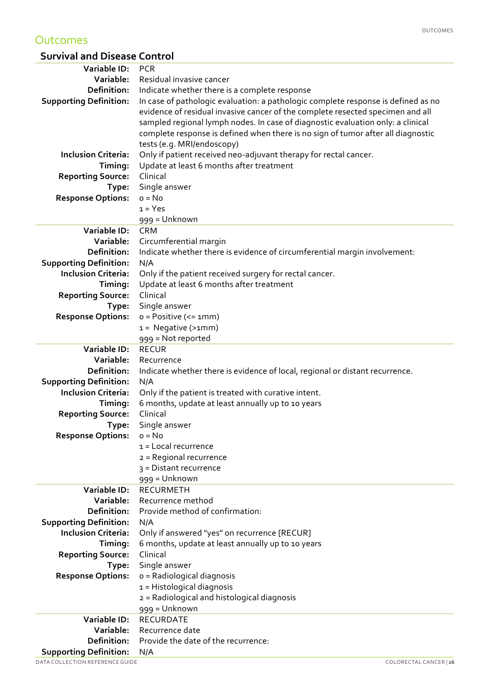#### **Outcomes**

#### **Survival and Disease Control**

| Variable ID:                  | <b>PCR</b>                                                                        |
|-------------------------------|-----------------------------------------------------------------------------------|
| Variable:                     | Residual invasive cancer                                                          |
| <b>Definition:</b>            | Indicate whether there is a complete response                                     |
| <b>Supporting Definition:</b> | In case of pathologic evaluation: a pathologic complete response is defined as no |
|                               | evidence of residual invasive cancer of the complete resected specimen and all    |
|                               | sampled regional lymph nodes. In case of diagnostic evaluation only: a clinical   |
|                               | complete response is defined when there is no sign of tumor after all diagnostic  |
|                               | tests (e.g. MRI/endoscopy)                                                        |
| <b>Inclusion Criteria:</b>    | Only if patient received neo-adjuvant therapy for rectal cancer.                  |
| Timing:                       | Update at least 6 months after treatment                                          |
| <b>Reporting Source:</b>      | Clinical                                                                          |
| Type:                         | Single answer                                                                     |
| <b>Response Options:</b>      | $o = No$                                                                          |
|                               | $1 = Yes$                                                                         |
|                               | 999 = Unknown                                                                     |
| Variable ID:                  | <b>CRM</b>                                                                        |
| Variable:                     | Circumferential margin                                                            |
| Definition:                   | Indicate whether there is evidence of circumferential margin involvement:         |
| <b>Supporting Definition:</b> | N/A                                                                               |
| <b>Inclusion Criteria:</b>    | Only if the patient received surgery for rectal cancer.                           |
| Timing:                       | Update at least 6 months after treatment                                          |
| <b>Reporting Source:</b>      | Clinical                                                                          |
| Type:                         | Single answer                                                                     |
| <b>Response Options:</b>      | $o = Positive (= 1mm)$                                                            |
|                               | $1 = Negative(>1mm)$                                                              |
|                               | 999 = Not reported                                                                |
| Variable ID:                  | <b>RECUR</b>                                                                      |
| Variable:                     | Recurrence                                                                        |
| Definition:                   | Indicate whether there is evidence of local, regional or distant recurrence.      |
| <b>Supporting Definition:</b> | N/A                                                                               |
| <b>Inclusion Criteria:</b>    | Only if the patient is treated with curative intent.                              |
| Timing:                       | 6 months, update at least annually up to 10 years                                 |
| <b>Reporting Source:</b>      | Clinical                                                                          |
| Type:                         | Single answer                                                                     |
| <b>Response Options:</b>      | $o = No$                                                                          |
|                               | $1 =$ Local recurrence                                                            |
|                               | 2 = Regional recurrence                                                           |
|                               | 3 = Distant recurrence                                                            |
|                               | 999 = Unknown                                                                     |
| Variable ID:                  | <b>RECURMETH</b>                                                                  |
| Variable:                     | Recurrence method                                                                 |
| <b>Definition:</b>            | Provide method of confirmation:                                                   |
| <b>Supporting Definition:</b> | N/A                                                                               |
| <b>Inclusion Criteria:</b>    | Only if answered "yes" on recurrence [RECUR]                                      |
| Timing:                       | 6 months, update at least annually up to 10 years                                 |
| <b>Reporting Source:</b>      | Clinical                                                                          |
| Type:                         | Single answer                                                                     |
| <b>Response Options:</b>      | o = Radiological diagnosis                                                        |
|                               | 1 = Histological diagnosis                                                        |
|                               | 2 = Radiological and histological diagnosis                                       |
|                               | 999 = Unknown                                                                     |
| Variable ID:                  | <b>RECURDATE</b>                                                                  |
| Variable:                     | Recurrence date                                                                   |
| Definition:                   | Provide the date of the recurrence:                                               |
| <b>Supporting Definition:</b> | N/A                                                                               |
|                               |                                                                                   |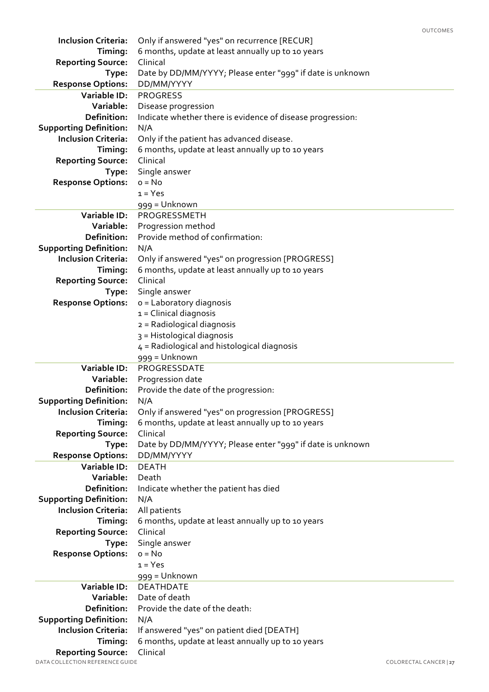| <b>Inclusion Criteria:</b>                      | Only if answered "yes" on recurrence [RECUR]                            |
|-------------------------------------------------|-------------------------------------------------------------------------|
| Timing:                                         | 6 months, update at least annually up to 10 years                       |
| <b>Reporting Source:</b>                        | Clinical                                                                |
| Type:                                           | Date by DD/MM/YYYY; Please enter "999" if date is unknown               |
| <b>Response Options:</b>                        | DD/MM/YYYY                                                              |
| <b>Variable ID:</b>                             | <b>PROGRESS</b>                                                         |
| Variable:                                       | Disease progression                                                     |
| Definition:                                     | Indicate whether there is evidence of disease progression:              |
| <b>Supporting Definition:</b>                   | N/A                                                                     |
| <b>Inclusion Criteria:</b>                      | Only if the patient has advanced disease.                               |
| Timing:                                         | 6 months, update at least annually up to 10 years                       |
|                                                 | Clinical                                                                |
| <b>Reporting Source:</b>                        |                                                                         |
| Type:                                           | Single answer                                                           |
| <b>Response Options:</b>                        | $o = No$                                                                |
|                                                 | $1 = Yes$                                                               |
|                                                 | 999 = Unknown                                                           |
| Variable ID:                                    | PROGRESSMETH                                                            |
| Variable:                                       | Progression method                                                      |
| <b>Definition:</b>                              | Provide method of confirmation:                                         |
| <b>Supporting Definition:</b>                   | N/A                                                                     |
| <b>Inclusion Criteria:</b>                      | Only if answered "yes" on progression [PROGRESS]                        |
| Timing:                                         | 6 months, update at least annually up to 10 years                       |
| <b>Reporting Source:</b>                        | Clinical                                                                |
| Type:                                           | Single answer                                                           |
| <b>Response Options:</b>                        | o = Laboratory diagnosis                                                |
|                                                 | $1 =$ Clinical diagnosis                                                |
|                                                 | 2 = Radiological diagnosis                                              |
|                                                 | 3 = Histological diagnosis                                              |
|                                                 | $4$ = Radiological and histological diagnosis                           |
|                                                 |                                                                         |
|                                                 | 999 = Unknown                                                           |
| Variable ID:                                    | PROGRESSDATE                                                            |
| Variable:                                       | Progression date                                                        |
| <b>Definition:</b>                              | Provide the date of the progression:                                    |
| <b>Supporting Definition:</b>                   | N/A                                                                     |
| <b>Inclusion Criteria:</b>                      | Only if answered "yes" on progression [PROGRESS]                        |
| Timing:                                         | 6 months, update at least annually up to 10 years                       |
|                                                 | Clinical                                                                |
| <b>Reporting Source:</b><br>Type:               |                                                                         |
|                                                 | Date by DD/MM/YYYY; Please enter "999" if date is unknown<br>DD/MM/YYYY |
| <b>Response Options:</b><br><b>Variable ID:</b> | <b>DEATH</b>                                                            |
| Variable:                                       | Death                                                                   |
| <b>Definition:</b>                              |                                                                         |
|                                                 | Indicate whether the patient has died                                   |
| <b>Supporting Definition:</b>                   | N/A                                                                     |
| <b>Inclusion Criteria:</b>                      | All patients                                                            |
| Timing:                                         | 6 months, update at least annually up to 10 years                       |
| <b>Reporting Source:</b>                        | Clinical                                                                |
| Type:                                           | Single answer                                                           |
| <b>Response Options:</b>                        | $o = No$                                                                |
|                                                 | $1 = Yes$                                                               |
|                                                 | 999 = Unknown                                                           |
| <b>Variable ID:</b>                             | <b>DEATHDATE</b>                                                        |
| Variable:                                       | Date of death                                                           |
| <b>Definition:</b>                              | Provide the date of the death:                                          |
| <b>Supporting Definition:</b>                   | N/A                                                                     |
| <b>Inclusion Criteria:</b>                      | If answered "yes" on patient died [DEATH]                               |
| Timing:<br><b>Reporting Source:</b>             | 6 months, update at least annually up to 10 years<br>Clinical           |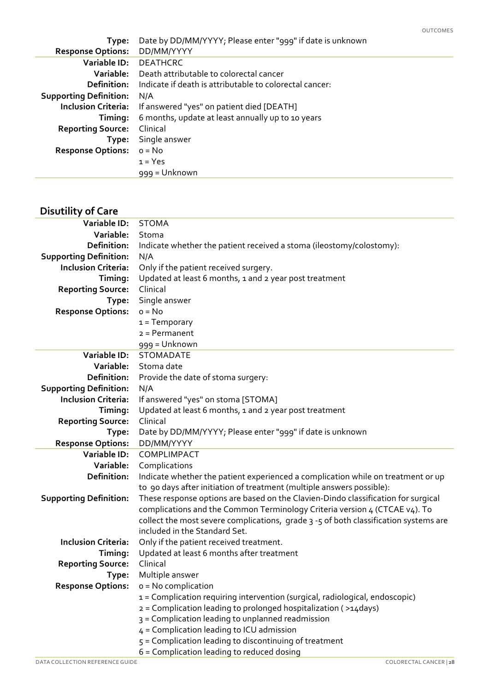| Type:                         | Date by DD/MM/YYYY; Please enter "999" if date is unknown |
|-------------------------------|-----------------------------------------------------------|
| <b>Response Options:</b>      | DD/MM/YYYY                                                |
| Variable ID:                  | <b>DEATHCRC</b>                                           |
| Variable:                     | Death attributable to colorectal cancer                   |
| Definition:                   | Indicate if death is attributable to colorectal cancer:   |
| <b>Supporting Definition:</b> | N/A                                                       |
| <b>Inclusion Criteria:</b>    | If answered "yes" on patient died [DEATH]                 |
| Timing:                       | 6 months, update at least annually up to 10 years         |
| <b>Reporting Source:</b>      | Clinical                                                  |
| Type:                         | Single answer                                             |
| <b>Response Options:</b>      | $o = No$                                                  |
|                               | $1 = Yes$                                                 |
|                               | 999 = Unknown                                             |

#### **Disutility of Care**

| <b>Variable ID:</b>           | <b>STOMA</b>                                                                                         |
|-------------------------------|------------------------------------------------------------------------------------------------------|
| Variable:                     | Stoma                                                                                                |
| Definition:                   | Indicate whether the patient received a stoma (ileostomy/colostomy):                                 |
| <b>Supporting Definition:</b> | N/A                                                                                                  |
| <b>Inclusion Criteria:</b>    | Only if the patient received surgery.                                                                |
| Timing:                       | Updated at least 6 months, 1 and 2 year post treatment                                               |
| <b>Reporting Source:</b>      | Clinical                                                                                             |
| Type:                         | Single answer                                                                                        |
| <b>Response Options:</b>      | $o = No$                                                                                             |
|                               | $1 = Temporary$                                                                                      |
|                               | $2 = Permanent$                                                                                      |
|                               | 999 = Unknown                                                                                        |
| Variable ID:                  | <b>STOMADATE</b>                                                                                     |
| Variable:                     | Stoma date                                                                                           |
| Definition:                   | Provide the date of stoma surgery:                                                                   |
| <b>Supporting Definition:</b> | N/A                                                                                                  |
| <b>Inclusion Criteria:</b>    | If answered "yes" on stoma [STOMA]                                                                   |
| Timing:                       | Updated at least 6 months, 1 and 2 year post treatment                                               |
| <b>Reporting Source:</b>      | Clinical                                                                                             |
| Type:                         | Date by DD/MM/YYYY; Please enter "999" if date is unknown                                            |
| <b>Response Options:</b>      | DD/MM/YYYY                                                                                           |
| Variable ID:                  | COMPLIMPACT                                                                                          |
| Variable:                     | Complications                                                                                        |
| Definition:                   | Indicate whether the patient experienced a complication while on treatment or up                     |
|                               | to 90 days after initiation of treatment (multiple answers possible):                                |
| <b>Supporting Definition:</b> | These response options are based on the Clavien-Dindo classification for surgical                    |
|                               | complications and the Common Terminology Criteria version 4 (CTCAE v4). To                           |
|                               | collect the most severe complications, grade 3 -5 of both classification systems are                 |
|                               | included in the Standard Set.                                                                        |
| <b>Inclusion Criteria:</b>    | Only if the patient received treatment.                                                              |
| Timing:                       | Updated at least 6 months after treatment                                                            |
| <b>Reporting Source:</b>      | Clinical                                                                                             |
| Type:                         | Multiple answer                                                                                      |
|                               | <b>Response Options:</b> $o = No$ complication                                                       |
|                               | 1 = Complication requiring intervention (surgical, radiological, endoscopic)                         |
|                               | 2 = Complication leading to prolonged hospitalization (>14days)                                      |
|                               |                                                                                                      |
|                               | 3 = Complication leading to unplanned readmission                                                    |
|                               | 4 = Complication leading to ICU admission                                                            |
|                               | 5 = Complication leading to discontinuing of treatment<br>6 = Complication leading to reduced dosing |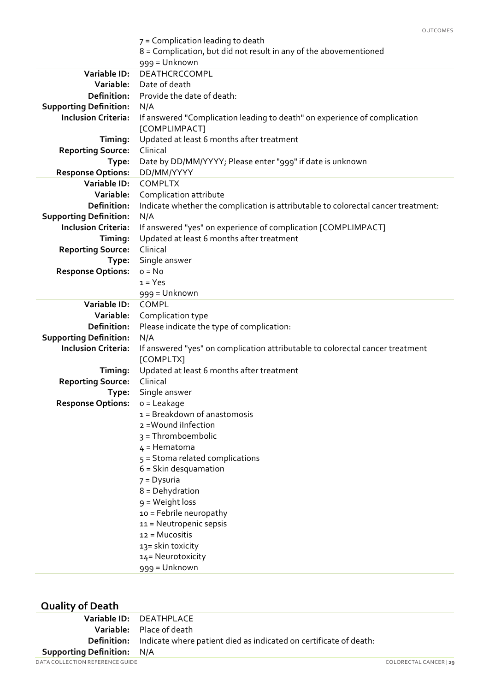|                               | UUTLUMES                                                                          |
|-------------------------------|-----------------------------------------------------------------------------------|
|                               | 7 = Complication leading to death                                                 |
|                               | 8 = Complication, but did not result in any of the abovementioned                 |
|                               | 999 = Unknown                                                                     |
| Variable ID:                  | DEATHCRCCOMPL                                                                     |
| Variable:                     | Date of death                                                                     |
| Definition:                   | Provide the date of death:                                                        |
| <b>Supporting Definition:</b> | N/A                                                                               |
| <b>Inclusion Criteria:</b>    | If answered "Complication leading to death" on experience of complication         |
|                               | [COMPLIMPACT]                                                                     |
| Timing:                       | Updated at least 6 months after treatment                                         |
| <b>Reporting Source:</b>      | Clinical                                                                          |
| Type:                         | Date by DD/MM/YYYY; Please enter "999" if date is unknown                         |
| <b>Response Options:</b>      | DD/MM/YYYY                                                                        |
| Variable ID:                  | <b>COMPLTX</b>                                                                    |
| Variable:                     | Complication attribute                                                            |
| Definition:                   | Indicate whether the complication is attributable to colorectal cancer treatment: |
| <b>Supporting Definition:</b> | N/A                                                                               |
| <b>Inclusion Criteria:</b>    | If answered "yes" on experience of complication [COMPLIMPACT]                     |
| Timing:                       | Updated at least 6 months after treatment                                         |
| <b>Reporting Source:</b>      | Clinical                                                                          |
| Type:                         | Single answer                                                                     |
| <b>Response Options:</b>      | $o = No$                                                                          |
|                               | $1 = Yes$                                                                         |
|                               | 999 = Unknown                                                                     |
| Variable ID:                  | COMPL                                                                             |
| Variable:                     | Complication type                                                                 |
| Definition:                   | Please indicate the type of complication:                                         |
| <b>Supporting Definition:</b> | N/A                                                                               |
| <b>Inclusion Criteria:</b>    | If answered "yes" on complication attributable to colorectal cancer treatment     |
|                               | [COMPLTX]                                                                         |
| Timing:                       | Updated at least 6 months after treatment                                         |
| <b>Reporting Source:</b>      | Clinical                                                                          |
| Type:                         | Single answer                                                                     |
| <b>Response Options:</b>      | o = Leakage                                                                       |
|                               | 1 = Breakdown of anastomosis                                                      |
|                               | 2 = Wound iInfection                                                              |
|                               | $3 = Thromboembolic$                                                              |
|                               | $4$ = Hematoma                                                                    |
|                               | $5 =$ Stoma related complications                                                 |
|                               | $6 =$ Skin desquamation                                                           |
|                               | 7 = Dysuria                                                                       |
|                               | $8 =$ Dehydration                                                                 |
|                               | g = Weight loss                                                                   |
|                               | 10 = Febrile neuropathy                                                           |
|                               | 11 = Neutropenic sepsis                                                           |
|                               | 12 = Mucositis                                                                    |
|                               | 13= skin toxicity                                                                 |
|                               | 14= Neurotoxicity                                                                 |
|                               | 999 = Unknown                                                                     |
|                               |                                                                                   |

#### **Quality of Death**

|                                   | Variable ID: DEATHPLACE                                                              |                        |
|-----------------------------------|--------------------------------------------------------------------------------------|------------------------|
|                                   | <b>Variable:</b> Place of death                                                      |                        |
|                                   | <b>Definition:</b> Indicate where patient died as indicated on certificate of death: |                        |
| <b>Supporting Definition: N/A</b> |                                                                                      |                        |
| DATA COLLECTION REFERENCE GUIDE   |                                                                                      | COLORECTAL CANCER   29 |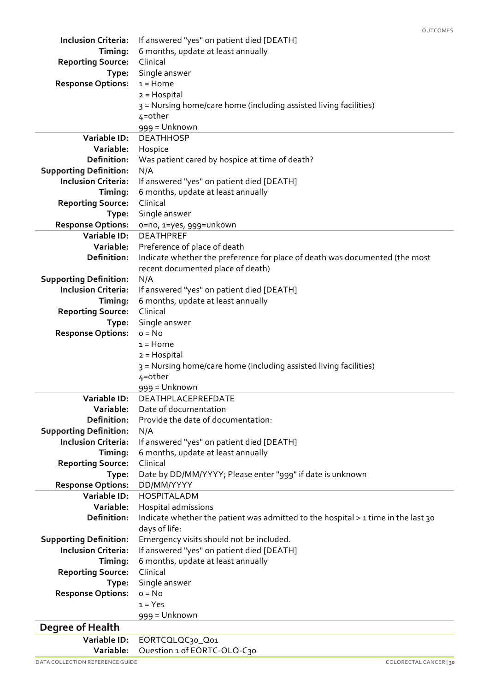| <b>Inclusion Criteria:</b>                                  | If answered "yes" on patient died [DEATH]                                         |
|-------------------------------------------------------------|-----------------------------------------------------------------------------------|
| Timing:                                                     | 6 months, update at least annually                                                |
| <b>Reporting Source:</b>                                    | Clinical                                                                          |
| Type:                                                       | Single answer                                                                     |
| <b>Response Options:</b>                                    | $1 =$ Home                                                                        |
|                                                             | $2 = Hospital$                                                                    |
|                                                             | 3 = Nursing home/care home (including assisted living facilities)                 |
|                                                             | $4$ =other                                                                        |
|                                                             | 999 = Unknown                                                                     |
| Variable ID:                                                | <b>DEATHHOSP</b>                                                                  |
| Variable:                                                   | Hospice                                                                           |
| Definition:                                                 | Was patient cared by hospice at time of death?                                    |
| <b>Supporting Definition:</b>                               | N/A                                                                               |
| <b>Inclusion Criteria:</b>                                  | If answered "yes" on patient died [DEATH]                                         |
| Timing:                                                     | 6 months, update at least annually<br>Clinical                                    |
| <b>Reporting Source:</b>                                    | Single answer                                                                     |
| Type:<br><b>Response Options:</b>                           | o=no, 1=yes, 999=unkown                                                           |
| Variable ID:                                                | <b>DEATHPREF</b>                                                                  |
| Variable:                                                   | Preference of place of death                                                      |
| Definition:                                                 | Indicate whether the preference for place of death was documented (the most       |
|                                                             | recent documented place of death)                                                 |
| <b>Supporting Definition:</b>                               | N/A                                                                               |
| <b>Inclusion Criteria:</b>                                  | If answered "yes" on patient died [DEATH]                                         |
| Timing:                                                     | 6 months, update at least annually                                                |
| <b>Reporting Source:</b>                                    | Clinical                                                                          |
| Type:                                                       | Single answer                                                                     |
| <b>Response Options:</b>                                    | $o = No$                                                                          |
|                                                             | $1 =$ Home                                                                        |
|                                                             | $2 = Hospital$                                                                    |
|                                                             | 3 = Nursing home/care home (including assisted living facilities)                 |
|                                                             | $4$ =other                                                                        |
|                                                             | 999 = Unknown                                                                     |
| Variable ID:                                                | DEATHPLACEPREFDATE                                                                |
| Variable:                                                   | Date of documentation                                                             |
| Definition:                                                 | Provide the date of documentation:                                                |
| <b>Supporting Definition:</b><br><b>Inclusion Criteria:</b> | N/A                                                                               |
| Timing:                                                     | If answered "yes" on patient died [DEATH]<br>6 months, update at least annually   |
| <b>Reporting Source:</b>                                    | Clinical                                                                          |
| Type:                                                       | Date by DD/MM/YYYY; Please enter "999" if date is unknown                         |
| <b>Response Options:</b>                                    | DD/MM/YYYY                                                                        |
| Variable ID:                                                | <b>HOSPITALADM</b>                                                                |
| Variable:                                                   | Hospital admissions                                                               |
| Definition:                                                 | Indicate whether the patient was admitted to the hospital > 1 time in the last 30 |
|                                                             | days of life:                                                                     |
| <b>Supporting Definition:</b>                               | Emergency visits should not be included.                                          |
| <b>Inclusion Criteria:</b>                                  | If answered "yes" on patient died [DEATH]                                         |
| Timing:                                                     | 6 months, update at least annually                                                |
| <b>Reporting Source:</b>                                    | Clinical                                                                          |
| Type:                                                       | Single answer                                                                     |
| <b>Response Options:</b>                                    | $o = No$                                                                          |
|                                                             | $1 = Yes$                                                                         |
|                                                             | 999 = Unknown                                                                     |
| <b>Degree of Health</b>                                     |                                                                                   |
| Variable ID:                                                | EORTCQLQC30_Q01                                                                   |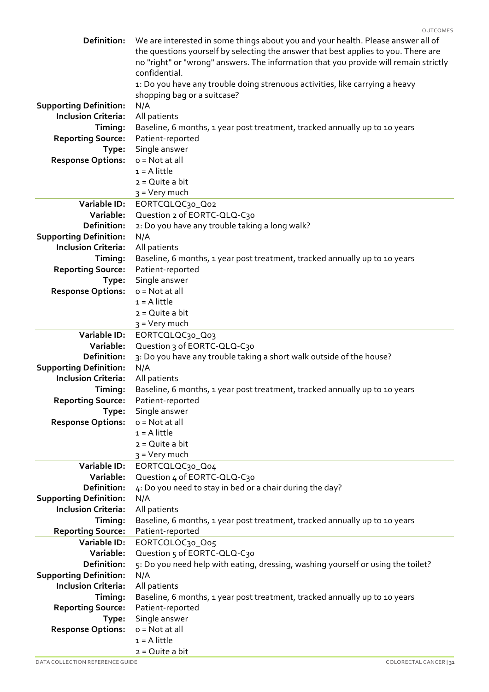| <b>Definition:</b>                        | We are interested in some things about you and your health. Please answer all of<br>the questions yourself by selecting the answer that best applies to you. There are<br>no "right" or "wrong" answers. The information that you provide will remain strictly<br>confidential.<br>1: Do you have any trouble doing strenuous activities, like carrying a heavy<br>shopping bag or a suitcase? |
|-------------------------------------------|------------------------------------------------------------------------------------------------------------------------------------------------------------------------------------------------------------------------------------------------------------------------------------------------------------------------------------------------------------------------------------------------|
| <b>Supporting Definition:</b>             | N/A                                                                                                                                                                                                                                                                                                                                                                                            |
| <b>Inclusion Criteria:</b>                | All patients                                                                                                                                                                                                                                                                                                                                                                                   |
|                                           |                                                                                                                                                                                                                                                                                                                                                                                                |
| Timing:                                   | Baseline, 6 months, 1 year post treatment, tracked annually up to 10 years                                                                                                                                                                                                                                                                                                                     |
| <b>Reporting Source:</b>                  | Patient-reported                                                                                                                                                                                                                                                                                                                                                                               |
| Type:                                     | Single answer                                                                                                                                                                                                                                                                                                                                                                                  |
| <b>Response Options:</b>                  | $o = Not$ at all                                                                                                                                                                                                                                                                                                                                                                               |
|                                           | $1 = A$ little                                                                                                                                                                                                                                                                                                                                                                                 |
|                                           | $2 = Q$ uite a bit                                                                                                                                                                                                                                                                                                                                                                             |
|                                           | 3 = Very much                                                                                                                                                                                                                                                                                                                                                                                  |
| Variable ID:                              | EORTCQLQC30_Q02                                                                                                                                                                                                                                                                                                                                                                                |
| Variable:                                 | Question 2 of EORTC-QLQ-C30                                                                                                                                                                                                                                                                                                                                                                    |
| Definition:                               | 2: Do you have any trouble taking a long walk?                                                                                                                                                                                                                                                                                                                                                 |
| <b>Supporting Definition:</b>             | N/A                                                                                                                                                                                                                                                                                                                                                                                            |
| <b>Inclusion Criteria:</b>                | All patients                                                                                                                                                                                                                                                                                                                                                                                   |
| Timing:                                   | Baseline, 6 months, 1 year post treatment, tracked annually up to 10 years                                                                                                                                                                                                                                                                                                                     |
| <b>Reporting Source:</b>                  | Patient-reported                                                                                                                                                                                                                                                                                                                                                                               |
| Type:                                     | Single answer                                                                                                                                                                                                                                                                                                                                                                                  |
| <b>Response Options:</b>                  | $o = Not$ at all                                                                                                                                                                                                                                                                                                                                                                               |
|                                           | $1 = A$ little                                                                                                                                                                                                                                                                                                                                                                                 |
|                                           | $2 = Q$ uite a bit                                                                                                                                                                                                                                                                                                                                                                             |
|                                           | 3 = Very much                                                                                                                                                                                                                                                                                                                                                                                  |
| Variable ID:                              | EORTCQLQC30_Q03                                                                                                                                                                                                                                                                                                                                                                                |
| Variable:                                 | Question 3 of EORTC-QLQ-C30                                                                                                                                                                                                                                                                                                                                                                    |
| <b>Definition:</b>                        | 3: Do you have any trouble taking a short walk outside of the house?                                                                                                                                                                                                                                                                                                                           |
| <b>Supporting Definition:</b>             | N/A                                                                                                                                                                                                                                                                                                                                                                                            |
| <b>Inclusion Criteria:</b>                | All patients                                                                                                                                                                                                                                                                                                                                                                                   |
| Timing:                                   | Baseline, 6 months, 1 year post treatment, tracked annually up to 10 years                                                                                                                                                                                                                                                                                                                     |
| <b>Reporting Source:</b> Patient-reported |                                                                                                                                                                                                                                                                                                                                                                                                |
| Type:                                     | Single answer                                                                                                                                                                                                                                                                                                                                                                                  |
| <b>Response Options:</b>                  | $o = Not$ at all                                                                                                                                                                                                                                                                                                                                                                               |
|                                           | $1 = A$ little                                                                                                                                                                                                                                                                                                                                                                                 |
|                                           | $2 = Q$ uite a bit                                                                                                                                                                                                                                                                                                                                                                             |
|                                           | $3 =$ Very much                                                                                                                                                                                                                                                                                                                                                                                |
| Variable ID:                              | EORTCOLOC30_O04                                                                                                                                                                                                                                                                                                                                                                                |
| Variable:                                 | Question 4 of EORTC-QLQ-C30                                                                                                                                                                                                                                                                                                                                                                    |
| Definition:                               | 4: Do you need to stay in bed or a chair during the day?                                                                                                                                                                                                                                                                                                                                       |
| <b>Supporting Definition:</b>             | N/A                                                                                                                                                                                                                                                                                                                                                                                            |
| <b>Inclusion Criteria:</b>                | All patients                                                                                                                                                                                                                                                                                                                                                                                   |
| Timing:                                   | Baseline, 6 months, 1 year post treatment, tracked annually up to 10 years                                                                                                                                                                                                                                                                                                                     |
| <b>Reporting Source:</b>                  | Patient-reported                                                                                                                                                                                                                                                                                                                                                                               |
| Variable ID:                              | EORTCQLQC30_Q05                                                                                                                                                                                                                                                                                                                                                                                |
| Variable:                                 | Question 5 of EORTC-QLQ-C30                                                                                                                                                                                                                                                                                                                                                                    |
| <b>Definition:</b>                        | 5: Do you need help with eating, dressing, washing yourself or using the toilet?                                                                                                                                                                                                                                                                                                               |
| <b>Supporting Definition:</b>             | N/A                                                                                                                                                                                                                                                                                                                                                                                            |
| <b>Inclusion Criteria:</b>                | All patients                                                                                                                                                                                                                                                                                                                                                                                   |
| Timing:                                   | Baseline, 6 months, 1 year post treatment, tracked annually up to 10 years                                                                                                                                                                                                                                                                                                                     |
| <b>Reporting Source:</b>                  | Patient-reported                                                                                                                                                                                                                                                                                                                                                                               |
| Type:                                     | Single answer                                                                                                                                                                                                                                                                                                                                                                                  |
| <b>Response Options:</b>                  | $o = Not$ at all                                                                                                                                                                                                                                                                                                                                                                               |
|                                           | $1 = A$ little                                                                                                                                                                                                                                                                                                                                                                                 |
|                                           | 2 = Quite a bit                                                                                                                                                                                                                                                                                                                                                                                |
|                                           |                                                                                                                                                                                                                                                                                                                                                                                                |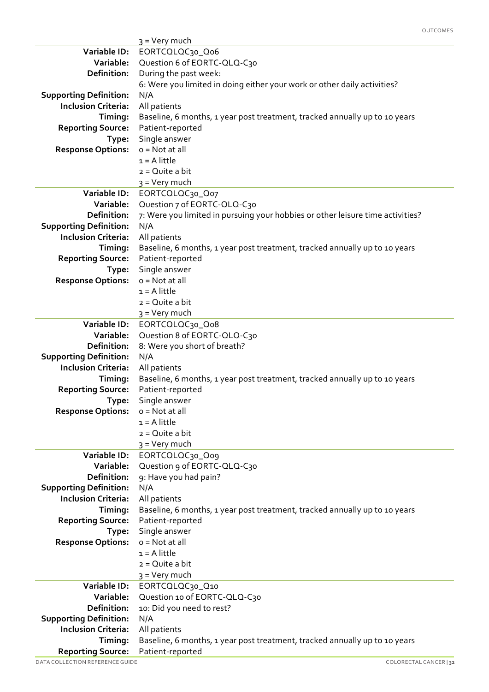|                               | 3 = Very much                                                                  |
|-------------------------------|--------------------------------------------------------------------------------|
| Variable ID:                  | EORTCQLQC30_Qo6                                                                |
| Variable:                     | Question 6 of EORTC-QLQ-C30                                                    |
| Definition:                   | During the past week:                                                          |
|                               | 6: Were you limited in doing either your work or other daily activities?       |
| <b>Supporting Definition:</b> | N/A                                                                            |
| <b>Inclusion Criteria:</b>    | All patients                                                                   |
| Timing:                       | Baseline, 6 months, 1 year post treatment, tracked annually up to 10 years     |
| <b>Reporting Source:</b>      | Patient-reported                                                               |
| Type:                         | Single answer                                                                  |
| <b>Response Options:</b>      | $o = Not at all$                                                               |
|                               | $1 = A$ little                                                                 |
|                               | $2 = Q$ uite a bit                                                             |
|                               | 3 = Very much                                                                  |
| Variable ID:                  | EORTCQLQC30_Q07                                                                |
| Variable:                     | Question 7 of EORTC-QLQ-C30                                                    |
| Definition:                   | 7: Were you limited in pursuing your hobbies or other leisure time activities? |
| <b>Supporting Definition:</b> | N/A                                                                            |
| <b>Inclusion Criteria:</b>    | All patients                                                                   |
| Timing:                       | Baseline, 6 months, 1 year post treatment, tracked annually up to 10 years     |
| <b>Reporting Source:</b>      | Patient-reported                                                               |
| Type:                         | Single answer                                                                  |
| <b>Response Options:</b>      | $o = Not$ at all                                                               |
|                               | $1 = A$ little                                                                 |
|                               | $2 = Q$ uite a bit                                                             |
|                               | 3 = Very much                                                                  |
| <b>Variable ID:</b>           | EORTCQLQC30_Qo8                                                                |
| Variable:                     | Question 8 of EORTC-QLQ-C30                                                    |
| Definition:                   | 8: Were you short of breath?                                                   |
| <b>Supporting Definition:</b> | N/A                                                                            |
| <b>Inclusion Criteria:</b>    | All patients                                                                   |
| Timing:                       | Baseline, 6 months, 1 year post treatment, tracked annually up to 10 years     |
| <b>Reporting Source:</b>      | Patient-reported                                                               |
| Type:                         | Single answer                                                                  |
| <b>Response Options:</b>      | $o = Not at all$                                                               |
|                               | $1 = A$ little                                                                 |
|                               | $2 = Q$ uite a bit                                                             |
|                               | 3 = Very much                                                                  |
| Variable ID:                  | EORTCQLQC30_Qo9                                                                |
| Variable:                     | Question 9 of EORTC-QLQ-C30                                                    |
| Definition:                   | 9: Have you had pain?                                                          |
| <b>Supporting Definition:</b> | N/A                                                                            |
| <b>Inclusion Criteria:</b>    | All patients                                                                   |
| Timing:                       | Baseline, 6 months, 1 year post treatment, tracked annually up to 10 years     |
| <b>Reporting Source:</b>      | Patient-reported                                                               |
| Type:                         | Single answer                                                                  |
| <b>Response Options:</b>      | $o = Not at all$                                                               |
|                               | $1 = A$ little                                                                 |
|                               | 2 = Quite a bit                                                                |
|                               | 3 = Very much                                                                  |
| Variable ID:                  | EORTCOLOC30_Q10                                                                |
| Variable:                     | Question 10 of EORTC-QLQ-C30                                                   |
| Definition:                   | 10: Did you need to rest?                                                      |
| <b>Supporting Definition:</b> | N/A                                                                            |
| <b>Inclusion Criteria:</b>    | All patients                                                                   |
| Timing:                       | Baseline, 6 months, 1 year post treatment, tracked annually up to 10 years     |
| <b>Reporting Source:</b>      | Patient-reported                                                               |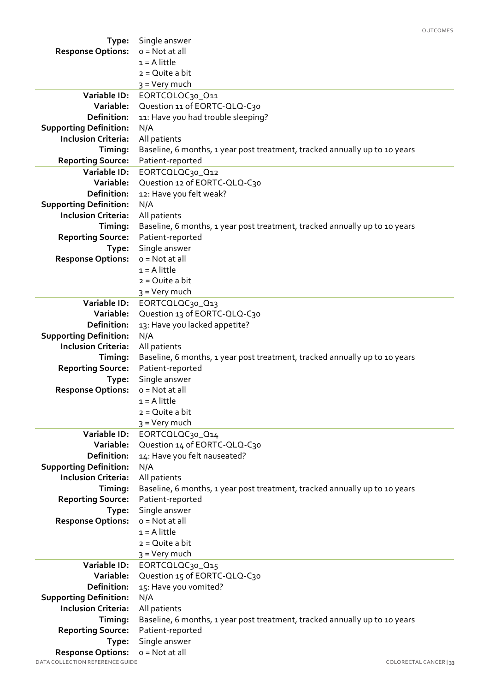|                                 |                                                                            | <b>OUTCOMES</b>        |
|---------------------------------|----------------------------------------------------------------------------|------------------------|
| Type:                           | Single answer                                                              |                        |
| <b>Response Options:</b>        | $o = Not at all$                                                           |                        |
|                                 | $1 = A$ little                                                             |                        |
|                                 | $2 = Q$ uite a bit                                                         |                        |
|                                 | $3 =$ Very much                                                            |                        |
| Variable ID:                    | EORTCOLOC30_Q11                                                            |                        |
| Variable:                       | Question 11 of EORTC-QLQ-C30                                               |                        |
| Definition:                     | 11: Have you had trouble sleeping?                                         |                        |
| <b>Supporting Definition:</b>   | N/A                                                                        |                        |
| <b>Inclusion Criteria:</b>      | All patients                                                               |                        |
| Timing:                         | Baseline, 6 months, 1 year post treatment, tracked annually up to 10 years |                        |
| <b>Reporting Source:</b>        | Patient-reported                                                           |                        |
| Variable ID:                    | EORTCOLOC30_Q12                                                            |                        |
| Variable:                       | Question 12 of EORTC-QLQ-C30                                               |                        |
| <b>Definition:</b>              | 12: Have you felt weak?                                                    |                        |
| <b>Supporting Definition:</b>   | N/A                                                                        |                        |
| <b>Inclusion Criteria:</b>      | All patients                                                               |                        |
| Timing:                         | Baseline, 6 months, 1 year post treatment, tracked annually up to 10 years |                        |
| <b>Reporting Source:</b>        | Patient-reported                                                           |                        |
| Type:                           | Single answer                                                              |                        |
| <b>Response Options:</b>        | $o = Not$ at all                                                           |                        |
|                                 | $1 = A$ little                                                             |                        |
|                                 | $2 = Q$ uite a bit                                                         |                        |
|                                 |                                                                            |                        |
| Variable ID:                    | $3 =$ Very much                                                            |                        |
|                                 | EORTCQLQC30_Q13                                                            |                        |
| Variable:                       | Question 13 of EORTC-QLQ-C30                                               |                        |
| Definition:                     | 13: Have you lacked appetite?                                              |                        |
| <b>Supporting Definition:</b>   | N/A                                                                        |                        |
| <b>Inclusion Criteria:</b>      | All patients                                                               |                        |
| Timing:                         | Baseline, 6 months, 1 year post treatment, tracked annually up to 10 years |                        |
| <b>Reporting Source:</b>        | Patient-reported                                                           |                        |
| Type:                           | Single answer                                                              |                        |
| <b>Response Options:</b>        | $o = Not at all$                                                           |                        |
|                                 | $1 = A$ little                                                             |                        |
|                                 | $2 = Q$ uite a bit                                                         |                        |
|                                 | $3 =$ Very much                                                            |                        |
| Variable ID:                    | EORTCOLOC30_014                                                            |                        |
| Variable:                       | Question 14 of EORTC-QLQ-C30                                               |                        |
| <b>Definition:</b>              | 14: Have you felt nauseated?                                               |                        |
| <b>Supporting Definition:</b>   | N/A                                                                        |                        |
| <b>Inclusion Criteria:</b>      | All patients                                                               |                        |
| Timing:                         | Baseline, 6 months, 1 year post treatment, tracked annually up to 10 years |                        |
| <b>Reporting Source:</b>        | Patient-reported                                                           |                        |
| Type:                           | Single answer                                                              |                        |
| <b>Response Options:</b>        | $o = Not$ at all                                                           |                        |
|                                 | $1 = A$ little                                                             |                        |
|                                 | $2 = Q$ uite a bit                                                         |                        |
|                                 | 3 = Very much                                                              |                        |
| Variable ID:                    | EORTCOLOC30_015                                                            |                        |
| Variable:                       | Question 15 of EORTC-QLQ-C30                                               |                        |
| Definition:                     | 15: Have you vomited?                                                      |                        |
| <b>Supporting Definition:</b>   | N/A                                                                        |                        |
| <b>Inclusion Criteria:</b>      | All patients                                                               |                        |
| Timing:                         | Baseline, 6 months, 1 year post treatment, tracked annually up to 10 years |                        |
| <b>Reporting Source:</b>        | Patient-reported                                                           |                        |
| Type:                           | Single answer                                                              |                        |
| <b>Response Options:</b>        | $o = Not at all$                                                           |                        |
| DATA COLLECTION REFERENCE GUIDE |                                                                            | COLORECTAL CANCER   33 |
|                                 |                                                                            |                        |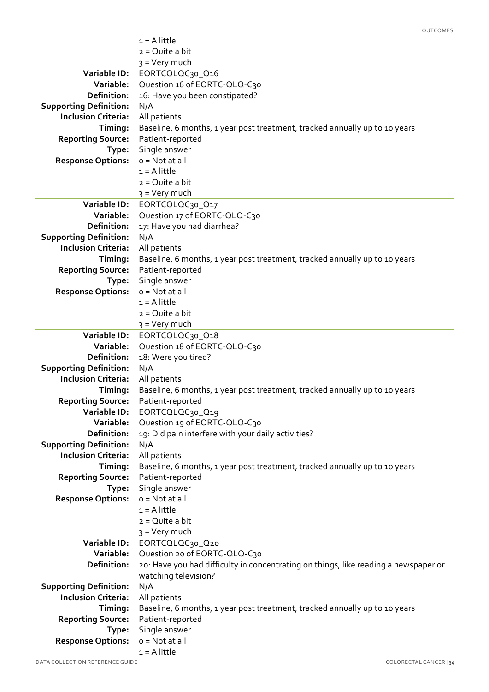|                               | $1 = A$ little                                                                      |
|-------------------------------|-------------------------------------------------------------------------------------|
|                               | $2 = Q$ uite a bit                                                                  |
|                               | 3 = Very much                                                                       |
| Variable ID:                  | EORTCQLQC30_Q16                                                                     |
| Variable:                     | Question 16 of EORTC-QLQ-C30                                                        |
| Definition:                   | 16: Have you been constipated?                                                      |
| <b>Supporting Definition:</b> | N/A                                                                                 |
| <b>Inclusion Criteria:</b>    | All patients                                                                        |
| Timing:                       | Baseline, 6 months, 1 year post treatment, tracked annually up to 10 years          |
|                               | Patient-reported                                                                    |
| <b>Reporting Source:</b>      |                                                                                     |
| Type:                         | Single answer                                                                       |
| <b>Response Options:</b>      | $o = Not at all$                                                                    |
|                               | $1 = A$ little                                                                      |
|                               | $2 = Q$ uite a bit                                                                  |
|                               | 3 = Very much                                                                       |
| Variable ID:                  | EORTCOLOC30_O17                                                                     |
| Variable:                     | Question 17 of EORTC-QLQ-C30                                                        |
| Definition:                   | 17: Have you had diarrhea?                                                          |
| <b>Supporting Definition:</b> | N/A                                                                                 |
| <b>Inclusion Criteria:</b>    | All patients                                                                        |
| Timing:                       | Baseline, 6 months, 1 year post treatment, tracked annually up to 10 years          |
| <b>Reporting Source:</b>      | Patient-reported                                                                    |
| Type:                         | Single answer                                                                       |
| <b>Response Options:</b>      | $o = Not at all$                                                                    |
|                               | $1 = A$ little                                                                      |
|                               | $2 = Q$ uite a bit                                                                  |
|                               | 3 = Very much                                                                       |
| Variable ID:                  | EORTCQLQC30_Q18                                                                     |
| Variable:                     | Question 18 of EORTC-QLQ-C30                                                        |
| <b>Definition:</b>            | 18: Were you tired?                                                                 |
| <b>Supporting Definition:</b> | N/A                                                                                 |
| <b>Inclusion Criteria:</b>    | All patients                                                                        |
| Timing:                       | Baseline, 6 months, 1 year post treatment, tracked annually up to 10 years          |
| <b>Reporting Source:</b>      | Patient-reported                                                                    |
| Variable ID:                  | EORTCOLOC30_Q19                                                                     |
| Variable:                     | Question 19 of EORTC-QLQ-C30                                                        |
| Definition:                   | 19: Did pain interfere with your daily activities?                                  |
| <b>Supporting Definition:</b> | N/A                                                                                 |
| <b>Inclusion Criteria:</b>    | All patients                                                                        |
| Timing:                       | Baseline, 6 months, 1 year post treatment, tracked annually up to 10 years          |
| <b>Reporting Source:</b>      | Patient-reported                                                                    |
| Type:                         | Single answer                                                                       |
| <b>Response Options:</b>      | $o = Not at all$                                                                    |
|                               | $1 = A$ little                                                                      |
|                               | $2 = Q$ uite a bit                                                                  |
|                               | $3 = Very$ much                                                                     |
| Variable ID:                  | EORTCQLQC30_Q20                                                                     |
| Variable:                     | Question 20 of EORTC-QLQ-C30                                                        |
| Definition:                   |                                                                                     |
|                               | 20: Have you had difficulty in concentrating on things, like reading a newspaper or |
|                               | watching television?                                                                |
| <b>Supporting Definition:</b> | N/A                                                                                 |
| <b>Inclusion Criteria:</b>    | All patients                                                                        |
| Timing:                       | Baseline, 6 months, 1 year post treatment, tracked annually up to 10 years          |
| <b>Reporting Source:</b>      | Patient-reported                                                                    |
| Type:                         | Single answer                                                                       |
| <b>Response Options:</b>      | $o = Not at all$                                                                    |
|                               | $1 = A$ little                                                                      |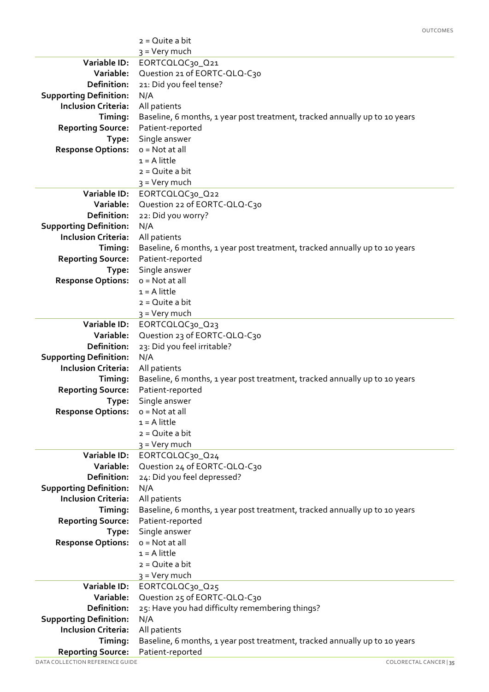|                                                             | $2 = Q$ uite a bit                                                         |
|-------------------------------------------------------------|----------------------------------------------------------------------------|
|                                                             | 3 = Very much                                                              |
| Variable ID:                                                | EORTCOLOC30_Q21                                                            |
| Variable:                                                   | Question 21 of EORTC-QLQ-C30                                               |
| <b>Definition:</b>                                          | 21: Did you feel tense?                                                    |
| <b>Supporting Definition:</b>                               | N/A                                                                        |
| <b>Inclusion Criteria:</b>                                  | All patients                                                               |
| Timing:                                                     | Baseline, 6 months, 1 year post treatment, tracked annually up to 10 years |
| <b>Reporting Source:</b>                                    | Patient-reported                                                           |
| Type:                                                       | Single answer                                                              |
| <b>Response Options:</b>                                    | $o = Not at all$                                                           |
|                                                             | $1 = A$ little                                                             |
|                                                             | $2 = Q$ uite a bit                                                         |
|                                                             | 3 = Very much                                                              |
| Variable ID:                                                | EORTCOLOC30_Q22                                                            |
| Variable:                                                   | Question 22 of EORTC-QLQ-C30                                               |
| <b>Definition:</b>                                          | 22: Did you worry?                                                         |
| <b>Supporting Definition:</b>                               | N/A                                                                        |
| <b>Inclusion Criteria:</b>                                  | All patients                                                               |
| Timing:                                                     | Baseline, 6 months, 1 year post treatment, tracked annually up to 10 years |
| <b>Reporting Source:</b>                                    | Patient-reported                                                           |
| Type:                                                       | Single answer                                                              |
| <b>Response Options:</b>                                    | $o = Not at all$                                                           |
|                                                             | $1 = A$ little                                                             |
|                                                             | $2 = Q$ uite a bit                                                         |
|                                                             | 3 = Very much                                                              |
| Variable ID:                                                | EORTCQLQC30_Q23                                                            |
| Variable:                                                   | Question 23 of EORTC-QLQ-C30                                               |
| Definition:                                                 | 23: Did you feel irritable?                                                |
| <b>Supporting Definition:</b>                               | N/A                                                                        |
| <b>Inclusion Criteria:</b>                                  | All patients                                                               |
| Timing:                                                     | Baseline, 6 months, 1 year post treatment, tracked annually up to 10 years |
| <b>Reporting Source:</b>                                    | Patient-reported                                                           |
| Type:                                                       | Single answer                                                              |
| <b>Response Options:</b>                                    | $o = Not at all$                                                           |
|                                                             | $1 = A$ little                                                             |
|                                                             | $2 = Q$ uite a bit                                                         |
|                                                             | 3 = Very much                                                              |
| Variable ID:                                                | EORTCOLOC30_Q24                                                            |
| Variable:                                                   | Question 24 of EORTC-QLQ-C30                                               |
| <b>Definition:</b>                                          | 24: Did you feel depressed?                                                |
| <b>Supporting Definition:</b>                               | N/A                                                                        |
| <b>Inclusion Criteria:</b>                                  | All patients                                                               |
| Timing:                                                     | Baseline, 6 months, 1 year post treatment, tracked annually up to 10 years |
| <b>Reporting Source:</b>                                    | Patient-reported                                                           |
| Type:                                                       | Single answer                                                              |
| <b>Response Options:</b>                                    | $o = Not at all$                                                           |
|                                                             | $1 = A$ little                                                             |
|                                                             | $2 = Q$ uite a bit                                                         |
|                                                             | 3 = Very much                                                              |
| Variable ID:                                                | EORTCQLQC30_Q25                                                            |
| Variable:                                                   | Question 25 of EORTC-QLQ-C30                                               |
| Definition:                                                 | 25: Have you had difficulty remembering things?                            |
| <b>Supporting Definition:</b>                               | N/A                                                                        |
| <b>Inclusion Criteria:</b>                                  | All patients                                                               |
| Timing:                                                     | Baseline, 6 months, 1 year post treatment, tracked annually up to 10 years |
| <b>Reporting Source:</b><br>DATA COLLECTION REFERENCE GUIDE | Patient-reported<br>COLORECTAL CANCER   35                                 |
|                                                             |                                                                            |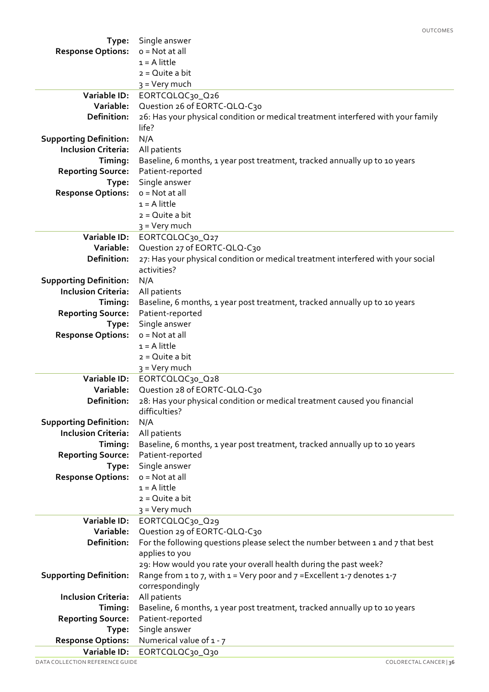|                               | <b>OUTCOMES</b>                                                                                 |
|-------------------------------|-------------------------------------------------------------------------------------------------|
| Type:                         | Single answer                                                                                   |
| <b>Response Options:</b>      | $o = Not$ at all                                                                                |
|                               | $1 = A$ little                                                                                  |
|                               | $2 = Q$ uite a bit                                                                              |
|                               | 3 = Very much                                                                                   |
| Variable ID:                  | EORTCQLQC30_Q26                                                                                 |
| Variable:                     | Question 26 of EORTC-QLQ-C30                                                                    |
| Definition:                   | 26: Has your physical condition or medical treatment interfered with your family                |
|                               | life?                                                                                           |
| <b>Supporting Definition:</b> | N/A                                                                                             |
| <b>Inclusion Criteria:</b>    | All patients                                                                                    |
| Timing:                       | Baseline, 6 months, 1 year post treatment, tracked annually up to 10 years                      |
| <b>Reporting Source:</b>      | Patient-reported                                                                                |
| Type:                         | Single answer                                                                                   |
| <b>Response Options:</b>      | $o = Not$ at all                                                                                |
|                               | $1 = A$ little                                                                                  |
|                               | $2 = Q$ uite a bit                                                                              |
|                               | 3 = Very much                                                                                   |
| Variable ID:                  | EORTCQLQC30_Q27                                                                                 |
| Variable:                     | Question 27 of EORTC-QLQ-C30                                                                    |
| <b>Definition:</b>            | 27: Has your physical condition or medical treatment interfered with your social                |
|                               | activities?                                                                                     |
| <b>Supporting Definition:</b> | N/A                                                                                             |
| <b>Inclusion Criteria:</b>    | All patients                                                                                    |
| Timing:                       | Baseline, 6 months, 1 year post treatment, tracked annually up to 10 years                      |
| <b>Reporting Source:</b>      | Patient-reported                                                                                |
| Type:                         | Single answer                                                                                   |
| <b>Response Options:</b>      | $o = Not at all$                                                                                |
|                               | $1 = A$ little                                                                                  |
|                               | $2 = Q$ uite a bit                                                                              |
|                               | 3 = Very much                                                                                   |
| Variable ID:                  | EORTCQLQC30_Q28                                                                                 |
| Variable:                     | Question 28 of EORTC-QLQ-C30                                                                    |
| Definition:                   | 28: Has your physical condition or medical treatment caused you financial                       |
|                               | difficulties?                                                                                   |
| <b>Supporting Definition:</b> | N/A                                                                                             |
| <b>Inclusion Criteria:</b>    | All patients                                                                                    |
| Timing:                       | Baseline, 6 months, 1 year post treatment, tracked annually up to 10 years                      |
| <b>Reporting Source:</b>      | Patient-reported                                                                                |
| Type:                         | Single answer                                                                                   |
| <b>Response Options:</b>      | o = Not at all                                                                                  |
|                               | $1 = A$ little                                                                                  |
|                               | $2 = Q$ uite a bit                                                                              |
|                               | $3 = Very$ much                                                                                 |
| Variable ID:                  | EORTCQLQC30_Q29                                                                                 |
| Variable:                     | Question 29 of EORTC-QLQ-C30                                                                    |
| Definition:                   | For the following questions please select the number between 1 and 7 that best                  |
|                               | applies to you                                                                                  |
|                               | 29: How would you rate your overall health during the past week?                                |
| <b>Supporting Definition:</b> | Range from 1 to 7, with $1 = \text{Very poor and } 7 = \text{Excellent } 1 - 7$ denotes $1 - 7$ |
|                               | correspondingly                                                                                 |
| <b>Inclusion Criteria:</b>    | All patients                                                                                    |
| Timing:                       | Baseline, 6 months, 1 year post treatment, tracked annually up to 10 years                      |
| <b>Reporting Source:</b>      | Patient-reported                                                                                |
| Type:                         | Single answer                                                                                   |
| <b>Response Options:</b>      | Numerical value of 1 - 7                                                                        |
| Variable ID:                  | EORTCQLQC30_Q30                                                                                 |
|                               |                                                                                                 |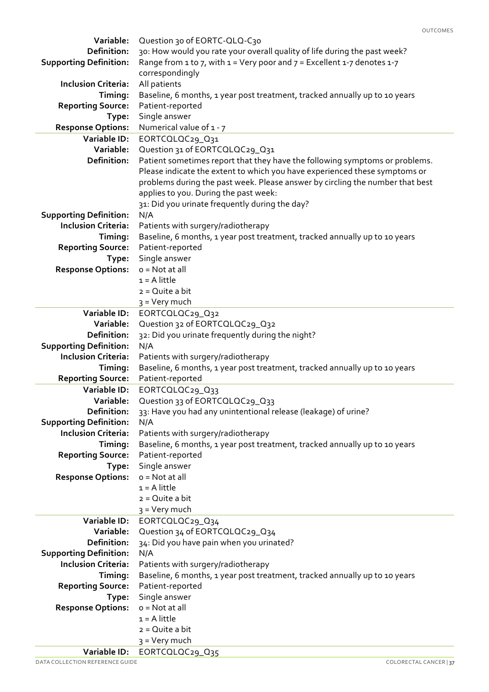| Variable:                     | Question 30 of EORTC-QLQ-C30                                                                                                                                |  |  |
|-------------------------------|-------------------------------------------------------------------------------------------------------------------------------------------------------------|--|--|
| <b>Definition:</b>            | 30: How would you rate your overall quality of life during the past week?                                                                                   |  |  |
| <b>Supporting Definition:</b> | Range from 1 to 7, with $1 = \text{Very poor and } 7 = \text{Excellent } 1 - 7 \text{ denotes } 1 - 7$                                                      |  |  |
|                               | correspondingly                                                                                                                                             |  |  |
| <b>Inclusion Criteria:</b>    | All patients                                                                                                                                                |  |  |
| Timing:                       | Baseline, 6 months, 1 year post treatment, tracked annually up to 10 years                                                                                  |  |  |
| <b>Reporting Source:</b>      | Patient-reported                                                                                                                                            |  |  |
| Type:                         | Single answer                                                                                                                                               |  |  |
| <b>Response Options:</b>      | Numerical value of 1 - 7                                                                                                                                    |  |  |
| Variable ID:                  |                                                                                                                                                             |  |  |
| Variable:                     | EORTCOLOC29_031                                                                                                                                             |  |  |
| Definition:                   | Question 31 of EORTCQLQC29_Q31                                                                                                                              |  |  |
|                               | Patient sometimes report that they have the following symptoms or problems.                                                                                 |  |  |
|                               | Please indicate the extent to which you have experienced these symptoms or<br>problems during the past week. Please answer by circling the number that best |  |  |
|                               | applies to you. During the past week:                                                                                                                       |  |  |
|                               |                                                                                                                                                             |  |  |
|                               | 31: Did you urinate frequently during the day?                                                                                                              |  |  |
| <b>Supporting Definition:</b> | N/A                                                                                                                                                         |  |  |
| <b>Inclusion Criteria:</b>    | Patients with surgery/radiotherapy                                                                                                                          |  |  |
| Timing:                       | Baseline, 6 months, 1 year post treatment, tracked annually up to 10 years                                                                                  |  |  |
| <b>Reporting Source:</b>      | Patient-reported                                                                                                                                            |  |  |
| Type:                         | Single answer                                                                                                                                               |  |  |
| <b>Response Options:</b>      | $o = Not$ at all                                                                                                                                            |  |  |
|                               | $1 = A$ little                                                                                                                                              |  |  |
|                               | $2 = Q$ uite a bit                                                                                                                                          |  |  |
|                               | 3 = Very much                                                                                                                                               |  |  |
| <b>Variable ID:</b>           | EORTCOLOC29_Q32                                                                                                                                             |  |  |
| Variable:                     | Question 32 of EORTCQLQC29_Q32                                                                                                                              |  |  |
| Definition:                   | 32: Did you urinate frequently during the night?                                                                                                            |  |  |
| <b>Supporting Definition:</b> | N/A                                                                                                                                                         |  |  |
| <b>Inclusion Criteria:</b>    | Patients with surgery/radiotherapy                                                                                                                          |  |  |
| Timing:                       | Baseline, 6 months, 1 year post treatment, tracked annually up to 10 years                                                                                  |  |  |
| <b>Reporting Source:</b>      | Patient-reported                                                                                                                                            |  |  |
| Variable ID:                  | EORTCQLQC29_Q33                                                                                                                                             |  |  |
| Variable:                     | Question 33 of EORTCOLOC29_033                                                                                                                              |  |  |
| Definition:                   | 33: Have you had any unintentional release (leakage) of urine?                                                                                              |  |  |
| <b>Supporting Definition:</b> | N/A                                                                                                                                                         |  |  |
| <b>Inclusion Criteria:</b>    | Patients with surgery/radiotherapy                                                                                                                          |  |  |
| Timing:                       | Baseline, 6 months, 1 year post treatment, tracked annually up to 10 years                                                                                  |  |  |
| <b>Reporting Source:</b>      | Patient-reported                                                                                                                                            |  |  |
| Type:                         | Single answer                                                                                                                                               |  |  |
| <b>Response Options:</b>      | $o = Not$ at all                                                                                                                                            |  |  |
|                               | $1 = A$ little                                                                                                                                              |  |  |
|                               | $2 = Q$ uite a bit                                                                                                                                          |  |  |
|                               | 3 = Very much                                                                                                                                               |  |  |
| Variable ID:                  | EORTCQLQC29_Q34                                                                                                                                             |  |  |
| Variable:                     | Question 34 of EORTCOLOC29_Q34                                                                                                                              |  |  |
| Definition:                   | 34: Did you have pain when you urinated?                                                                                                                    |  |  |
| <b>Supporting Definition:</b> | N/A                                                                                                                                                         |  |  |
| <b>Inclusion Criteria:</b>    | Patients with surgery/radiotherapy                                                                                                                          |  |  |
| Timing:                       | Baseline, 6 months, 1 year post treatment, tracked annually up to 10 years                                                                                  |  |  |
| <b>Reporting Source:</b>      | Patient-reported                                                                                                                                            |  |  |
| Type:                         | Single answer                                                                                                                                               |  |  |
| <b>Response Options:</b>      | o = Not at all                                                                                                                                              |  |  |
|                               | $1 = A$ little                                                                                                                                              |  |  |
|                               | $2 = Q$ uite a bit                                                                                                                                          |  |  |
|                               | 3 = Very much                                                                                                                                               |  |  |
| Variable ID:                  | EORTCOLOC29_035                                                                                                                                             |  |  |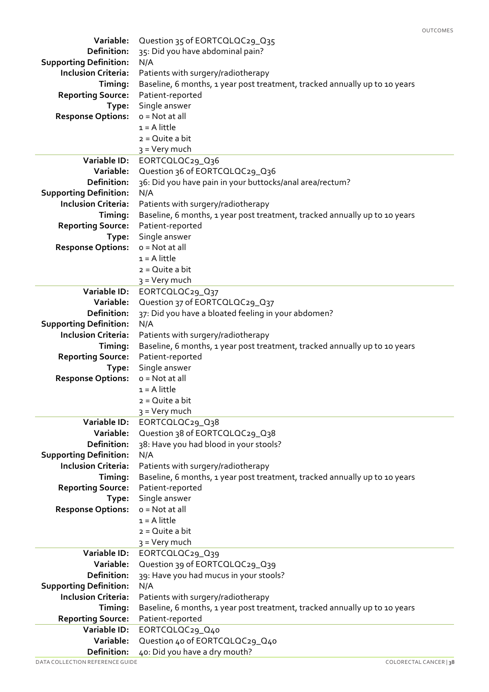| Variable:                                                   | Question 35 of EORTCQLQC29_Q35                                                                 |  |  |
|-------------------------------------------------------------|------------------------------------------------------------------------------------------------|--|--|
| Definition:                                                 | 35: Did you have abdominal pain?                                                               |  |  |
| <b>Supporting Definition:</b>                               | N/A                                                                                            |  |  |
| <b>Inclusion Criteria:</b>                                  | Patients with surgery/radiotherapy                                                             |  |  |
| Timing:                                                     | Baseline, 6 months, 1 year post treatment, tracked annually up to 10 years                     |  |  |
| <b>Reporting Source:</b>                                    | Patient-reported                                                                               |  |  |
| Type:                                                       | Single answer                                                                                  |  |  |
| <b>Response Options:</b>                                    | $o = Not at all$                                                                               |  |  |
|                                                             | $1 = A$ little                                                                                 |  |  |
|                                                             | $2 = Q$ uite a bit                                                                             |  |  |
|                                                             | 3 = Very much                                                                                  |  |  |
| Variable ID:                                                | EORTCQLQC29_Q36                                                                                |  |  |
| Variable:                                                   | Question 36 of EORTCQLQC29_Q36                                                                 |  |  |
| Definition:                                                 | 36: Did you have pain in your buttocks/anal area/rectum?                                       |  |  |
| <b>Supporting Definition:</b><br><b>Inclusion Criteria:</b> | N/A                                                                                            |  |  |
| Timing:                                                     | Patients with surgery/radiotherapy                                                             |  |  |
| <b>Reporting Source:</b>                                    | Baseline, 6 months, 1 year post treatment, tracked annually up to 10 years<br>Patient-reported |  |  |
| Type:                                                       | Single answer                                                                                  |  |  |
| <b>Response Options:</b>                                    | $o = Not at all$                                                                               |  |  |
|                                                             | $1 = A$ little                                                                                 |  |  |
|                                                             | $2 = Q$ uite a bit                                                                             |  |  |
|                                                             | 3 = Very much                                                                                  |  |  |
| Variable ID:                                                | EORTCQLQC29_Q37                                                                                |  |  |
| Variable:                                                   | Question 37 of EORTCOLOC29_Q37                                                                 |  |  |
| Definition:                                                 | 37: Did you have a bloated feeling in your abdomen?                                            |  |  |
| <b>Supporting Definition:</b>                               | N/A                                                                                            |  |  |
| <b>Inclusion Criteria:</b>                                  | Patients with surgery/radiotherapy                                                             |  |  |
| Timing:                                                     | Baseline, 6 months, 1 year post treatment, tracked annually up to 10 years                     |  |  |
| <b>Reporting Source:</b>                                    | Patient-reported                                                                               |  |  |
| Type:                                                       | Single answer                                                                                  |  |  |
| <b>Response Options:</b>                                    | $o = Not at all$                                                                               |  |  |
|                                                             | $1 = A$ little                                                                                 |  |  |
|                                                             | $2 = Q$ uite a bit                                                                             |  |  |
|                                                             | 3 = Very much                                                                                  |  |  |
| Variable ID:                                                | EORTCQLQC29_Q38                                                                                |  |  |
| Variable:<br>Definition:                                    | Question 38 of EORTCOLOC29_Q38<br>38: Have you had blood in your stools?                       |  |  |
| <b>Supporting Definition:</b>                               | N/A                                                                                            |  |  |
| <b>Inclusion Criteria:</b>                                  | Patients with surgery/radiotherapy                                                             |  |  |
| Timing:                                                     | Baseline, 6 months, 1 year post treatment, tracked annually up to 10 years                     |  |  |
| <b>Reporting Source:</b>                                    | Patient-reported                                                                               |  |  |
| Type:                                                       | Single answer                                                                                  |  |  |
| <b>Response Options:</b>                                    | $o = Not$ at all                                                                               |  |  |
|                                                             | $1 = A$ little                                                                                 |  |  |
|                                                             | $2 = Q$ uite a bit                                                                             |  |  |
|                                                             | 3 = Very much                                                                                  |  |  |
| Variable ID:                                                | EORTCOLOC29_Q39                                                                                |  |  |
| Variable:                                                   | Question 39 of EORTCOLOC29_039                                                                 |  |  |
| Definition:                                                 | 39: Have you had mucus in your stools?                                                         |  |  |
| <b>Supporting Definition:</b>                               | N/A                                                                                            |  |  |
| <b>Inclusion Criteria:</b>                                  | Patients with surgery/radiotherapy                                                             |  |  |
| Timing:                                                     | Baseline, 6 months, 1 year post treatment, tracked annually up to 10 years                     |  |  |
| <b>Reporting Source:</b>                                    | Patient-reported                                                                               |  |  |
| Variable ID:                                                | EORTCQLQC29_Q40                                                                                |  |  |
| Variable:                                                   | Question 40 of EORTCQLQC29_Q40                                                                 |  |  |
| Definition:                                                 | 40: Did you have a dry mouth?                                                                  |  |  |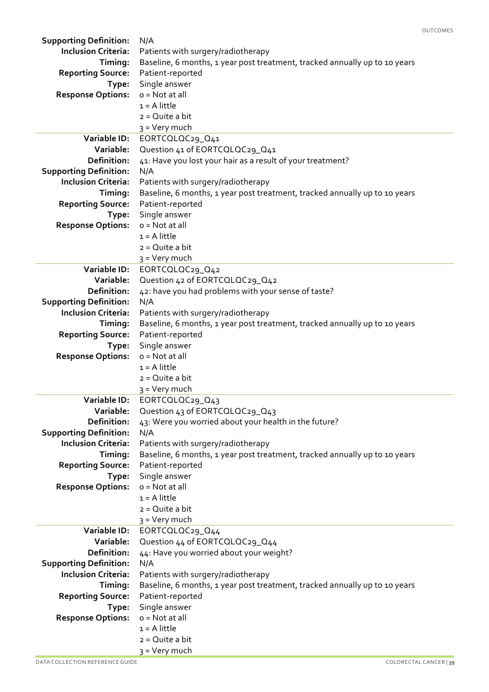|                               |                                                                            | <b>OUTCOMES</b> |
|-------------------------------|----------------------------------------------------------------------------|-----------------|
| <b>Supporting Definition:</b> | N/A                                                                        |                 |
| <b>Inclusion Criteria:</b>    | Patients with surgery/radiotherapy                                         |                 |
| Timing:                       | Baseline, 6 months, 1 year post treatment, tracked annually up to 10 years |                 |
| <b>Reporting Source:</b>      | Patient-reported                                                           |                 |
| Type:                         | Single answer                                                              |                 |
| <b>Response Options:</b>      | $o = Not$ at all                                                           |                 |
|                               | $1 = A$ little                                                             |                 |
|                               | $2 = Q$ uite a bit                                                         |                 |
|                               | 3 = Very much                                                              |                 |
| <b>Variable ID:</b>           | EORTCOLOC29_041                                                            |                 |
| Variable:                     | Question 41 of EORTCQLQC29_Q41                                             |                 |
| Definition:                   | 41: Have you lost your hair as a result of your treatment?                 |                 |
| <b>Supporting Definition:</b> | N/A                                                                        |                 |
| <b>Inclusion Criteria:</b>    | Patients with surgery/radiotherapy                                         |                 |
| Timing:                       | Baseline, 6 months, 1 year post treatment, tracked annually up to 10 years |                 |
| <b>Reporting Source:</b>      | Patient-reported                                                           |                 |
| Type:                         | Single answer                                                              |                 |
| <b>Response Options:</b>      | $o = Not$ at all                                                           |                 |
|                               | $1 = A$ little                                                             |                 |
|                               | $2 = Q$ uite a bit                                                         |                 |
|                               | $3 = V$ ery much                                                           |                 |
| Variable ID:                  | EORTCQLQC29_Q42                                                            |                 |
| Variable:                     | Question 42 of EORTCOLOC29_Q42                                             |                 |
| Definition:                   | 42: have you had problems with your sense of taste?                        |                 |
| <b>Supporting Definition:</b> | N/A                                                                        |                 |
| <b>Inclusion Criteria:</b>    | Patients with surgery/radiotherapy                                         |                 |
|                               |                                                                            |                 |
| Timing:                       | Baseline, 6 months, 1 year post treatment, tracked annually up to 10 years |                 |
| <b>Reporting Source:</b>      | Patient-reported                                                           |                 |
| Type:                         | Single answer                                                              |                 |
| <b>Response Options:</b>      | $o = Not$ at all                                                           |                 |
|                               | $1 = A$ little                                                             |                 |
|                               | $2 = Q$ uite a bit                                                         |                 |
|                               | 3 = Very much                                                              |                 |
| Variable ID:                  | EORTCOLOC29_043                                                            |                 |
| Variable:                     | Question 43 of EORTCQLQC29_Q43                                             |                 |
| Definition:                   | 43: Were you worried about your health in the future?                      |                 |
| <b>Supporting Definition:</b> | N/A                                                                        |                 |
| <b>Inclusion Criteria:</b>    | Patients with surgery/radiotherapy                                         |                 |
| Timing:                       | Baseline, 6 months, 1 year post treatment, tracked annually up to 10 years |                 |
| <b>Reporting Source:</b>      | Patient-reported                                                           |                 |
| Type:                         | Single answer                                                              |                 |
| <b>Response Options:</b>      | $o = Not at all$                                                           |                 |
|                               | $1 = A$ little                                                             |                 |
|                               | $2 = Q$ uite a bit                                                         |                 |
|                               | 3 = Very much                                                              |                 |
| Variable ID:                  | EORTCOLOC29_044                                                            |                 |
| Variable:                     | Question 44 of EORTCOLOC29_044                                             |                 |
| Definition:                   | 44: Have you worried about your weight?                                    |                 |
| <b>Supporting Definition:</b> | N/A                                                                        |                 |
| <b>Inclusion Criteria:</b>    | Patients with surgery/radiotherapy                                         |                 |
| Timing:                       | Baseline, 6 months, 1 year post treatment, tracked annually up to 10 years |                 |
| <b>Reporting Source:</b>      | Patient-reported                                                           |                 |
| Type:                         | Single answer                                                              |                 |
| <b>Response Options:</b>      | $o = Not$ at all                                                           |                 |
|                               | $1 = A$ little                                                             |                 |
|                               | $2 = Q$ uite a bit                                                         |                 |
|                               | $3 = Very$ much                                                            |                 |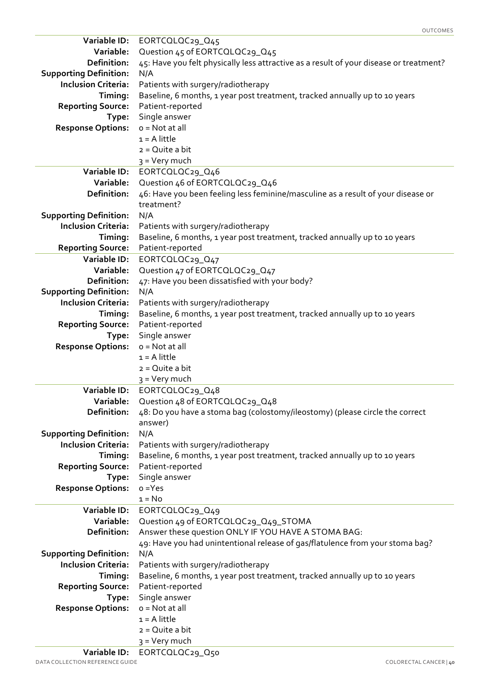| Variable ID:                                                | EORTCQLQC29_Q45                                                                        |  |  |
|-------------------------------------------------------------|----------------------------------------------------------------------------------------|--|--|
| Variable:                                                   | Question 45 of EORTCOLOC29_Q45                                                         |  |  |
| Definition:                                                 | 45: Have you felt physically less attractive as a result of your disease or treatment? |  |  |
| <b>Supporting Definition:</b>                               | N/A                                                                                    |  |  |
| <b>Inclusion Criteria:</b>                                  | Patients with surgery/radiotherapy                                                     |  |  |
| Timing:                                                     | Baseline, 6 months, 1 year post treatment, tracked annually up to 10 years             |  |  |
| <b>Reporting Source:</b>                                    | Patient-reported                                                                       |  |  |
| Type:                                                       | Single answer                                                                          |  |  |
| <b>Response Options:</b>                                    | $o = Not$ at all                                                                       |  |  |
|                                                             | $1 = A$ little                                                                         |  |  |
|                                                             | $2 = Q$ uite a bit                                                                     |  |  |
|                                                             | 3 = Very much                                                                          |  |  |
| Variable ID:                                                | EORTCQLQC29_Q46                                                                        |  |  |
| Variable:                                                   | Question 46 of EORTCQLQC29_Q46                                                         |  |  |
| Definition:                                                 | 46: Have you been feeling less feminine/masculine as a result of your disease or       |  |  |
|                                                             | treatment?                                                                             |  |  |
| <b>Supporting Definition:</b>                               | N/A                                                                                    |  |  |
| <b>Inclusion Criteria:</b>                                  | Patients with surgery/radiotherapy                                                     |  |  |
| Timing:                                                     | Baseline, 6 months, 1 year post treatment, tracked annually up to 10 years             |  |  |
| <b>Reporting Source:</b>                                    | Patient-reported                                                                       |  |  |
| Variable ID:                                                | EORTCQLQC29_Q47                                                                        |  |  |
| Variable:                                                   | Question 47 of EORTCQLQC29_Q47                                                         |  |  |
| Definition:                                                 | 47: Have you been dissatisfied with your body?                                         |  |  |
| <b>Supporting Definition:</b>                               | N/A                                                                                    |  |  |
| <b>Inclusion Criteria:</b>                                  | Patients with surgery/radiotherapy                                                     |  |  |
| Timing:                                                     | Baseline, 6 months, 1 year post treatment, tracked annually up to 10 years             |  |  |
| <b>Reporting Source:</b>                                    | Patient-reported                                                                       |  |  |
| Type:                                                       | Single answer                                                                          |  |  |
| <b>Response Options:</b>                                    | $o = Not at all$                                                                       |  |  |
|                                                             | $1 = A$ little                                                                         |  |  |
|                                                             | $2 = Q$ uite a bit                                                                     |  |  |
|                                                             | 3 = Very much                                                                          |  |  |
| Variable ID:                                                | EORTCQLQC29_Q48                                                                        |  |  |
| Variable:<br>Definition:                                    | Question 48 of EORTCOLOC29_O48                                                         |  |  |
|                                                             | 48: Do you have a stoma bag (colostomy/ileostomy) (please circle the correct           |  |  |
|                                                             | answer)                                                                                |  |  |
| <b>Supporting Definition:</b><br><b>Inclusion Criteria:</b> | N/A<br>Patients with surgery/radiotherapy                                              |  |  |
| Timing:                                                     | Baseline, 6 months, 1 year post treatment, tracked annually up to 10 years             |  |  |
| <b>Reporting Source:</b>                                    | Patient-reported                                                                       |  |  |
| Type:                                                       | Single answer                                                                          |  |  |
| <b>Response Options:</b>                                    | $o = Yes$                                                                              |  |  |
|                                                             | $1 = No$                                                                               |  |  |
| Variable ID:                                                | EORTCQLQC29_Q49                                                                        |  |  |
| Variable:                                                   | Question 49 of EORTCQLQC29_Q49_STOMA                                                   |  |  |
| <b>Definition:</b>                                          | Answer these question ONLY IF YOU HAVE A STOMA BAG:                                    |  |  |
|                                                             | 49: Have you had unintentional release of gas/flatulence from your stoma bag?          |  |  |
| <b>Supporting Definition:</b>                               | N/A                                                                                    |  |  |
| <b>Inclusion Criteria:</b>                                  | Patients with surgery/radiotherapy                                                     |  |  |
| Timing:                                                     | Baseline, 6 months, 1 year post treatment, tracked annually up to 10 years             |  |  |
| <b>Reporting Source:</b>                                    | Patient-reported                                                                       |  |  |
| Type:                                                       | Single answer                                                                          |  |  |
| <b>Response Options:</b>                                    | $o = Not$ at all                                                                       |  |  |
|                                                             | $1 = A$ little                                                                         |  |  |
|                                                             | $2 = Q$ uite a bit                                                                     |  |  |
|                                                             | $3 = Very$ much                                                                        |  |  |
| Variable ID:                                                | EORTCQLQC29_Q50                                                                        |  |  |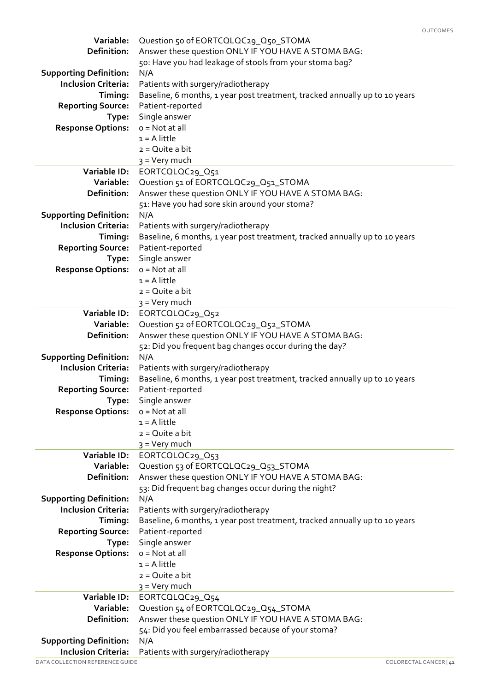| Variable:                                                   | Question 50 of EORTCQLQC29_Q50_STOMA                                       |  |  |
|-------------------------------------------------------------|----------------------------------------------------------------------------|--|--|
| Definition:                                                 | Answer these question ONLY IF YOU HAVE A STOMA BAG:                        |  |  |
|                                                             | 50: Have you had leakage of stools from your stoma bag?                    |  |  |
| <b>Supporting Definition:</b>                               | N/A                                                                        |  |  |
| <b>Inclusion Criteria:</b>                                  | Patients with surgery/radiotherapy                                         |  |  |
| Timing:                                                     | Baseline, 6 months, 1 year post treatment, tracked annually up to 10 years |  |  |
| <b>Reporting Source:</b>                                    | Patient-reported                                                           |  |  |
| Type:                                                       | Single answer                                                              |  |  |
| <b>Response Options:</b>                                    | $o = Not at all$<br>$1 = A$ little                                         |  |  |
|                                                             | $2 = Q$ uite a bit                                                         |  |  |
|                                                             | 3 = Very much                                                              |  |  |
| Variable ID:                                                | EORTCQLQC29_Q51                                                            |  |  |
| Variable:                                                   | Question 51 of EORTCQLQC29_Q51_STOMA                                       |  |  |
| <b>Definition:</b>                                          | Answer these question ONLY IF YOU HAVE A STOMA BAG:                        |  |  |
|                                                             | 51: Have you had sore skin around your stoma?                              |  |  |
| <b>Supporting Definition:</b>                               | N/A                                                                        |  |  |
| <b>Inclusion Criteria:</b>                                  | Patients with surgery/radiotherapy                                         |  |  |
| Timing:                                                     | Baseline, 6 months, 1 year post treatment, tracked annually up to 10 years |  |  |
| <b>Reporting Source:</b>                                    | Patient-reported                                                           |  |  |
| Type:                                                       | Single answer                                                              |  |  |
| <b>Response Options:</b>                                    | $o = Not$ at all                                                           |  |  |
|                                                             | $1 = A$ little                                                             |  |  |
|                                                             | $2 = Q$ uite a bit                                                         |  |  |
| Variable ID:                                                | 3 = Very much<br>EORTCQLQC29_Q52                                           |  |  |
| Variable:                                                   | Question 52 of EORTCQLQC29_Q52_STOMA                                       |  |  |
| <b>Definition:</b>                                          | Answer these question ONLY IF YOU HAVE A STOMA BAG:                        |  |  |
|                                                             | 52: Did you frequent bag changes occur during the day?                     |  |  |
| <b>Supporting Definition:</b>                               | N/A                                                                        |  |  |
| <b>Inclusion Criteria:</b>                                  | Patients with surgery/radiotherapy                                         |  |  |
| Timing:                                                     | Baseline, 6 months, 1 year post treatment, tracked annually up to 10 years |  |  |
| <b>Reporting Source:</b>                                    | Patient-reported                                                           |  |  |
| Type:                                                       | Single answer                                                              |  |  |
| <b>Response Options:</b>                                    | $o = Not at all$                                                           |  |  |
|                                                             | $1 = A$ little                                                             |  |  |
|                                                             | $2 = Q$ uite a bit                                                         |  |  |
|                                                             | 3 = Very much                                                              |  |  |
| Variable ID:<br>Variable:                                   | EORTCQLQC29_Q53<br>Question 53 of EORTCQLQC29_Q53_STOMA                    |  |  |
| <b>Definition:</b>                                          | Answer these question ONLY IF YOU HAVE A STOMA BAG:                        |  |  |
|                                                             | 53: Did frequent bag changes occur during the night?                       |  |  |
| <b>Supporting Definition:</b>                               | N/A                                                                        |  |  |
| <b>Inclusion Criteria:</b>                                  | Patients with surgery/radiotherapy                                         |  |  |
| Timing:                                                     | Baseline, 6 months, 1 year post treatment, tracked annually up to 10 years |  |  |
| <b>Reporting Source:</b>                                    | Patient-reported                                                           |  |  |
| Type:                                                       | Single answer                                                              |  |  |
| <b>Response Options:</b>                                    | $o = Not at all$                                                           |  |  |
|                                                             | $1 = A$ little                                                             |  |  |
|                                                             | $2 = Q$ uite a bit                                                         |  |  |
|                                                             | $3 =$ Very much                                                            |  |  |
| Variable ID:                                                | EORTCQLQC29_Q54                                                            |  |  |
| Variable:                                                   | Question 54 of EORTCOLOC29_Q54_STOMA                                       |  |  |
| Definition:                                                 | Answer these question ONLY IF YOU HAVE A STOMA BAG:                        |  |  |
|                                                             | 54: Did you feel embarrassed because of your stoma?                        |  |  |
| <b>Supporting Definition:</b><br><b>Inclusion Criteria:</b> | N/A<br>Patients with surgery/radiotherapy                                  |  |  |
|                                                             |                                                                            |  |  |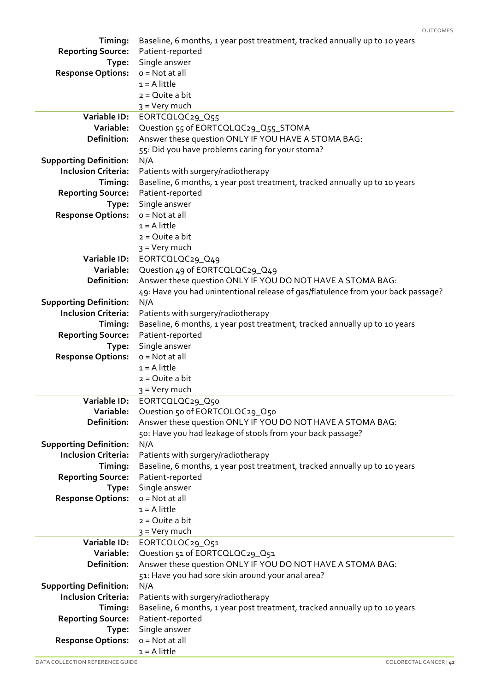| Timing:                       | Baseline, 6 months, 1 year post treatment, tracked annually up to 10 years       |  |  |
|-------------------------------|----------------------------------------------------------------------------------|--|--|
| <b>Reporting Source:</b>      | Patient-reported                                                                 |  |  |
| Type:                         | Single answer<br>$o = Not at all$                                                |  |  |
| <b>Response Options:</b>      | $1 = A$ little                                                                   |  |  |
|                               | $2 = Q$ uite a bit                                                               |  |  |
|                               | 3 = Very much                                                                    |  |  |
| Variable ID:                  | EORTCQLQC29_Q55                                                                  |  |  |
| Variable:                     | Question 55 of EORTCQLQC29_Q55_STOMA                                             |  |  |
| Definition:                   | Answer these question ONLY IF YOU HAVE A STOMA BAG:                              |  |  |
|                               | 55: Did you have problems caring for your stoma?                                 |  |  |
| <b>Supporting Definition:</b> | N/A                                                                              |  |  |
| <b>Inclusion Criteria:</b>    | Patients with surgery/radiotherapy                                               |  |  |
| Timing:                       | Baseline, 6 months, 1 year post treatment, tracked annually up to 10 years       |  |  |
| <b>Reporting Source:</b>      | Patient-reported                                                                 |  |  |
| Type:                         | Single answer                                                                    |  |  |
| <b>Response Options:</b>      | $o = Not$ at all                                                                 |  |  |
|                               | $1 = A$ little                                                                   |  |  |
|                               | $2 = Q$ uite a bit                                                               |  |  |
|                               | 3 = Very much                                                                    |  |  |
| <b>Variable ID:</b>           | EORTCQLQC29_Q49                                                                  |  |  |
| Variable:                     | Question 49 of EORTCOLOC29_O49                                                   |  |  |
| <b>Definition:</b>            | Answer these question ONLY IF YOU DO NOT HAVE A STOMA BAG:                       |  |  |
|                               | 49: Have you had unintentional release of gas/flatulence from your back passage? |  |  |
| <b>Supporting Definition:</b> | N/A                                                                              |  |  |
| <b>Inclusion Criteria:</b>    | Patients with surgery/radiotherapy                                               |  |  |
| Timing:                       | Baseline, 6 months, 1 year post treatment, tracked annually up to 10 years       |  |  |
| <b>Reporting Source:</b>      | Patient-reported                                                                 |  |  |
| Type:                         | Single answer                                                                    |  |  |
| <b>Response Options:</b>      | $o = Not at all$                                                                 |  |  |
|                               | $1 = A$ little                                                                   |  |  |
|                               | $2 = Q$ uite a bit<br>3 = Very much                                              |  |  |
| Variable ID:                  | EORTCQLQC29_Q50                                                                  |  |  |
| Variable:                     | Question 50 of EORTCQLQC29_Q50                                                   |  |  |
| <b>Definition:</b>            | Answer these question ONLY IF YOU DO NOT HAVE A STOMA BAG:                       |  |  |
|                               | 50: Have you had leakage of stools from your back passage?                       |  |  |
| <b>Supporting Definition:</b> | N/A                                                                              |  |  |
| <b>Inclusion Criteria:</b>    | Patients with surgery/radiotherapy                                               |  |  |
| Timing:                       | Baseline, 6 months, 1 year post treatment, tracked annually up to 10 years       |  |  |
| <b>Reporting Source:</b>      | Patient-reported                                                                 |  |  |
| Type:                         | Single answer                                                                    |  |  |
| <b>Response Options:</b>      | $o = Not$ at all                                                                 |  |  |
|                               | $1 = A$ little                                                                   |  |  |
|                               | $2 = Q$ uite a bit                                                               |  |  |
|                               | $3 =$ Very much                                                                  |  |  |
| Variable ID:                  | EORTCQLQC29_Q51                                                                  |  |  |
| Variable:                     | Question 51 of EORTCQLQC29_Q51                                                   |  |  |
| <b>Definition:</b>            | Answer these question ONLY IF YOU DO NOT HAVE A STOMA BAG:                       |  |  |
|                               | 51: Have you had sore skin around your anal area?                                |  |  |
| <b>Supporting Definition:</b> | N/A                                                                              |  |  |
| <b>Inclusion Criteria:</b>    | Patients with surgery/radiotherapy                                               |  |  |
| Timing:                       | Baseline, 6 months, 1 year post treatment, tracked annually up to 10 years       |  |  |
| <b>Reporting Source:</b>      | Patient-reported                                                                 |  |  |
| Type:                         | Single answer<br>o = Not at all                                                  |  |  |
| <b>Response Options:</b>      | $1 = A$ little                                                                   |  |  |
|                               |                                                                                  |  |  |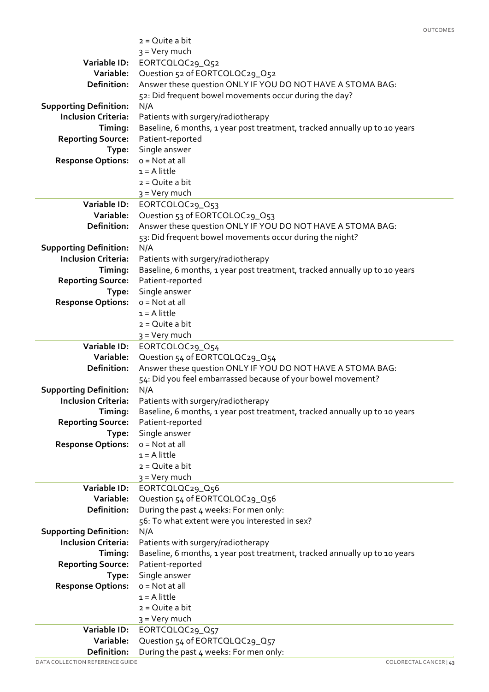|                               | $2 = Q$ uite a bit                                                         |  |
|-------------------------------|----------------------------------------------------------------------------|--|
|                               | 3 = Very much                                                              |  |
| Variable ID:                  | EORTCQLQC29_Q52                                                            |  |
| Variable:                     | Question 52 of EORTCOLOC29_Q52                                             |  |
| <b>Definition:</b>            | Answer these question ONLY IF YOU DO NOT HAVE A STOMA BAG:                 |  |
|                               | 52: Did frequent bowel movements occur during the day?                     |  |
| <b>Supporting Definition:</b> | N/A                                                                        |  |
| <b>Inclusion Criteria:</b>    | Patients with surgery/radiotherapy                                         |  |
| Timing:                       | Baseline, 6 months, 1 year post treatment, tracked annually up to 10 years |  |
| <b>Reporting Source:</b>      | Patient-reported                                                           |  |
| Type:                         | Single answer                                                              |  |
| <b>Response Options:</b>      | $o = Not$ at all                                                           |  |
|                               | $1 = A$ little                                                             |  |
|                               | $2 = Q$ uite a bit                                                         |  |
|                               | 3 = Very much                                                              |  |
| Variable ID:                  | EORTCOLOC29_O53                                                            |  |
| Variable:                     | Question 53 of EORTCQLQC29_Q53                                             |  |
| Definition:                   | Answer these question ONLY IF YOU DO NOT HAVE A STOMA BAG:                 |  |
|                               | 53: Did frequent bowel movements occur during the night?                   |  |
| <b>Supporting Definition:</b> | N/A                                                                        |  |
| <b>Inclusion Criteria:</b>    | Patients with surgery/radiotherapy                                         |  |
| Timing:                       | Baseline, 6 months, 1 year post treatment, tracked annually up to 10 years |  |
| <b>Reporting Source:</b>      | Patient-reported                                                           |  |
| Type:                         | Single answer                                                              |  |
| <b>Response Options:</b>      | $o = Not at all$                                                           |  |
|                               | $1 = A$ little                                                             |  |
|                               | $2 = Q$ uite a bit                                                         |  |
|                               | 3 = Very much                                                              |  |
| Variable ID:                  | EORTCQLQC29_Q54                                                            |  |
| Variable:                     | Question 54 of EORTCQLQC29_Q54                                             |  |
| Definition:                   | Answer these question ONLY IF YOU DO NOT HAVE A STOMA BAG:                 |  |
|                               | 54: Did you feel embarrassed because of your bowel movement?               |  |
| <b>Supporting Definition:</b> | N/A                                                                        |  |
| <b>Inclusion Criteria:</b>    | Patients with surgery/radiotherapy                                         |  |
| Timing:                       | Baseline, 6 months, 1 year post treatment, tracked annually up to 10 years |  |
| <b>Reporting Source:</b>      | Patient-reported                                                           |  |
| Type:                         | Single answer                                                              |  |
| <b>Response Options:</b>      | $o = Not at all$                                                           |  |
|                               | $1 = A$ little                                                             |  |
|                               | $2 = Q$ uite a bit                                                         |  |
|                               | 3 = Very much                                                              |  |
| Variable ID:                  | EORTCQLQC29_Q56                                                            |  |
| Variable:                     | Question 54 of EORTCQLQC29_Q56                                             |  |
| <b>Definition:</b>            | During the past 4 weeks: For men only:                                     |  |
|                               | 56: To what extent were you interested in sex?                             |  |
| <b>Supporting Definition:</b> | N/A                                                                        |  |
| <b>Inclusion Criteria:</b>    | Patients with surgery/radiotherapy                                         |  |
| Timing:                       | Baseline, 6 months, 1 year post treatment, tracked annually up to 10 years |  |
| <b>Reporting Source:</b>      | Patient-reported                                                           |  |
| Type:                         | Single answer                                                              |  |
| <b>Response Options:</b>      | $o = Not at all$                                                           |  |
|                               | $1 = A$ little                                                             |  |
|                               | $2 = Q$ uite a bit                                                         |  |
|                               | $3 = V$ ery much                                                           |  |
| <b>Variable ID:</b>           | EORTCQLQC29_Q57                                                            |  |
| Variable:                     | Question 54 of EORTCQLQC29_Q57                                             |  |
| Definition:                   | During the past 4 weeks: For men only:                                     |  |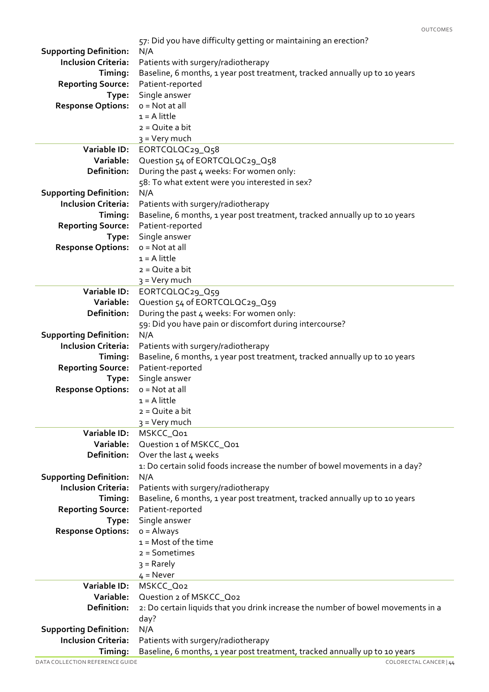|                               | 57: Did you have difficulty getting or maintaining an erection?                  |  |
|-------------------------------|----------------------------------------------------------------------------------|--|
| <b>Supporting Definition:</b> | N/A                                                                              |  |
| <b>Inclusion Criteria:</b>    | Patients with surgery/radiotherapy                                               |  |
| Timing:                       | Baseline, 6 months, 1 year post treatment, tracked annually up to 10 years       |  |
| <b>Reporting Source:</b>      | Patient-reported                                                                 |  |
| Type:                         | Single answer                                                                    |  |
| <b>Response Options:</b>      | $o = Not at all$                                                                 |  |
|                               | $1 = A$ little                                                                   |  |
|                               | $2 = Q$ uite a bit                                                               |  |
|                               | 3 = Very much                                                                    |  |
| Variable ID:                  | EORTCQLQC29_Q58                                                                  |  |
| Variable:                     | Question 54 of EORTCQLQC29_Q58                                                   |  |
| <b>Definition:</b>            | During the past 4 weeks: For women only:                                         |  |
|                               | 58: To what extent were you interested in sex?                                   |  |
| <b>Supporting Definition:</b> | N/A                                                                              |  |
| <b>Inclusion Criteria:</b>    | Patients with surgery/radiotherapy                                               |  |
| Timing:                       | Baseline, 6 months, 1 year post treatment, tracked annually up to 10 years       |  |
| <b>Reporting Source:</b>      | Patient-reported                                                                 |  |
| Type:                         | Single answer                                                                    |  |
| <b>Response Options:</b>      | $o = Not$ at all                                                                 |  |
|                               | $1 = A$ little                                                                   |  |
|                               | $2 = Q$ uite a bit                                                               |  |
|                               | 3 = Very much                                                                    |  |
| Variable ID:                  | EORTCQLQC29_Q59                                                                  |  |
| Variable:                     | Question 54 of EORTCQLQC29_Q59                                                   |  |
| <b>Definition:</b>            | During the past 4 weeks: For women only:                                         |  |
|                               | 59: Did you have pain or discomfort during intercourse?                          |  |
| <b>Supporting Definition:</b> | N/A                                                                              |  |
| <b>Inclusion Criteria:</b>    | Patients with surgery/radiotherapy                                               |  |
| Timing:                       | Baseline, 6 months, 1 year post treatment, tracked annually up to 10 years       |  |
| <b>Reporting Source:</b>      | Patient-reported                                                                 |  |
| Type:                         | Single answer                                                                    |  |
| <b>Response Options:</b>      | $o = Not at all$                                                                 |  |
|                               | $1 = A$ little                                                                   |  |
|                               | $2 = Q$ uite a bit                                                               |  |
|                               | $3 =$ Very much                                                                  |  |
| Variable ID:                  | MSKCC_Q01                                                                        |  |
| Variable:                     | Question 1 of MSKCC_Q01                                                          |  |
| <b>Definition:</b>            | Over the last 4 weeks                                                            |  |
|                               | 1: Do certain solid foods increase the number of bowel movements in a day?       |  |
| <b>Supporting Definition:</b> | N/A                                                                              |  |
| <b>Inclusion Criteria:</b>    | Patients with surgery/radiotherapy                                               |  |
| Timing:                       | Baseline, 6 months, 1 year post treatment, tracked annually up to 10 years       |  |
| <b>Reporting Source:</b>      | Patient-reported                                                                 |  |
| Type:                         | Single answer                                                                    |  |
| <b>Response Options:</b>      | $o =$ Always                                                                     |  |
|                               | $1 = Most of the time$                                                           |  |
|                               | $2 =$ Sometimes                                                                  |  |
|                               | $3 =$ Rarely                                                                     |  |
|                               | $4 =$ Never                                                                      |  |
| Variable ID:                  | MSKCC_Qo2                                                                        |  |
| Variable:                     | Question 2 of MSKCC_Qo2                                                          |  |
| <b>Definition:</b>            | 2: Do certain liquids that you drink increase the number of bowel movements in a |  |
|                               | day?                                                                             |  |
| <b>Supporting Definition:</b> | N/A                                                                              |  |
| <b>Inclusion Criteria:</b>    | Patients with surgery/radiotherapy                                               |  |
| Timing:                       | Baseline, 6 months, 1 year post treatment, tracked annually up to 10 years       |  |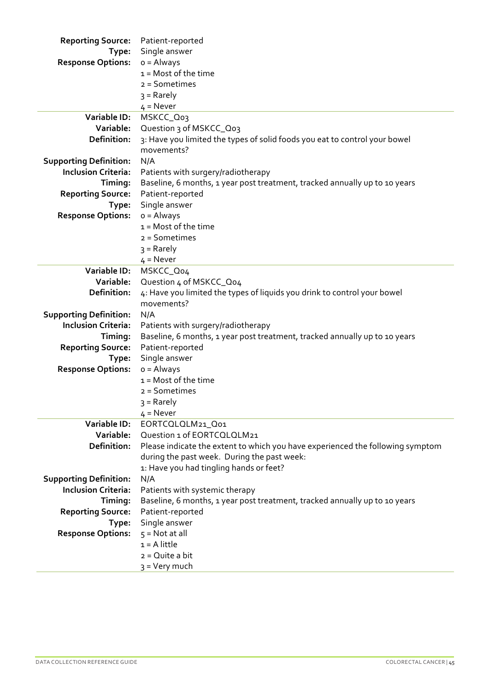| <b>Reporting Source:</b>      | Patient-reported                                                               |  |  |
|-------------------------------|--------------------------------------------------------------------------------|--|--|
| Type:                         | Single answer                                                                  |  |  |
| <b>Response Options:</b>      | $o =$ Always                                                                   |  |  |
|                               | $1 =$ Most of the time                                                         |  |  |
|                               | $2 =$ Sometimes                                                                |  |  |
|                               | $3 =$ Rarely                                                                   |  |  |
|                               | $4 =$ Never                                                                    |  |  |
| <b>Variable ID:</b>           | MSKCC_Q03                                                                      |  |  |
| Variable:                     | Question 3 of MSKCC_Qo3                                                        |  |  |
| <b>Definition:</b>            | 3: Have you limited the types of solid foods you eat to control your bowel     |  |  |
|                               | movements?                                                                     |  |  |
| <b>Supporting Definition:</b> | N/A                                                                            |  |  |
| <b>Inclusion Criteria:</b>    | Patients with surgery/radiotherapy                                             |  |  |
| Timing:                       | Baseline, 6 months, 1 year post treatment, tracked annually up to 10 years     |  |  |
| <b>Reporting Source:</b>      | Patient-reported                                                               |  |  |
| Type:                         | Single answer                                                                  |  |  |
| <b>Response Options:</b>      | $o =$ Always                                                                   |  |  |
|                               | $1 =$ Most of the time                                                         |  |  |
|                               | $2 =$ Sometimes                                                                |  |  |
|                               | $3 =$ Rarely                                                                   |  |  |
|                               | $4 =$ Never                                                                    |  |  |
| Variable ID:                  | MSKCC_Qo4                                                                      |  |  |
| Variable:                     | Question 4 of MSKCC_Q04                                                        |  |  |
| Definition:                   | 4: Have you limited the types of liquids you drink to control your bowel       |  |  |
|                               | movements?                                                                     |  |  |
| <b>Supporting Definition:</b> | N/A                                                                            |  |  |
| <b>Inclusion Criteria:</b>    | Patients with surgery/radiotherapy                                             |  |  |
| Timing:                       | Baseline, 6 months, 1 year post treatment, tracked annually up to 10 years     |  |  |
| <b>Reporting Source:</b>      | Patient-reported                                                               |  |  |
| Type:                         | Single answer                                                                  |  |  |
| <b>Response Options:</b>      | $o =$ Always<br>$1 = Most of the time$                                         |  |  |
|                               | $2 =$ Sometimes                                                                |  |  |
|                               |                                                                                |  |  |
|                               | $3 =$ Rarely<br>$4 =$ Never                                                    |  |  |
| Variable ID:                  | EORTCQLQLM21_Q01                                                               |  |  |
| Variable:                     | Question 1 of EORTCQLQLM21                                                     |  |  |
| Definition:                   | Please indicate the extent to which you have experienced the following symptom |  |  |
|                               | during the past week. During the past week:                                    |  |  |
|                               | 1: Have you had tingling hands or feet?                                        |  |  |
| <b>Supporting Definition:</b> | N/A                                                                            |  |  |
| <b>Inclusion Criteria:</b>    | Patients with systemic therapy                                                 |  |  |
| Timing:                       | Baseline, 6 months, 1 year post treatment, tracked annually up to 10 years     |  |  |
| <b>Reporting Source:</b>      | Patient-reported                                                               |  |  |
| Type:                         | Single answer                                                                  |  |  |
| <b>Response Options:</b>      | $5 = Not at all$                                                               |  |  |
|                               | $1 = A$ little                                                                 |  |  |
|                               | $2 = Q$ uite a bit                                                             |  |  |
|                               | 3 = Very much                                                                  |  |  |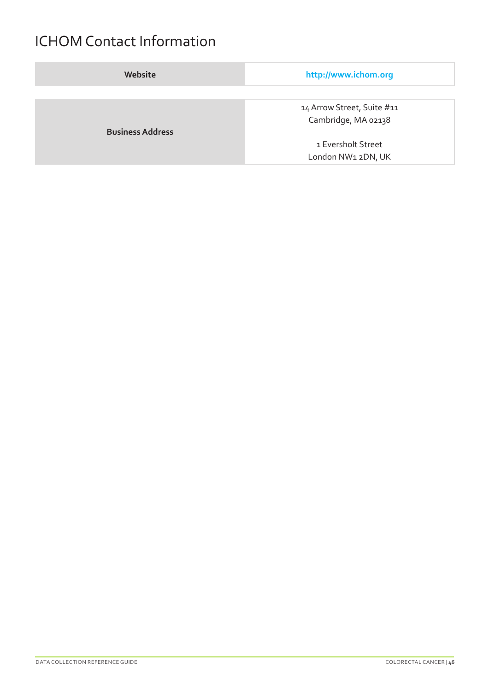## ICHOM Contact Information

| Website                 | http://www.ichom.org       |
|-------------------------|----------------------------|
|                         |                            |
|                         | 14 Arrow Street, Suite #11 |
|                         | Cambridge, MA 02138        |
| <b>Business Address</b> |                            |
|                         | 1 Eversholt Street         |
|                         | London NW1 2DN, UK         |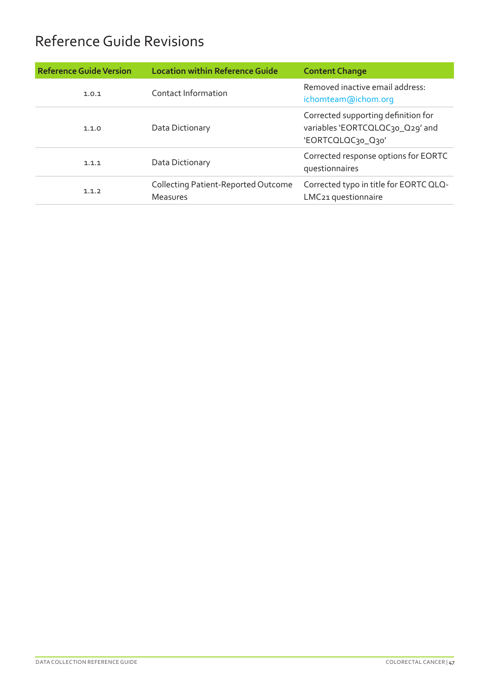# Reference Guide Revisions

| <b>Reference Guide Version</b> | <b>Location within Reference Guide</b>                        | <b>Content Change</b>                                                                       |
|--------------------------------|---------------------------------------------------------------|---------------------------------------------------------------------------------------------|
| 1.0.1                          | Contact Information                                           | Removed inactive email address:<br>ichomteam@ichom.org                                      |
| 1.1.0                          | Data Dictionary                                               | Corrected supporting definition for<br>variables 'EORTCQLQC30_Q29' and<br>'EORTCQLQC30_Q30' |
| 1.1.1                          | Data Dictionary                                               | Corrected response options for EORTC<br>questionnaires                                      |
| 1.1.2                          | <b>Collecting Patient-Reported Outcome</b><br><b>Measures</b> | Corrected typo in title for EORTC QLQ-<br>LMC21 questionnaire                               |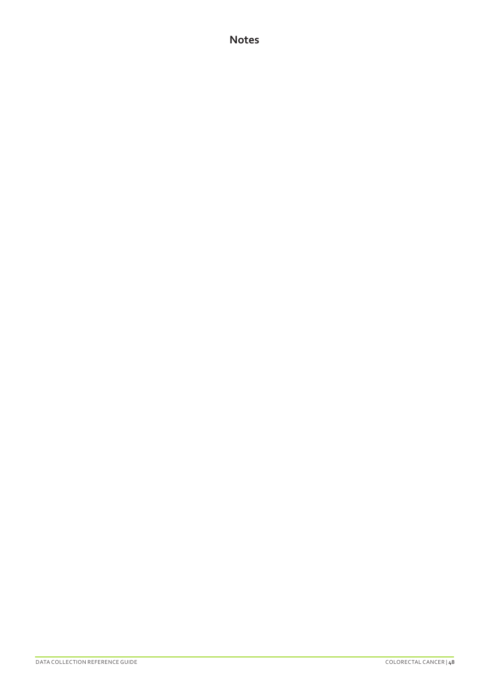#### **Notes**